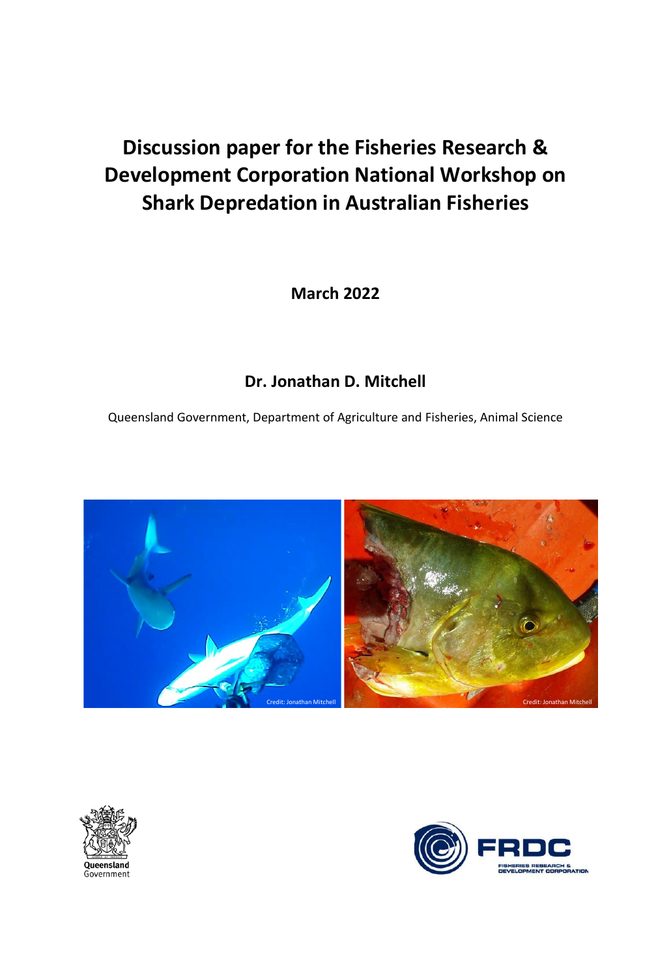# **Discussion paper for the Fisheries Research & Development Corporation National Workshop on Shark Depredation in Australian Fisheries**

**March 2022**

# **Dr. Jonathan D. Mitchell**

Queensland Government, Department of Agriculture and Fisheries, Animal Science





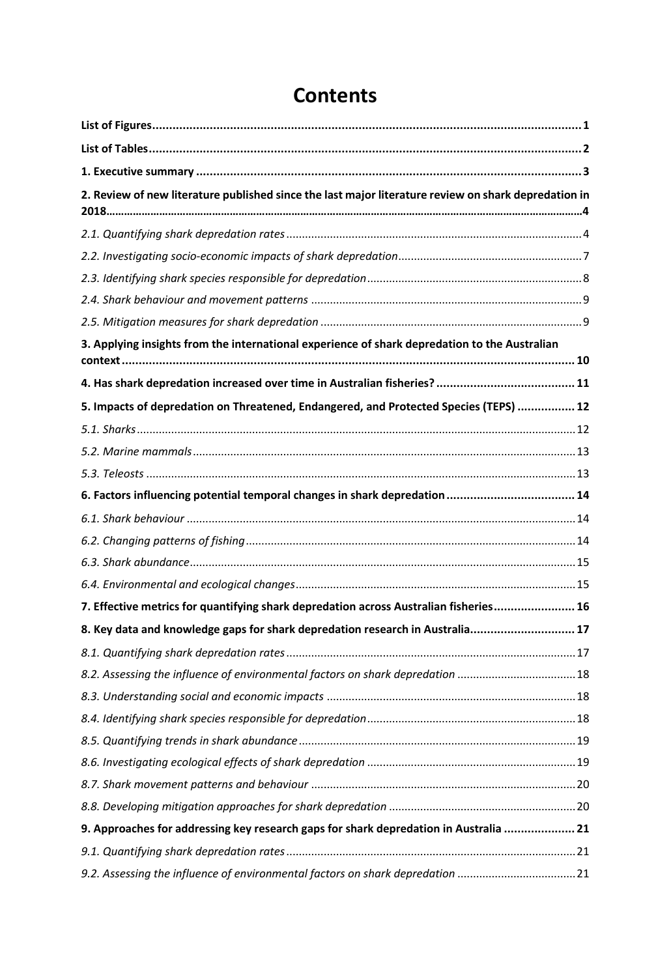| 2. Review of new literature published since the last major literature review on shark depredation in |  |
|------------------------------------------------------------------------------------------------------|--|
|                                                                                                      |  |
|                                                                                                      |  |
|                                                                                                      |  |
|                                                                                                      |  |
|                                                                                                      |  |
| 3. Applying insights from the international experience of shark depredation to the Australian        |  |
|                                                                                                      |  |
| 5. Impacts of depredation on Threatened, Endangered, and Protected Species (TEPS)  12                |  |
|                                                                                                      |  |
|                                                                                                      |  |
|                                                                                                      |  |
| 6. Factors influencing potential temporal changes in shark depredation  14                           |  |
|                                                                                                      |  |
|                                                                                                      |  |
|                                                                                                      |  |
|                                                                                                      |  |
| 7. Effective metrics for quantifying shark depredation across Australian fisheries 16                |  |
| 8. Key data and knowledge gaps for shark depredation research in Australia 17                        |  |
|                                                                                                      |  |
| 8.2. Assessing the influence of environmental factors on shark depredation 18                        |  |
|                                                                                                      |  |
|                                                                                                      |  |
|                                                                                                      |  |
|                                                                                                      |  |
|                                                                                                      |  |
|                                                                                                      |  |
| 9. Approaches for addressing key research gaps for shark depredation in Australia  21                |  |
|                                                                                                      |  |
| 9.2. Assessing the influence of environmental factors on shark depredation 21                        |  |

# **Contents**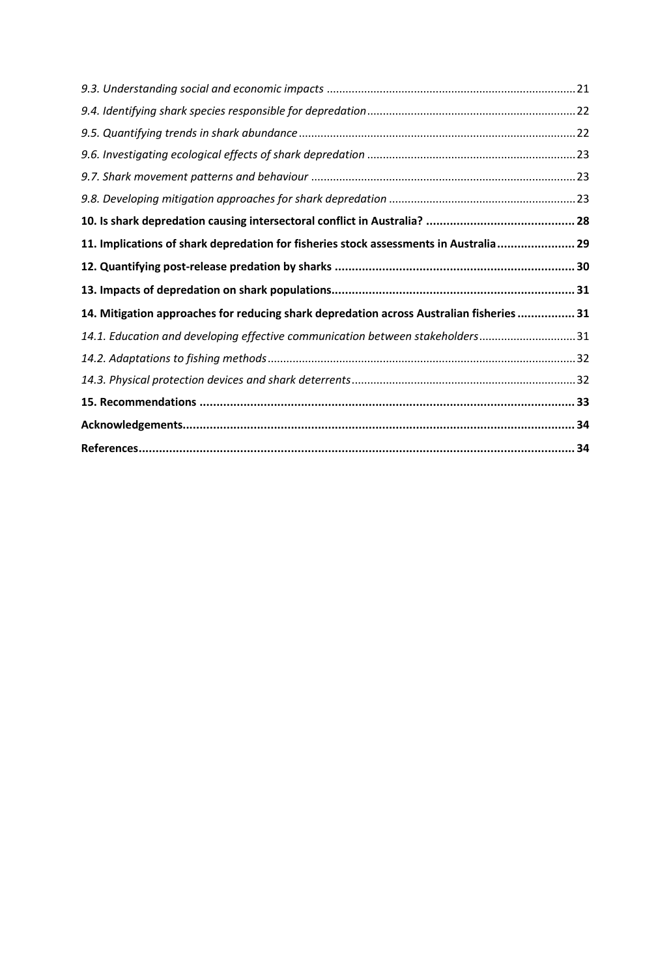| 11. Implications of shark depredation for fisheries stock assessments in Australia 29    |  |
|------------------------------------------------------------------------------------------|--|
|                                                                                          |  |
|                                                                                          |  |
| 14. Mitigation approaches for reducing shark depredation across Australian fisheries  31 |  |
| 14.1. Education and developing effective communication between stakeholders31            |  |
|                                                                                          |  |
|                                                                                          |  |
|                                                                                          |  |
|                                                                                          |  |
|                                                                                          |  |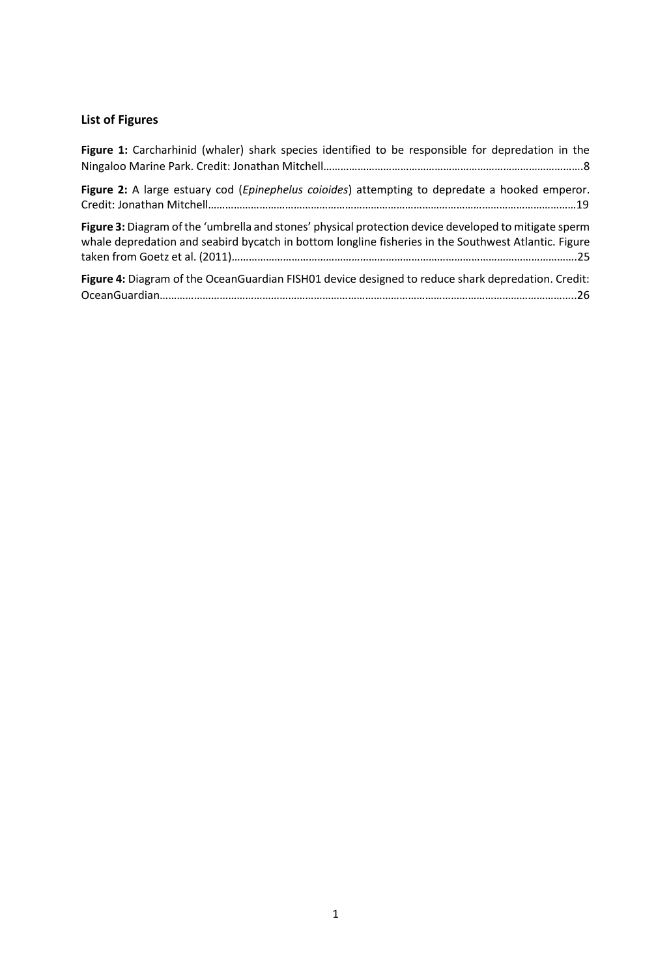# <span id="page-3-0"></span>**List of Figures**

| Figure 1: Carcharhinid (whaler) shark species identified to be responsible for depredation in the                                                                                                             |
|---------------------------------------------------------------------------------------------------------------------------------------------------------------------------------------------------------------|
| Figure 2: A large estuary cod (Epinephelus coioides) attempting to depredate a hooked emperor.                                                                                                                |
| Figure 3: Diagram of the 'umbrella and stones' physical protection device developed to mitigate sperm<br>whale depredation and seabird bycatch in bottom longline fisheries in the Southwest Atlantic. Figure |
| Figure 4: Diagram of the OceanGuardian FISH01 device designed to reduce shark depredation. Credit:                                                                                                            |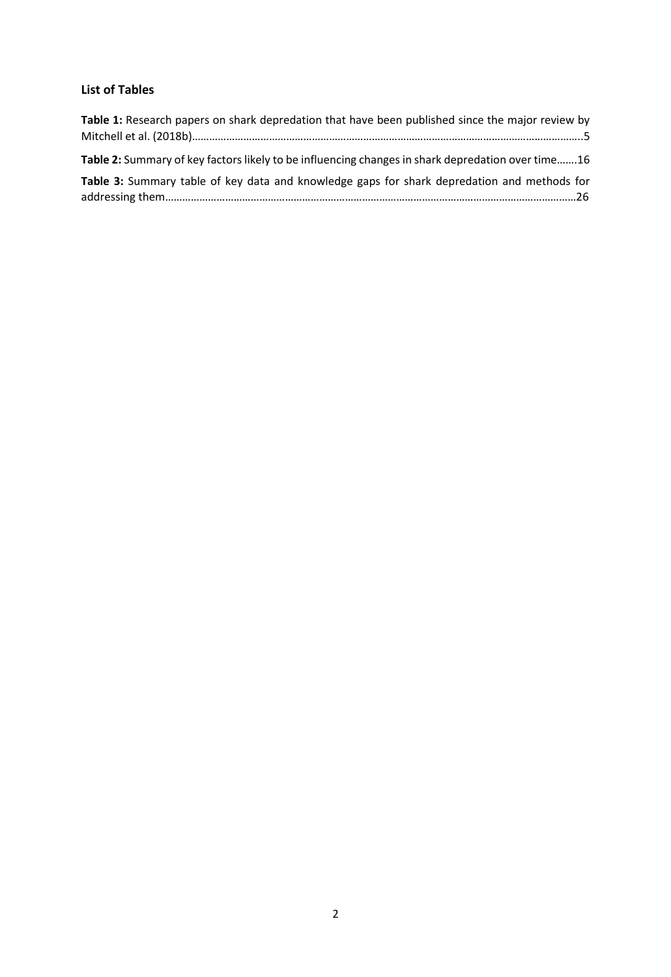# <span id="page-4-0"></span>**List of Tables**

| Table 1: Research papers on shark depredation that have been published since the major review by  |  |
|---------------------------------------------------------------------------------------------------|--|
| Table 2: Summary of key factors likely to be influencing changes in shark depredation over time16 |  |
| Table 3: Summary table of key data and knowledge gaps for shark depredation and methods for       |  |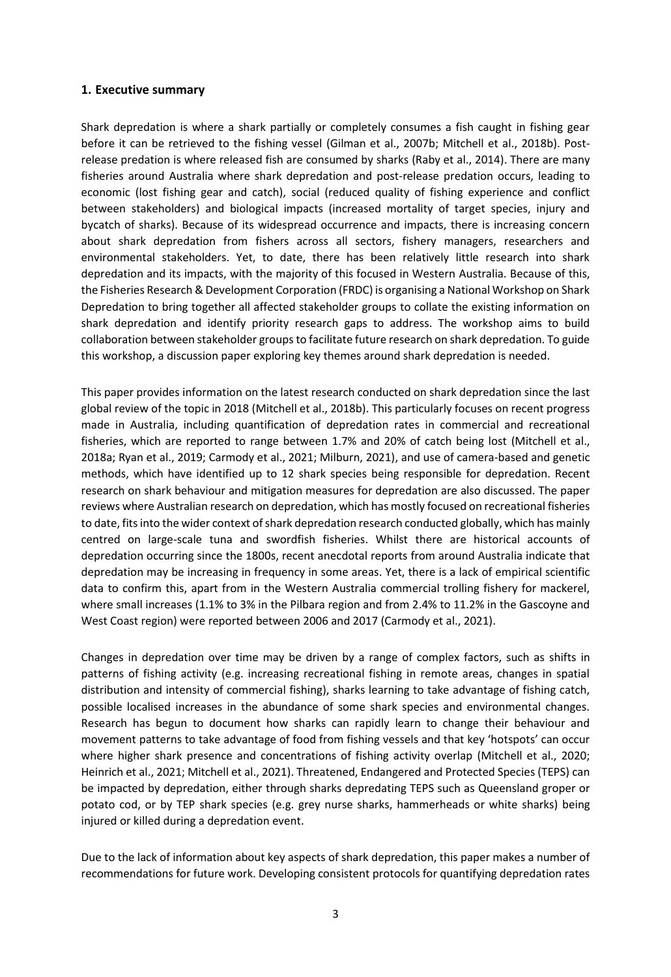#### <span id="page-5-0"></span>**1. Executive summary**

Shark depredation is where a shark partially or completely consumes a fish caught in fishing gear before it can be retrieved to the fishing vessel (Gilman et al., 2007b; Mitchell et al., 2018b). Postrelease predation is where released fish are consumed by sharks (Raby et al., 2014). There are many fisheries around Australia where shark depredation and post-release predation occurs, leading to economic (lost fishing gear and catch), social (reduced quality of fishing experience and conflict between stakeholders) and biological impacts (increased mortality of target species, injury and bycatch of sharks). Because of its widespread occurrence and impacts, there is increasing concern about shark depredation from fishers across all sectors, fishery managers, researchers and environmental stakeholders. Yet, to date, there has been relatively little research into shark depredation and its impacts, with the majority of this focused in Western Australia. Because of this, the Fisheries Research & Development Corporation (FRDC) is organising a National Workshop on Shark Depredation to bring together all affected stakeholder groups to collate the existing information on shark depredation and identify priority research gaps to address. The workshop aims to build collaboration between stakeholder groups to facilitate future research on shark depredation. To guide this workshop, a discussion paper exploring key themes around shark depredation is needed.

This paper provides information on the latest research conducted on shark depredation since the last global review of the topic in 2018 (Mitchell et al., 2018b). This particularly focuses on recent progress made in Australia, including quantification of depredation rates in commercial and recreational fisheries, which are reported to range between 1.7% and 20% of catch being lost (Mitchell et al., 2018a; Ryan et al., 2019; Carmody et al., 2021; Milburn, 2021), and use of camera-based and genetic methods, which have identified up to 12 shark species being responsible for depredation. Recent research on shark behaviour and mitigation measures for depredation are also discussed. The paper reviews where Australian research on depredation, which has mostly focused on recreational fisheries to date, fits into the wider context of shark depredation research conducted globally, which has mainly centred on large-scale tuna and swordfish fisheries. Whilst there are historical accounts of depredation occurring since the 1800s, recent anecdotal reports from around Australia indicate that depredation may be increasing in frequency in some areas. Yet, there is a lack of empirical scientific data to confirm this, apart from in the Western Australia commercial trolling fishery for mackerel, where small increases (1.1% to 3% in the Pilbara region and from 2.4% to 11.2% in the Gascoyne and West Coast region) were reported between 2006 and 2017 (Carmody et al., 2021).

Changes in depredation over time may be driven by a range of complex factors, such as shifts in patterns of fishing activity (e.g. increasing recreational fishing in remote areas, changes in spatial distribution and intensity of commercial fishing), sharks learning to take advantage of fishing catch, possible localised increases in the abundance of some shark species and environmental changes. Research has begun to document how sharks can rapidly learn to change their behaviour and movement patterns to take advantage of food from fishing vessels and that key 'hotspots' can occur where higher shark presence and concentrations of fishing activity overlap (Mitchell et al., 2020; Heinrich et al., 2021; Mitchell et al., 2021). Threatened, Endangered and Protected Species (TEPS) can be impacted by depredation, either through sharks depredating TEPS such as Queensland groper or potato cod, or by TEP shark species (e.g. grey nurse sharks, hammerheads or white sharks) being injured or killed during a depredation event.

Due to the lack of information about key aspects of shark depredation, this paper makes a number of recommendations for future work. Developing consistent protocols for quantifying depredation rates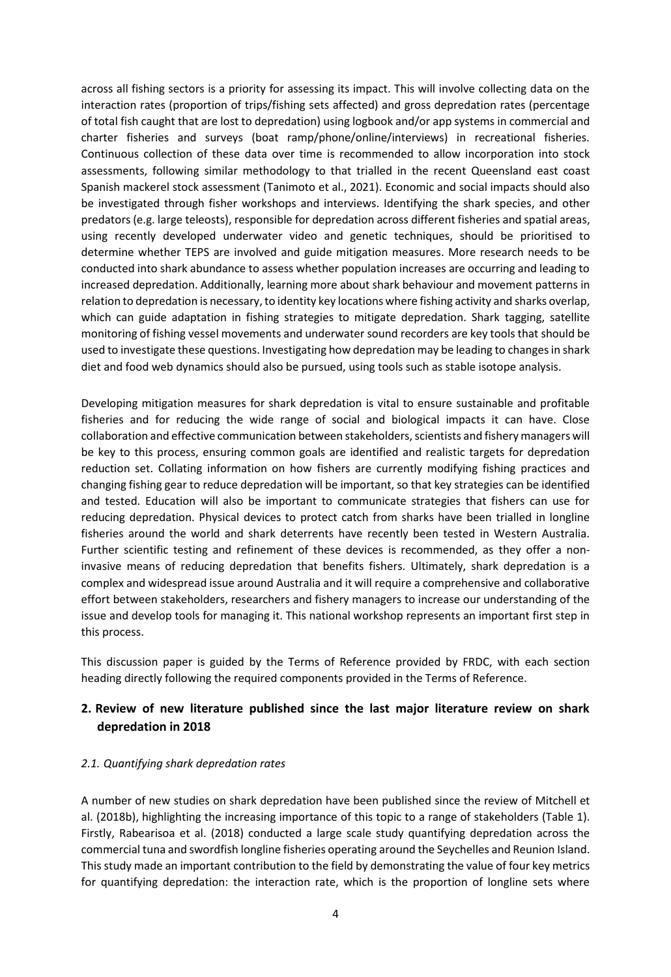across all fishing sectors is a priority for assessing its impact. This will involve collecting data on the interaction rates (proportion of trips/fishing sets affected) and gross depredation rates (percentage of total fish caught that are lost to depredation) using logbook and/or app systems in commercial and charter fisheries and surveys (boat ramp/phone/online/interviews) in recreational fisheries. Continuous collection of these data over time is recommended to allow incorporation into stock assessments, following similar methodology to that trialled in the recent Queensland east coast Spanish mackerel stock assessment (Tanimoto et al., 2021). Economic and social impacts should also be investigated through fisher workshops and interviews. Identifying the shark species, and other predators (e.g. large teleosts), responsible for depredation across different fisheries and spatial areas, using recently developed underwater video and genetic techniques, should be prioritised to determine whether TEPS are involved and guide mitigation measures. More research needs to be conducted into shark abundance to assess whether population increases are occurring and leading to increased depredation. Additionally, learning more about shark behaviour and movement patterns in relation to depredation is necessary, to identity key locations where fishing activity and sharks overlap, which can guide adaptation in fishing strategies to mitigate depredation. Shark tagging, satellite monitoring of fishing vessel movements and underwater sound recorders are key tools that should be used to investigate these questions. Investigating how depredation may be leading to changes in shark diet and food web dynamics should also be pursued, using tools such as stable isotope analysis.

Developing mitigation measures for shark depredation is vital to ensure sustainable and profitable fisheries and for reducing the wide range of social and biological impacts it can have. Close collaboration and effective communication between stakeholders, scientists and fishery managers will be key to this process, ensuring common goals are identified and realistic targets for depredation reduction set. Collating information on how fishers are currently modifying fishing practices and changing fishing gear to reduce depredation will be important, so that key strategies can be identified and tested. Education will also be important to communicate strategies that fishers can use for reducing depredation. Physical devices to protect catch from sharks have been trialled in longline fisheries around the world and shark deterrents have recently been tested in Western Australia. Further scientific testing and refinement of these devices is recommended, as they offer a noninvasive means of reducing depredation that benefits fishers. Ultimately, shark depredation is a complex and widespread issue around Australia and it will require a comprehensive and collaborative effort between stakeholders, researchers and fishery managers to increase our understanding of the issue and develop tools for managing it. This national workshop represents an important first step in this process.

This discussion paper is guided by the Terms of Reference provided by FRDC, with each section heading directly following the required components provided in the Terms of Reference.

# <span id="page-6-0"></span>**2. Review of new literature published since the last major literature review on shark depredation in 2018**

#### <span id="page-6-1"></span>*2.1. Quantifying shark depredation rates*

A number of new studies on shark depredation have been published since the review of Mitchell et al. (2018b), highlighting the increasing importance of this topic to a range of stakeholders (Table 1). Firstly, Rabearisoa et al. (2018) conducted a large scale study quantifying depredation across the commercial tuna and swordfish longline fisheries operating around the Seychelles and Reunion Island. This study made an important contribution to the field by demonstrating the value of four key metrics for quantifying depredation: the interaction rate, which is the proportion of longline sets where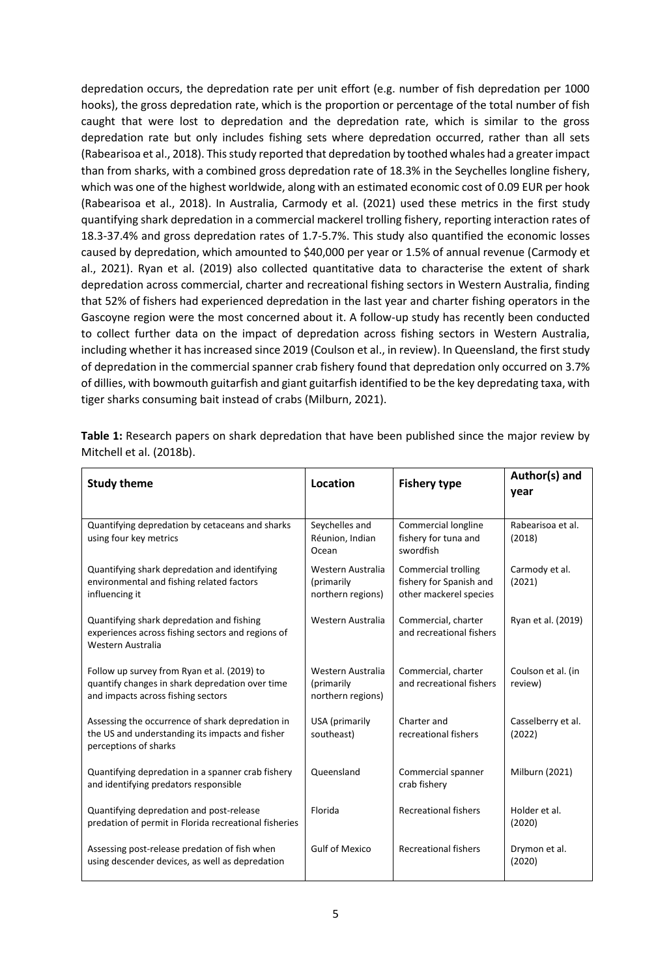depredation occurs, the depredation rate per unit effort (e.g. number of fish depredation per 1000 hooks), the gross depredation rate, which is the proportion or percentage of the total number of fish caught that were lost to depredation and the depredation rate, which is similar to the gross depredation rate but only includes fishing sets where depredation occurred, rather than all sets (Rabearisoa et al., 2018). This study reported that depredation by toothed whales had a greater impact than from sharks, with a combined gross depredation rate of 18.3% in the Seychelles longline fishery, which was one of the highest worldwide, along with an estimated economic cost of 0.09 EUR per hook (Rabearisoa et al., 2018). In Australia, Carmody et al. (2021) used these metrics in the first study quantifying shark depredation in a commercial mackerel trolling fishery, reporting interaction rates of 18.3-37.4% and gross depredation rates of 1.7-5.7%. This study also quantified the economic losses caused by depredation, which amounted to \$40,000 per year or 1.5% of annual revenue (Carmody et al., 2021). Ryan et al. (2019) also collected quantitative data to characterise the extent of shark depredation across commercial, charter and recreational fishing sectors in Western Australia, finding that 52% of fishers had experienced depredation in the last year and charter fishing operators in the Gascoyne region were the most concerned about it. A follow-up study has recently been conducted to collect further data on the impact of depredation across fishing sectors in Western Australia, including whether it has increased since 2019 (Coulson et al., in review). In Queensland, the first study of depredation in the commercial spanner crab fishery found that depredation only occurred on 3.7% of dillies, with bowmouth guitarfish and giant guitarfish identified to be the key depredating taxa, with tiger sharks consuming bait instead of crabs (Milburn, 2021).

| <b>Study theme</b>                                                                                                                   | Location                                             | <b>Fishery type</b>                                                      | Author(s) and<br>year         |
|--------------------------------------------------------------------------------------------------------------------------------------|------------------------------------------------------|--------------------------------------------------------------------------|-------------------------------|
| Quantifying depredation by cetaceans and sharks<br>using four key metrics                                                            | Seychelles and<br>Réunion, Indian<br>Ocean           | Commercial longline<br>fishery for tuna and<br>swordfish                 | Rabearisoa et al.<br>(2018)   |
| Quantifying shark depredation and identifying<br>environmental and fishing related factors<br>influencing it                         | Western Australia<br>(primarily<br>northern regions) | Commercial trolling<br>fishery for Spanish and<br>other mackerel species | Carmody et al.<br>(2021)      |
| Quantifying shark depredation and fishing<br>experiences across fishing sectors and regions of<br>Western Australia                  | Western Australia                                    | Commercial, charter<br>and recreational fishers                          | Ryan et al. (2019)            |
| Follow up survey from Ryan et al. (2019) to<br>quantify changes in shark depredation over time<br>and impacts across fishing sectors | Western Australia<br>(primarily<br>northern regions) | Commercial, charter<br>and recreational fishers                          | Coulson et al. (in<br>review) |
| Assessing the occurrence of shark depredation in<br>the US and understanding its impacts and fisher<br>perceptions of sharks         | USA (primarily<br>southeast)                         | Charter and<br>recreational fishers                                      | Casselberry et al.<br>(2022)  |
| Quantifying depredation in a spanner crab fishery<br>and identifying predators responsible                                           | Queensland                                           | Commercial spanner<br>crab fishery                                       | Milburn (2021)                |
| Quantifying depredation and post-release<br>predation of permit in Florida recreational fisheries                                    | Florida                                              | <b>Recreational fishers</b>                                              | Holder et al.<br>(2020)       |
| Assessing post-release predation of fish when<br>using descender devices, as well as depredation                                     | <b>Gulf of Mexico</b>                                | <b>Recreational fishers</b>                                              | Drymon et al.<br>(2020)       |

**Table 1:** Research papers on shark depredation that have been published since the major review by Mitchell et al. (2018b).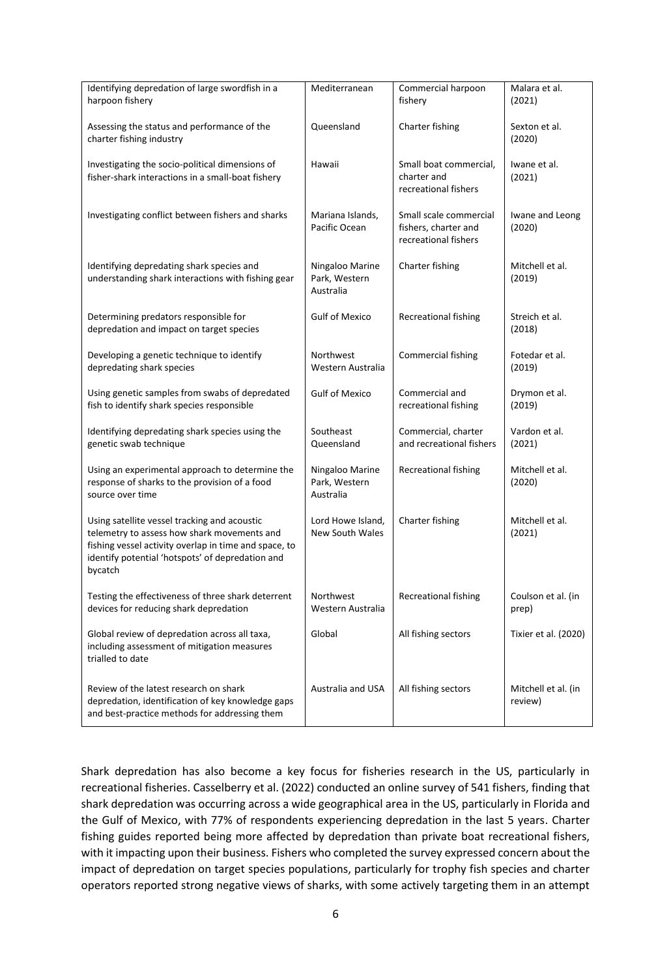| Identifying depredation of large swordfish in a<br>harpoon fishery                                                                                                                                                  | Mediterranean                                 | Commercial harpoon<br>fishery                                          | Malara et al.<br>(2021)        |
|---------------------------------------------------------------------------------------------------------------------------------------------------------------------------------------------------------------------|-----------------------------------------------|------------------------------------------------------------------------|--------------------------------|
| Assessing the status and performance of the<br>charter fishing industry                                                                                                                                             | Queensland                                    | Charter fishing                                                        | Sexton et al.<br>(2020)        |
| Investigating the socio-political dimensions of<br>fisher-shark interactions in a small-boat fishery                                                                                                                | Hawaii                                        | Small boat commercial,<br>charter and<br>recreational fishers          | Iwane et al.<br>(2021)         |
| Investigating conflict between fishers and sharks                                                                                                                                                                   | Mariana Islands,<br>Pacific Ocean             | Small scale commercial<br>fishers, charter and<br>recreational fishers | Iwane and Leong<br>(2020)      |
| Identifying depredating shark species and<br>understanding shark interactions with fishing gear                                                                                                                     | Ningaloo Marine<br>Park, Western<br>Australia | Charter fishing                                                        | Mitchell et al.<br>(2019)      |
| Determining predators responsible for<br>depredation and impact on target species                                                                                                                                   | <b>Gulf of Mexico</b>                         | Recreational fishing                                                   | Streich et al.<br>(2018)       |
| Developing a genetic technique to identify<br>depredating shark species                                                                                                                                             | Northwest<br>Western Australia                | Commercial fishing                                                     | Fotedar et al.<br>(2019)       |
| Using genetic samples from swabs of depredated<br>fish to identify shark species responsible                                                                                                                        | <b>Gulf of Mexico</b>                         | Commercial and<br>recreational fishing                                 | Drymon et al.<br>(2019)        |
| Identifying depredating shark species using the<br>genetic swab technique                                                                                                                                           | Southeast<br>Queensland                       | Commercial, charter<br>and recreational fishers                        | Vardon et al.<br>(2021)        |
| Using an experimental approach to determine the<br>response of sharks to the provision of a food<br>source over time                                                                                                | Ningaloo Marine<br>Park, Western<br>Australia | Recreational fishing                                                   | Mitchell et al.<br>(2020)      |
| Using satellite vessel tracking and acoustic<br>telemetry to assess how shark movements and<br>fishing vessel activity overlap in time and space, to<br>identify potential 'hotspots' of depredation and<br>bycatch | Lord Howe Island,<br>New South Wales          | Charter fishing                                                        | Mitchell et al.<br>(2021)      |
| Testing the effectiveness of three shark deterrent<br>devices for reducing shark depredation                                                                                                                        | Northwest<br>Western Australia                | Recreational fishing                                                   | Coulson et al. (in<br>prep)    |
| Global review of depredation across all taxa,<br>including assessment of mitigation measures<br>trialled to date                                                                                                    | Global                                        | All fishing sectors                                                    | Tixier et al. (2020)           |
| Review of the latest research on shark<br>depredation, identification of key knowledge gaps<br>and best-practice methods for addressing them                                                                        | Australia and USA                             | All fishing sectors                                                    | Mitchell et al. (in<br>review) |

Shark depredation has also become a key focus for fisheries research in the US, particularly in recreational fisheries. Casselberry et al. (2022) conducted an online survey of 541 fishers, finding that shark depredation was occurring across a wide geographical area in the US, particularly in Florida and the Gulf of Mexico, with 77% of respondents experiencing depredation in the last 5 years. Charter fishing guides reported being more affected by depredation than private boat recreational fishers, with it impacting upon their business. Fishers who completed the survey expressed concern about the impact of depredation on target species populations, particularly for trophy fish species and charter operators reported strong negative views of sharks, with some actively targeting them in an attempt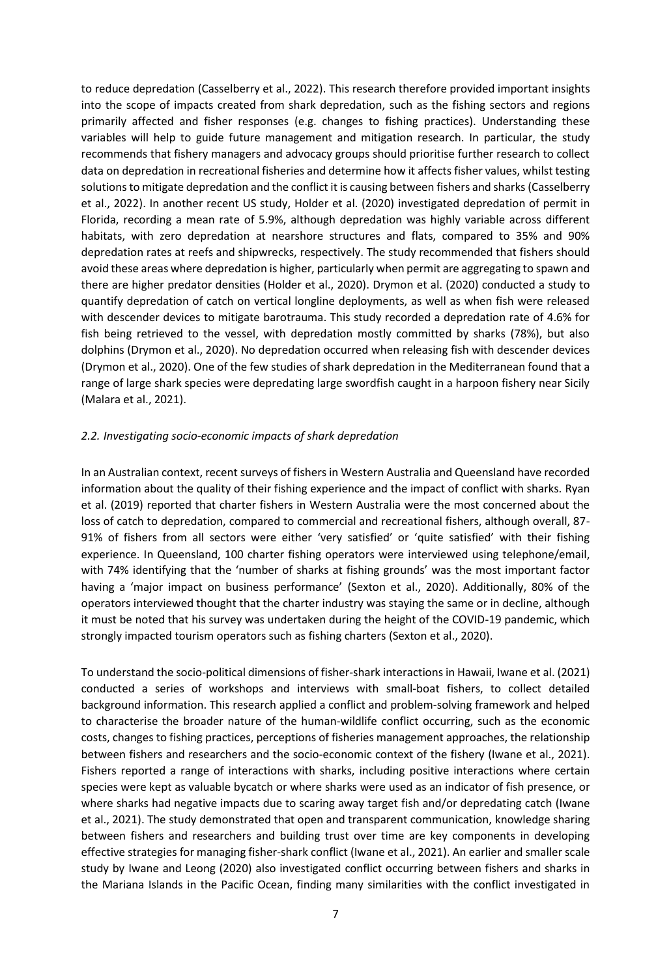to reduce depredation (Casselberry et al., 2022). This research therefore provided important insights into the scope of impacts created from shark depredation, such as the fishing sectors and regions primarily affected and fisher responses (e.g. changes to fishing practices). Understanding these variables will help to guide future management and mitigation research. In particular, the study recommends that fishery managers and advocacy groups should prioritise further research to collect data on depredation in recreational fisheries and determine how it affects fisher values, whilst testing solutions to mitigate depredation and the conflict it is causing between fishers and sharks(Casselberry et al., 2022). In another recent US study, Holder et al. (2020) investigated depredation of permit in Florida, recording a mean rate of 5.9%, although depredation was highly variable across different habitats, with zero depredation at nearshore structures and flats, compared to 35% and 90% depredation rates at reefs and shipwrecks, respectively. The study recommended that fishers should avoid these areas where depredation is higher, particularly when permit are aggregating to spawn and there are higher predator densities (Holder et al., 2020). Drymon et al. (2020) conducted a study to quantify depredation of catch on vertical longline deployments, as well as when fish were released with descender devices to mitigate barotrauma. This study recorded a depredation rate of 4.6% for fish being retrieved to the vessel, with depredation mostly committed by sharks (78%), but also dolphins (Drymon et al., 2020). No depredation occurred when releasing fish with descender devices (Drymon et al., 2020). One of the few studies of shark depredation in the Mediterranean found that a range of large shark species were depredating large swordfish caught in a harpoon fishery near Sicily (Malara et al., 2021).

#### <span id="page-9-0"></span>*2.2. Investigating socio-economic impacts of shark depredation*

In an Australian context, recent surveys of fishers in Western Australia and Queensland have recorded information about the quality of their fishing experience and the impact of conflict with sharks. Ryan et al. (2019) reported that charter fishers in Western Australia were the most concerned about the loss of catch to depredation, compared to commercial and recreational fishers, although overall, 87- 91% of fishers from all sectors were either 'very satisfied' or 'quite satisfied' with their fishing experience. In Queensland, 100 charter fishing operators were interviewed using telephone/email, with 74% identifying that the 'number of sharks at fishing grounds' was the most important factor having a 'major impact on business performance' (Sexton et al., 2020). Additionally, 80% of the operators interviewed thought that the charter industry was staying the same or in decline, although it must be noted that his survey was undertaken during the height of the COVID-19 pandemic, which strongly impacted tourism operators such as fishing charters (Sexton et al., 2020).

To understand the socio-political dimensions of fisher-shark interactions in Hawaii, Iwane et al. (2021) conducted a series of workshops and interviews with small-boat fishers, to collect detailed background information. This research applied a conflict and problem-solving framework and helped to characterise the broader nature of the human-wildlife conflict occurring, such as the economic costs, changes to fishing practices, perceptions of fisheries management approaches, the relationship between fishers and researchers and the socio-economic context of the fishery (Iwane et al., 2021). Fishers reported a range of interactions with sharks, including positive interactions where certain species were kept as valuable bycatch or where sharks were used as an indicator of fish presence, or where sharks had negative impacts due to scaring away target fish and/or depredating catch (Iwane et al., 2021). The study demonstrated that open and transparent communication, knowledge sharing between fishers and researchers and building trust over time are key components in developing effective strategies for managing fisher-shark conflict (Iwane et al., 2021). An earlier and smaller scale study by Iwane and Leong (2020) also investigated conflict occurring between fishers and sharks in the Mariana Islands in the Pacific Ocean, finding many similarities with the conflict investigated in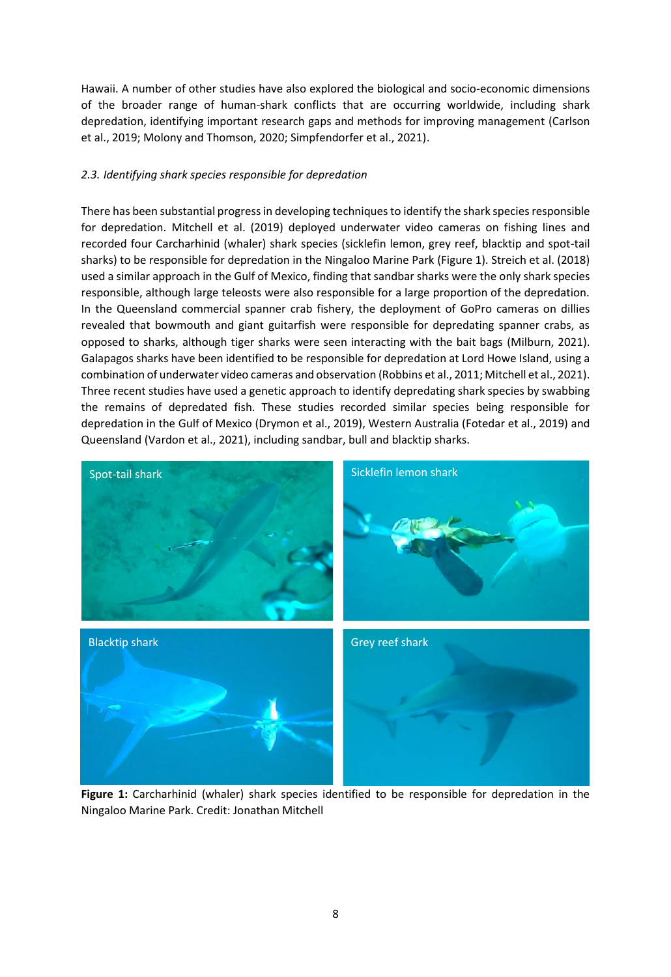Hawaii. A number of other studies have also explored the biological and socio-economic dimensions of the broader range of human-shark conflicts that are occurring worldwide, including shark depredation, identifying important research gaps and methods for improving management (Carlson et al., 2019; Molony and Thomson, 2020; Simpfendorfer et al., 2021).

# <span id="page-10-0"></span>*2.3. Identifying shark species responsible for depredation*

There has been substantial progress in developing techniques to identify the shark species responsible for depredation. Mitchell et al. (2019) deployed underwater video cameras on fishing lines and recorded four Carcharhinid (whaler) shark species (sicklefin lemon, grey reef, blacktip and spot-tail sharks) to be responsible for depredation in the Ningaloo Marine Park (Figure 1). Streich et al. (2018) used a similar approach in the Gulf of Mexico, finding that sandbar sharks were the only shark species responsible, although large teleosts were also responsible for a large proportion of the depredation. In the Queensland commercial spanner crab fishery, the deployment of GoPro cameras on dillies revealed that bowmouth and giant guitarfish were responsible for depredating spanner crabs, as opposed to sharks, although tiger sharks were seen interacting with the bait bags (Milburn, 2021). Galapagos sharks have been identified to be responsible for depredation at Lord Howe Island, using a combination of underwater video cameras and observation (Robbins et al., 2011; Mitchell et al., 2021). Three recent studies have used a genetic approach to identify depredating shark species by swabbing the remains of depredated fish. These studies recorded similar species being responsible for depredation in the Gulf of Mexico (Drymon et al., 2019), Western Australia (Fotedar et al., 2019) and Queensland (Vardon et al., 2021), including sandbar, bull and blacktip sharks.



**Figure 1:** Carcharhinid (whaler) shark species identified to be responsible for depredation in the Ningaloo Marine Park. Credit: Jonathan Mitchell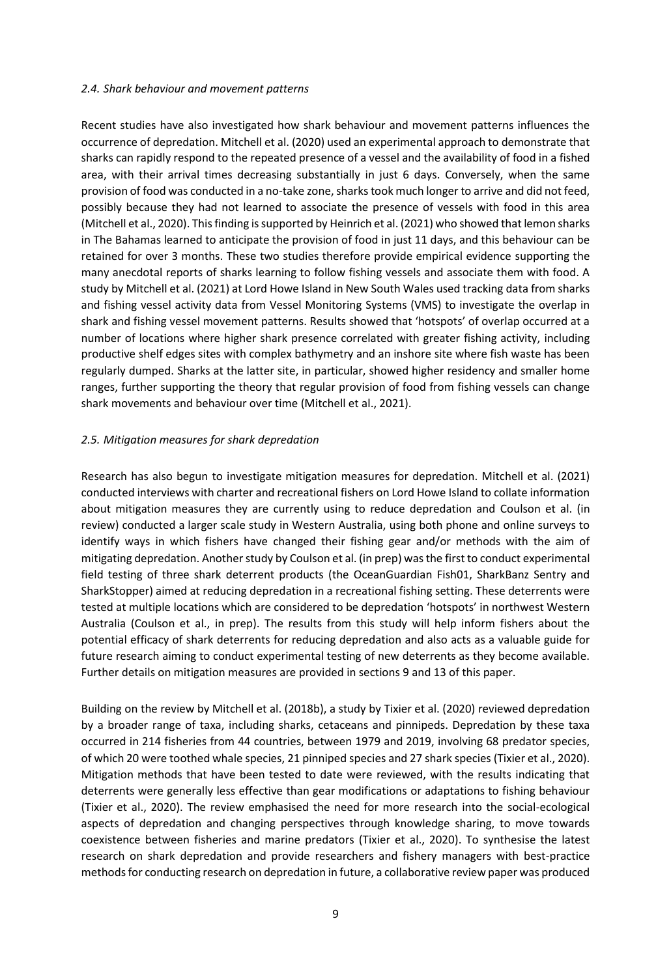#### <span id="page-11-0"></span>*2.4. Shark behaviour and movement patterns*

Recent studies have also investigated how shark behaviour and movement patterns influences the occurrence of depredation. Mitchell et al. (2020) used an experimental approach to demonstrate that sharks can rapidly respond to the repeated presence of a vessel and the availability of food in a fished area, with their arrival times decreasing substantially in just 6 days. Conversely, when the same provision of food was conducted in a no-take zone, sharks took much longer to arrive and did not feed, possibly because they had not learned to associate the presence of vessels with food in this area (Mitchell et al., 2020). This finding is supported by Heinrich et al. (2021) who showed that lemon sharks in The Bahamas learned to anticipate the provision of food in just 11 days, and this behaviour can be retained for over 3 months. These two studies therefore provide empirical evidence supporting the many anecdotal reports of sharks learning to follow fishing vessels and associate them with food. A study by Mitchell et al. (2021) at Lord Howe Island in New South Wales used tracking data from sharks and fishing vessel activity data from Vessel Monitoring Systems (VMS) to investigate the overlap in shark and fishing vessel movement patterns. Results showed that 'hotspots' of overlap occurred at a number of locations where higher shark presence correlated with greater fishing activity, including productive shelf edges sites with complex bathymetry and an inshore site where fish waste has been regularly dumped. Sharks at the latter site, in particular, showed higher residency and smaller home ranges, further supporting the theory that regular provision of food from fishing vessels can change shark movements and behaviour over time (Mitchell et al., 2021).

#### <span id="page-11-1"></span>*2.5. Mitigation measures for shark depredation*

Research has also begun to investigate mitigation measures for depredation. Mitchell et al. (2021) conducted interviews with charter and recreational fishers on Lord Howe Island to collate information about mitigation measures they are currently using to reduce depredation and Coulson et al. (in review) conducted a larger scale study in Western Australia, using both phone and online surveys to identify ways in which fishers have changed their fishing gear and/or methods with the aim of mitigating depredation. Another study by Coulson et al. (in prep) was the first to conduct experimental field testing of three shark deterrent products (the OceanGuardian Fish01, SharkBanz Sentry and SharkStopper) aimed at reducing depredation in a recreational fishing setting. These deterrents were tested at multiple locations which are considered to be depredation 'hotspots' in northwest Western Australia (Coulson et al., in prep). The results from this study will help inform fishers about the potential efficacy of shark deterrents for reducing depredation and also acts as a valuable guide for future research aiming to conduct experimental testing of new deterrents as they become available. Further details on mitigation measures are provided in sections 9 and 13 of this paper.

Building on the review by Mitchell et al. (2018b), a study by Tixier et al. (2020) reviewed depredation by a broader range of taxa, including sharks, cetaceans and pinnipeds. Depredation by these taxa occurred in 214 fisheries from 44 countries, between 1979 and 2019, involving 68 predator species, of which 20 were toothed whale species, 21 pinniped species and 27 shark species (Tixier et al., 2020). Mitigation methods that have been tested to date were reviewed, with the results indicating that deterrents were generally less effective than gear modifications or adaptations to fishing behaviour (Tixier et al., 2020). The review emphasised the need for more research into the social-ecological aspects of depredation and changing perspectives through knowledge sharing, to move towards coexistence between fisheries and marine predators (Tixier et al., 2020). To synthesise the latest research on shark depredation and provide researchers and fishery managers with best-practice methods for conducting research on depredation in future, a collaborative review paper was produced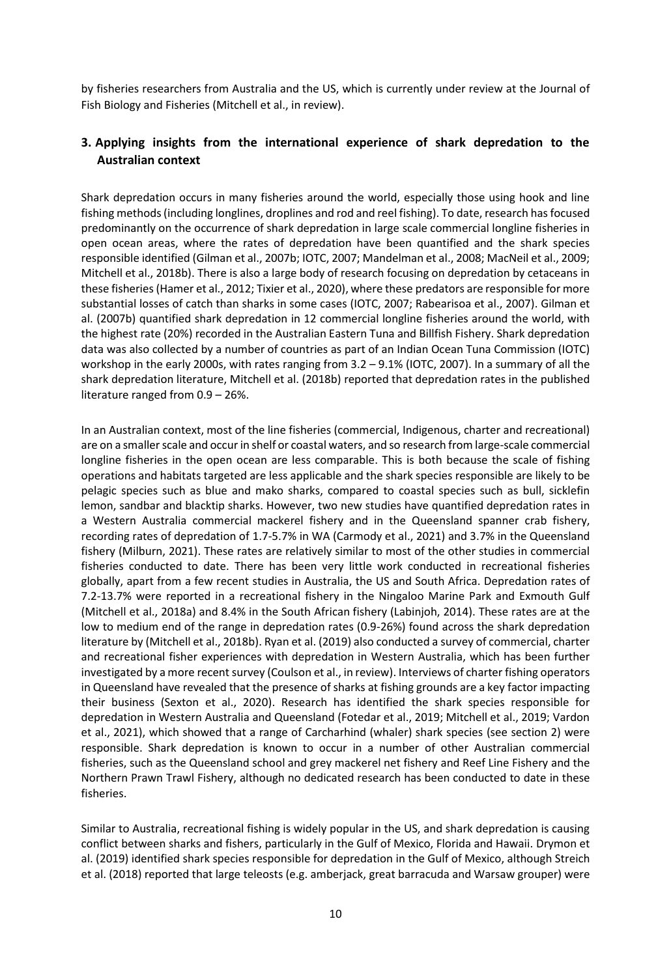by fisheries researchers from Australia and the US, which is currently under review at the Journal of Fish Biology and Fisheries (Mitchell et al., in review).

# <span id="page-12-0"></span>**3. Applying insights from the international experience of shark depredation to the Australian context**

Shark depredation occurs in many fisheries around the world, especially those using hook and line fishing methods (including longlines, droplines and rod and reel fishing). To date, research has focused predominantly on the occurrence of shark depredation in large scale commercial longline fisheries in open ocean areas, where the rates of depredation have been quantified and the shark species responsible identified (Gilman et al., 2007b; IOTC, 2007; Mandelman et al., 2008; MacNeil et al., 2009; Mitchell et al., 2018b). There is also a large body of research focusing on depredation by cetaceans in these fisheries(Hamer et al., 2012; Tixier et al., 2020), where these predators are responsible for more substantial losses of catch than sharks in some cases (IOTC, 2007; Rabearisoa et al., 2007). Gilman et al. (2007b) quantified shark depredation in 12 commercial longline fisheries around the world, with the highest rate (20%) recorded in the Australian Eastern Tuna and Billfish Fishery. Shark depredation data was also collected by a number of countries as part of an Indian Ocean Tuna Commission (IOTC) workshop in the early 2000s, with rates ranging from 3.2 – 9.1% (IOTC, 2007). In a summary of all the shark depredation literature, Mitchell et al. (2018b) reported that depredation rates in the published literature ranged from 0.9 – 26%.

In an Australian context, most of the line fisheries (commercial, Indigenous, charter and recreational) are on a smaller scale and occur in shelf or coastal waters, and so research from large-scale commercial longline fisheries in the open ocean are less comparable. This is both because the scale of fishing operations and habitats targeted are less applicable and the shark species responsible are likely to be pelagic species such as blue and mako sharks, compared to coastal species such as bull, sicklefin lemon, sandbar and blacktip sharks. However, two new studies have quantified depredation rates in a Western Australia commercial mackerel fishery and in the Queensland spanner crab fishery, recording rates of depredation of 1.7-5.7% in WA (Carmody et al., 2021) and 3.7% in the Queensland fishery (Milburn, 2021). These rates are relatively similar to most of the other studies in commercial fisheries conducted to date. There has been very little work conducted in recreational fisheries globally, apart from a few recent studies in Australia, the US and South Africa. Depredation rates of 7.2-13.7% were reported in a recreational fishery in the Ningaloo Marine Park and Exmouth Gulf (Mitchell et al., 2018a) and 8.4% in the South African fishery (Labinjoh, 2014). These rates are at the low to medium end of the range in depredation rates (0.9-26%) found across the shark depredation literature by (Mitchell et al., 2018b). Ryan et al. (2019) also conducted a survey of commercial, charter and recreational fisher experiences with depredation in Western Australia, which has been further investigated by a more recent survey (Coulson et al., in review). Interviews of charter fishing operators in Queensland have revealed that the presence of sharks at fishing grounds are a key factor impacting their business (Sexton et al., 2020). Research has identified the shark species responsible for depredation in Western Australia and Queensland (Fotedar et al., 2019; Mitchell et al., 2019; Vardon et al., 2021), which showed that a range of Carcharhind (whaler) shark species (see section 2) were responsible. Shark depredation is known to occur in a number of other Australian commercial fisheries, such as the Queensland school and grey mackerel net fishery and Reef Line Fishery and the Northern Prawn Trawl Fishery, although no dedicated research has been conducted to date in these fisheries.

Similar to Australia, recreational fishing is widely popular in the US, and shark depredation is causing conflict between sharks and fishers, particularly in the Gulf of Mexico, Florida and Hawaii. Drymon et al. (2019) identified shark species responsible for depredation in the Gulf of Mexico, although Streich et al. (2018) reported that large teleosts (e.g. amberjack, great barracuda and Warsaw grouper) were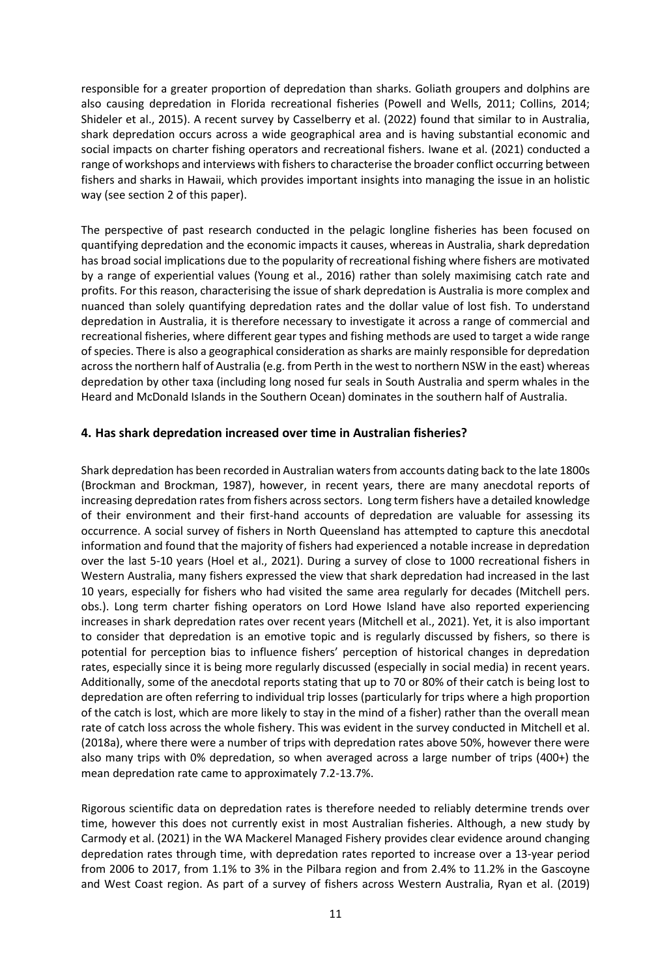responsible for a greater proportion of depredation than sharks. Goliath groupers and dolphins are also causing depredation in Florida recreational fisheries (Powell and Wells, 2011; Collins, 2014; Shideler et al., 2015). A recent survey by Casselberry et al. (2022) found that similar to in Australia, shark depredation occurs across a wide geographical area and is having substantial economic and social impacts on charter fishing operators and recreational fishers. Iwane et al. (2021) conducted a range of workshops and interviews with fishers to characterise the broader conflict occurring between fishers and sharks in Hawaii, which provides important insights into managing the issue in an holistic way (see section 2 of this paper).

The perspective of past research conducted in the pelagic longline fisheries has been focused on quantifying depredation and the economic impacts it causes, whereas in Australia, shark depredation has broad social implications due to the popularity of recreational fishing where fishers are motivated by a range of experiential values (Young et al., 2016) rather than solely maximising catch rate and profits. For this reason, characterising the issue of shark depredation is Australia is more complex and nuanced than solely quantifying depredation rates and the dollar value of lost fish. To understand depredation in Australia, it is therefore necessary to investigate it across a range of commercial and recreational fisheries, where different gear types and fishing methods are used to target a wide range of species. There is also a geographical consideration as sharks are mainly responsible for depredation across the northern half of Australia (e.g. from Perth in the west to northern NSW in the east) whereas depredation by other taxa (including long nosed fur seals in South Australia and sperm whales in the Heard and McDonald Islands in the Southern Ocean) dominates in the southern half of Australia.

# <span id="page-13-0"></span>**4. Has shark depredation increased over time in Australian fisheries?**

Shark depredation has been recorded in Australian waters from accounts dating back to the late 1800s (Brockman and Brockman, 1987), however, in recent years, there are many anecdotal reports of increasing depredation rates from fishers across sectors. Long term fishers have a detailed knowledge of their environment and their first-hand accounts of depredation are valuable for assessing its occurrence. A social survey of fishers in North Queensland has attempted to capture this anecdotal information and found that the majority of fishers had experienced a notable increase in depredation over the last 5-10 years (Hoel et al., 2021). During a survey of close to 1000 recreational fishers in Western Australia, many fishers expressed the view that shark depredation had increased in the last 10 years, especially for fishers who had visited the same area regularly for decades (Mitchell pers. obs.). Long term charter fishing operators on Lord Howe Island have also reported experiencing increases in shark depredation rates over recent years (Mitchell et al., 2021). Yet, it is also important to consider that depredation is an emotive topic and is regularly discussed by fishers, so there is potential for perception bias to influence fishers' perception of historical changes in depredation rates, especially since it is being more regularly discussed (especially in social media) in recent years. Additionally, some of the anecdotal reports stating that up to 70 or 80% of their catch is being lost to depredation are often referring to individual trip losses (particularly for trips where a high proportion of the catch is lost, which are more likely to stay in the mind of a fisher) rather than the overall mean rate of catch loss across the whole fishery. This was evident in the survey conducted in Mitchell et al. (2018a), where there were a number of trips with depredation rates above 50%, however there were also many trips with 0% depredation, so when averaged across a large number of trips (400+) the mean depredation rate came to approximately 7.2-13.7%.

Rigorous scientific data on depredation rates is therefore needed to reliably determine trends over time, however this does not currently exist in most Australian fisheries. Although, a new study by Carmody et al. (2021) in the WA Mackerel Managed Fishery provides clear evidence around changing depredation rates through time, with depredation rates reported to increase over a 13-year period from 2006 to 2017, from 1.1% to 3% in the Pilbara region and from 2.4% to 11.2% in the Gascoyne and West Coast region. As part of a survey of fishers across Western Australia, Ryan et al. (2019)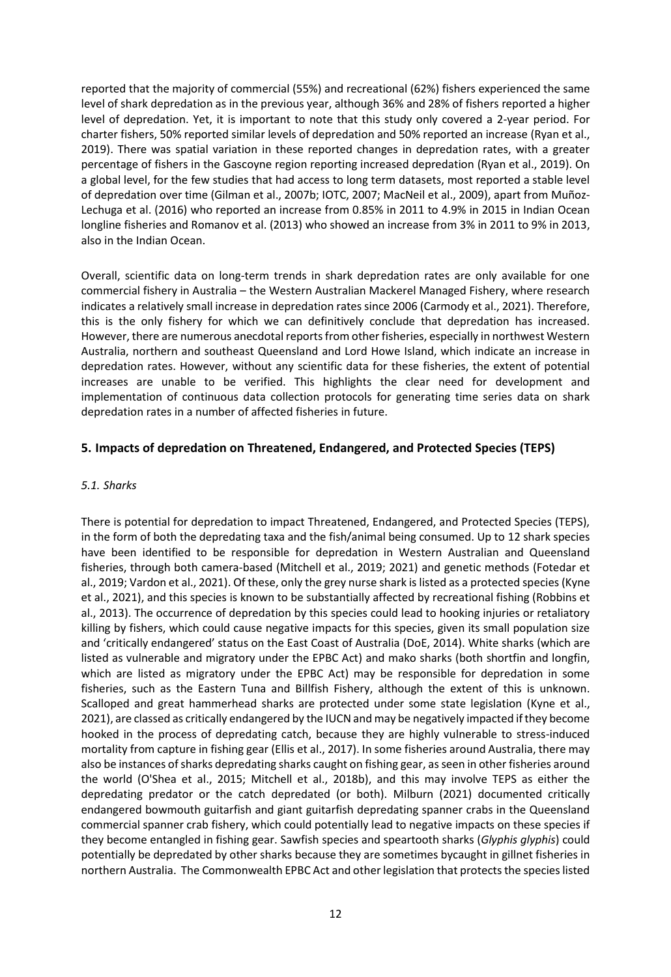reported that the majority of commercial (55%) and recreational (62%) fishers experienced the same level of shark depredation as in the previous year, although 36% and 28% of fishers reported a higher level of depredation. Yet, it is important to note that this study only covered a 2-year period. For charter fishers, 50% reported similar levels of depredation and 50% reported an increase (Ryan et al., 2019). There was spatial variation in these reported changes in depredation rates, with a greater percentage of fishers in the Gascoyne region reporting increased depredation (Ryan et al., 2019). On a global level, for the few studies that had access to long term datasets, most reported a stable level of depredation over time (Gilman et al., 2007b; IOTC, 2007; MacNeil et al., 2009), apart from Muñoz-Lechuga et al. (2016) who reported an increase from 0.85% in 2011 to 4.9% in 2015 in Indian Ocean longline fisheries and Romanov et al. (2013) who showed an increase from 3% in 2011 to 9% in 2013, also in the Indian Ocean.

Overall, scientific data on long-term trends in shark depredation rates are only available for one commercial fishery in Australia – the Western Australian Mackerel Managed Fishery, where research indicates a relatively small increase in depredation rates since 2006 (Carmody et al., 2021). Therefore, this is the only fishery for which we can definitively conclude that depredation has increased. However, there are numerous anecdotal reports from other fisheries, especially in northwest Western Australia, northern and southeast Queensland and Lord Howe Island, which indicate an increase in depredation rates. However, without any scientific data for these fisheries, the extent of potential increases are unable to be verified. This highlights the clear need for development and implementation of continuous data collection protocols for generating time series data on shark depredation rates in a number of affected fisheries in future.

# <span id="page-14-0"></span>**5. Impacts of depredation on Threatened, Endangered, and Protected Species (TEPS)**

#### <span id="page-14-1"></span>*5.1. Sharks*

There is potential for depredation to impact Threatened, Endangered, and Protected Species (TEPS), in the form of both the depredating taxa and the fish/animal being consumed. Up to 12 shark species have been identified to be responsible for depredation in Western Australian and Queensland fisheries, through both camera-based (Mitchell et al., 2019; 2021) and genetic methods (Fotedar et al., 2019; Vardon et al., 2021). Of these, only the grey nurse shark is listed as a protected species (Kyne et al., 2021), and this species is known to be substantially affected by recreational fishing (Robbins et al., 2013). The occurrence of depredation by this species could lead to hooking injuries or retaliatory killing by fishers, which could cause negative impacts for this species, given its small population size and 'critically endangered' status on the East Coast of Australia (DoE, 2014). White sharks (which are listed as vulnerable and migratory under the EPBC Act) and mako sharks (both shortfin and longfin, which are listed as migratory under the EPBC Act) may be responsible for depredation in some fisheries, such as the Eastern Tuna and Billfish Fishery, although the extent of this is unknown. Scalloped and great hammerhead sharks are protected under some state legislation (Kyne et al., 2021), are classed as critically endangered by the IUCN and may be negatively impacted if they become hooked in the process of depredating catch, because they are highly vulnerable to stress-induced mortality from capture in fishing gear (Ellis et al., 2017). In some fisheries around Australia, there may also be instances of sharks depredating sharks caught on fishing gear, as seen in other fisheries around the world (O'Shea et al., 2015; Mitchell et al., 2018b), and this may involve TEPS as either the depredating predator or the catch depredated (or both). Milburn (2021) documented critically endangered bowmouth guitarfish and giant guitarfish depredating spanner crabs in the Queensland commercial spanner crab fishery, which could potentially lead to negative impacts on these species if they become entangled in fishing gear. Sawfish species and speartooth sharks (*Glyphis glyphis*) could potentially be depredated by other sharks because they are sometimes bycaught in gillnet fisheries in northern Australia. The Commonwealth EPBC Act and other legislation that protects the species listed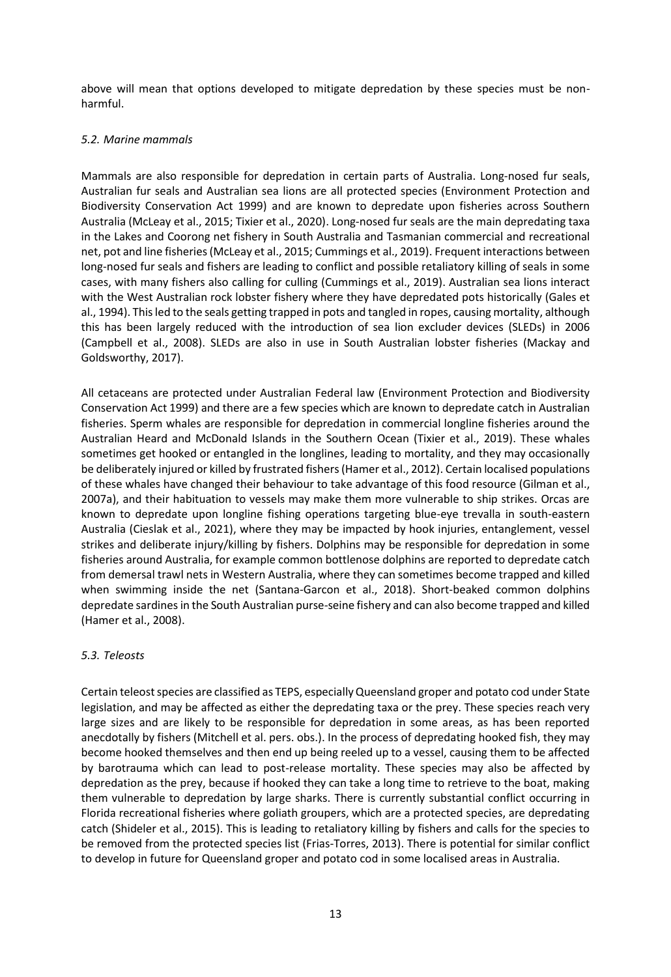above will mean that options developed to mitigate depredation by these species must be nonharmful.

#### <span id="page-15-0"></span>*5.2. Marine mammals*

Mammals are also responsible for depredation in certain parts of Australia. Long-nosed fur seals, Australian fur seals and Australian sea lions are all protected species (Environment Protection and Biodiversity Conservation Act 1999) and are known to depredate upon fisheries across Southern Australia (McLeay et al., 2015; Tixier et al., 2020). Long-nosed fur seals are the main depredating taxa in the Lakes and Coorong net fishery in South Australia and Tasmanian commercial and recreational net, pot and line fisheries(McLeay et al., 2015; Cummings et al., 2019). Frequent interactions between long-nosed fur seals and fishers are leading to conflict and possible retaliatory killing of seals in some cases, with many fishers also calling for culling (Cummings et al., 2019). Australian sea lions interact with the West Australian rock lobster fishery where they have depredated pots historically (Gales et al., 1994). This led to the seals getting trapped in pots and tangled in ropes, causing mortality, although this has been largely reduced with the introduction of sea lion excluder devices (SLEDs) in 2006 (Campbell et al., 2008). SLEDs are also in use in South Australian lobster fisheries (Mackay and Goldsworthy, 2017).

All cetaceans are protected under Australian Federal law (Environment Protection and Biodiversity Conservation Act 1999) and there are a few species which are known to depredate catch in Australian fisheries. Sperm whales are responsible for depredation in commercial longline fisheries around the Australian Heard and McDonald Islands in the Southern Ocean (Tixier et al., 2019). These whales sometimes get hooked or entangled in the longlines, leading to mortality, and they may occasionally be deliberately injured or killed by frustrated fishers(Hamer et al., 2012). Certain localised populations of these whales have changed their behaviour to take advantage of this food resource (Gilman et al., 2007a), and their habituation to vessels may make them more vulnerable to ship strikes. Orcas are known to depredate upon longline fishing operations targeting blue-eye trevalla in south-eastern Australia (Cieslak et al., 2021), where they may be impacted by hook injuries, entanglement, vessel strikes and deliberate injury/killing by fishers. Dolphins may be responsible for depredation in some fisheries around Australia, for example common bottlenose dolphins are reported to depredate catch from demersal trawl nets in Western Australia, where they can sometimes become trapped and killed when swimming inside the net (Santana-Garcon et al., 2018). Short-beaked common dolphins depredate sardines in the South Australian purse-seine fishery and can also become trapped and killed (Hamer et al., 2008).

#### <span id="page-15-1"></span>*5.3. Teleosts*

Certain teleost species are classified as TEPS, especially Queensland groper and potato cod under State legislation, and may be affected as either the depredating taxa or the prey. These species reach very large sizes and are likely to be responsible for depredation in some areas, as has been reported anecdotally by fishers (Mitchell et al. pers. obs.). In the process of depredating hooked fish, they may become hooked themselves and then end up being reeled up to a vessel, causing them to be affected by barotrauma which can lead to post-release mortality. These species may also be affected by depredation as the prey, because if hooked they can take a long time to retrieve to the boat, making them vulnerable to depredation by large sharks. There is currently substantial conflict occurring in Florida recreational fisheries where goliath groupers, which are a protected species, are depredating catch (Shideler et al., 2015). This is leading to retaliatory killing by fishers and calls for the species to be removed from the protected species list (Frias-Torres, 2013). There is potential for similar conflict to develop in future for Queensland groper and potato cod in some localised areas in Australia.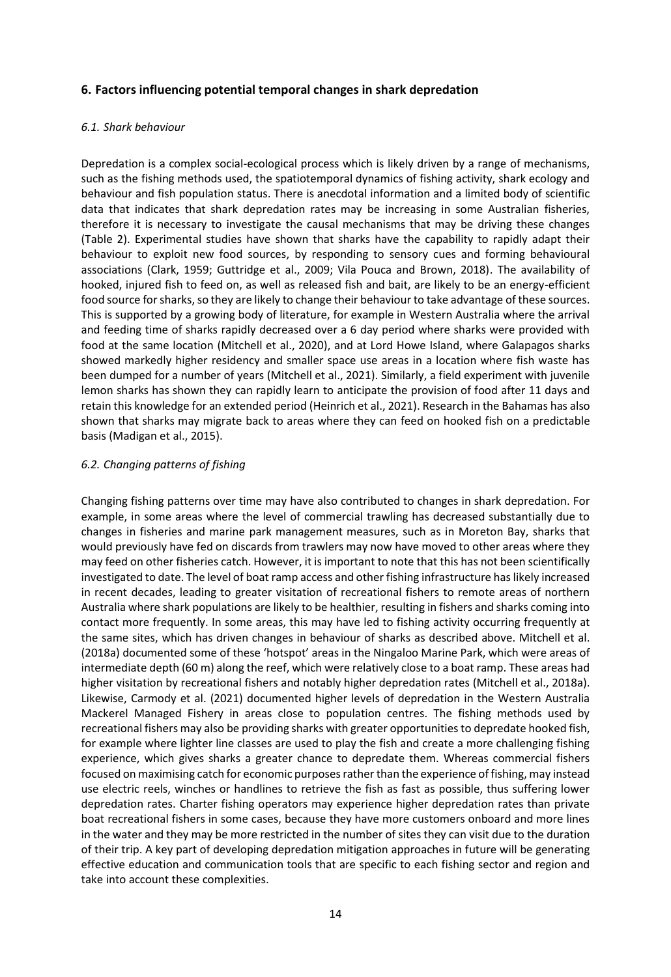# <span id="page-16-0"></span>**6. Factors influencing potential temporal changes in shark depredation**

#### <span id="page-16-1"></span>*6.1. Shark behaviour*

Depredation is a complex social-ecological process which is likely driven by a range of mechanisms, such as the fishing methods used, the spatiotemporal dynamics of fishing activity, shark ecology and behaviour and fish population status. There is anecdotal information and a limited body of scientific data that indicates that shark depredation rates may be increasing in some Australian fisheries, therefore it is necessary to investigate the causal mechanisms that may be driving these changes (Table 2). Experimental studies have shown that sharks have the capability to rapidly adapt their behaviour to exploit new food sources, by responding to sensory cues and forming behavioural associations (Clark, 1959; Guttridge et al., 2009; Vila Pouca and Brown, 2018). The availability of hooked, injured fish to feed on, as well as released fish and bait, are likely to be an energy-efficient food source for sharks, so they are likely to change their behaviour to take advantage of these sources. This is supported by a growing body of literature, for example in Western Australia where the arrival and feeding time of sharks rapidly decreased over a 6 day period where sharks were provided with food at the same location (Mitchell et al., 2020), and at Lord Howe Island, where Galapagos sharks showed markedly higher residency and smaller space use areas in a location where fish waste has been dumped for a number of years (Mitchell et al., 2021). Similarly, a field experiment with juvenile lemon sharks has shown they can rapidly learn to anticipate the provision of food after 11 days and retain this knowledge for an extended period (Heinrich et al., 2021). Research in the Bahamas has also shown that sharks may migrate back to areas where they can feed on hooked fish on a predictable basis (Madigan et al., 2015).

#### <span id="page-16-2"></span>*6.2. Changing patterns of fishing*

Changing fishing patterns over time may have also contributed to changes in shark depredation. For example, in some areas where the level of commercial trawling has decreased substantially due to changes in fisheries and marine park management measures, such as in Moreton Bay, sharks that would previously have fed on discards from trawlers may now have moved to other areas where they may feed on other fisheries catch. However, it is important to note that this has not been scientifically investigated to date. The level of boat ramp access and other fishing infrastructure has likely increased in recent decades, leading to greater visitation of recreational fishers to remote areas of northern Australia where shark populations are likely to be healthier, resulting in fishers and sharks coming into contact more frequently. In some areas, this may have led to fishing activity occurring frequently at the same sites, which has driven changes in behaviour of sharks as described above. Mitchell et al. (2018a) documented some of these 'hotspot' areas in the Ningaloo Marine Park, which were areas of intermediate depth (60 m) along the reef, which were relatively close to a boat ramp. These areas had higher visitation by recreational fishers and notably higher depredation rates (Mitchell et al., 2018a). Likewise, Carmody et al. (2021) documented higher levels of depredation in the Western Australia Mackerel Managed Fishery in areas close to population centres. The fishing methods used by recreational fishers may also be providing sharks with greater opportunities to depredate hooked fish, for example where lighter line classes are used to play the fish and create a more challenging fishing experience, which gives sharks a greater chance to depredate them. Whereas commercial fishers focused on maximising catch for economic purposes rather than the experience of fishing, may instead use electric reels, winches or handlines to retrieve the fish as fast as possible, thus suffering lower depredation rates. Charter fishing operators may experience higher depredation rates than private boat recreational fishers in some cases, because they have more customers onboard and more lines in the water and they may be more restricted in the number of sites they can visit due to the duration of their trip. A key part of developing depredation mitigation approaches in future will be generating effective education and communication tools that are specific to each fishing sector and region and take into account these complexities.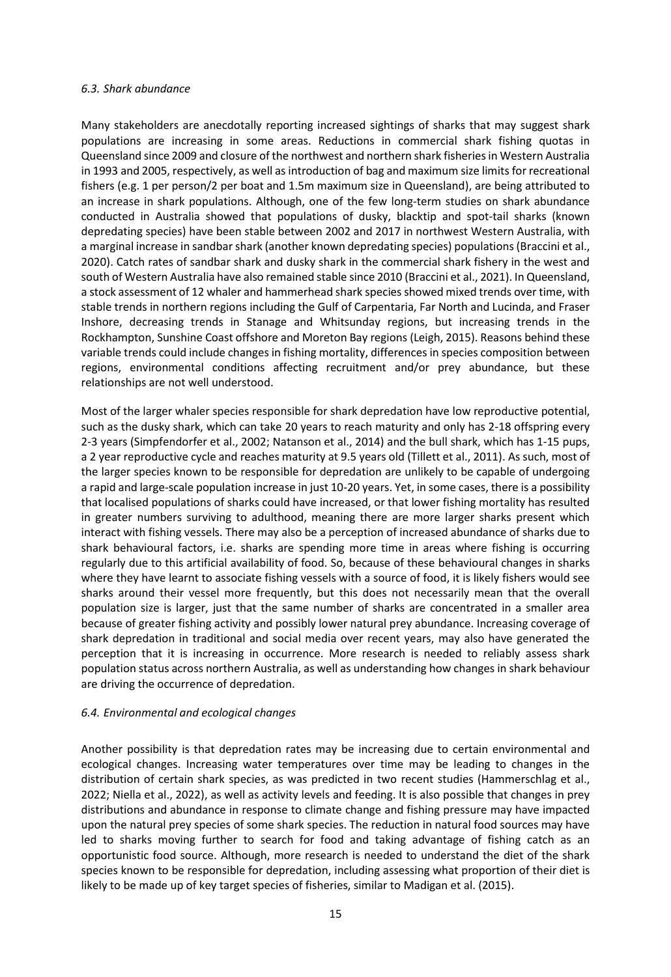#### <span id="page-17-0"></span>*6.3. Shark abundance*

Many stakeholders are anecdotally reporting increased sightings of sharks that may suggest shark populations are increasing in some areas. Reductions in commercial shark fishing quotas in Queensland since 2009 and closure of the northwest and northern shark fisheriesin Western Australia in 1993 and 2005, respectively, as well as introduction of bag and maximum size limits for recreational fishers (e.g. 1 per person/2 per boat and 1.5m maximum size in Queensland), are being attributed to an increase in shark populations. Although, one of the few long-term studies on shark abundance conducted in Australia showed that populations of dusky, blacktip and spot-tail sharks (known depredating species) have been stable between 2002 and 2017 in northwest Western Australia, with a marginal increase in sandbar shark (another known depredating species) populations (Braccini et al., 2020). Catch rates of sandbar shark and dusky shark in the commercial shark fishery in the west and south of Western Australia have also remained stable since 2010 (Braccini et al., 2021). In Queensland, a stock assessment of 12 whaler and hammerhead shark species showed mixed trends over time, with stable trends in northern regions including the Gulf of Carpentaria, Far North and Lucinda, and Fraser Inshore, decreasing trends in Stanage and Whitsunday regions, but increasing trends in the Rockhampton, Sunshine Coast offshore and Moreton Bay regions (Leigh, 2015). Reasons behind these variable trends could include changes in fishing mortality, differences in species composition between regions, environmental conditions affecting recruitment and/or prey abundance, but these relationships are not well understood.

Most of the larger whaler species responsible for shark depredation have low reproductive potential, such as the dusky shark, which can take 20 years to reach maturity and only has 2-18 offspring every 2-3 years (Simpfendorfer et al., 2002; Natanson et al., 2014) and the bull shark, which has 1-15 pups, a 2 year reproductive cycle and reaches maturity at 9.5 years old (Tillett et al., 2011). As such, most of the larger species known to be responsible for depredation are unlikely to be capable of undergoing a rapid and large-scale population increase in just 10-20 years. Yet, in some cases, there is a possibility that localised populations of sharks could have increased, or that lower fishing mortality has resulted in greater numbers surviving to adulthood, meaning there are more larger sharks present which interact with fishing vessels. There may also be a perception of increased abundance of sharks due to shark behavioural factors, i.e. sharks are spending more time in areas where fishing is occurring regularly due to this artificial availability of food. So, because of these behavioural changes in sharks where they have learnt to associate fishing vessels with a source of food, it is likely fishers would see sharks around their vessel more frequently, but this does not necessarily mean that the overall population size is larger, just that the same number of sharks are concentrated in a smaller area because of greater fishing activity and possibly lower natural prey abundance. Increasing coverage of shark depredation in traditional and social media over recent years, may also have generated the perception that it is increasing in occurrence. More research is needed to reliably assess shark population status across northern Australia, as well as understanding how changes in shark behaviour are driving the occurrence of depredation.

#### <span id="page-17-1"></span>*6.4. Environmental and ecological changes*

Another possibility is that depredation rates may be increasing due to certain environmental and ecological changes. Increasing water temperatures over time may be leading to changes in the distribution of certain shark species, as was predicted in two recent studies (Hammerschlag et al., 2022; Niella et al., 2022), as well as activity levels and feeding. It is also possible that changes in prey distributions and abundance in response to climate change and fishing pressure may have impacted upon the natural prey species of some shark species. The reduction in natural food sources may have led to sharks moving further to search for food and taking advantage of fishing catch as an opportunistic food source. Although, more research is needed to understand the diet of the shark species known to be responsible for depredation, including assessing what proportion of their diet is likely to be made up of key target species of fisheries, similar to Madigan et al. (2015).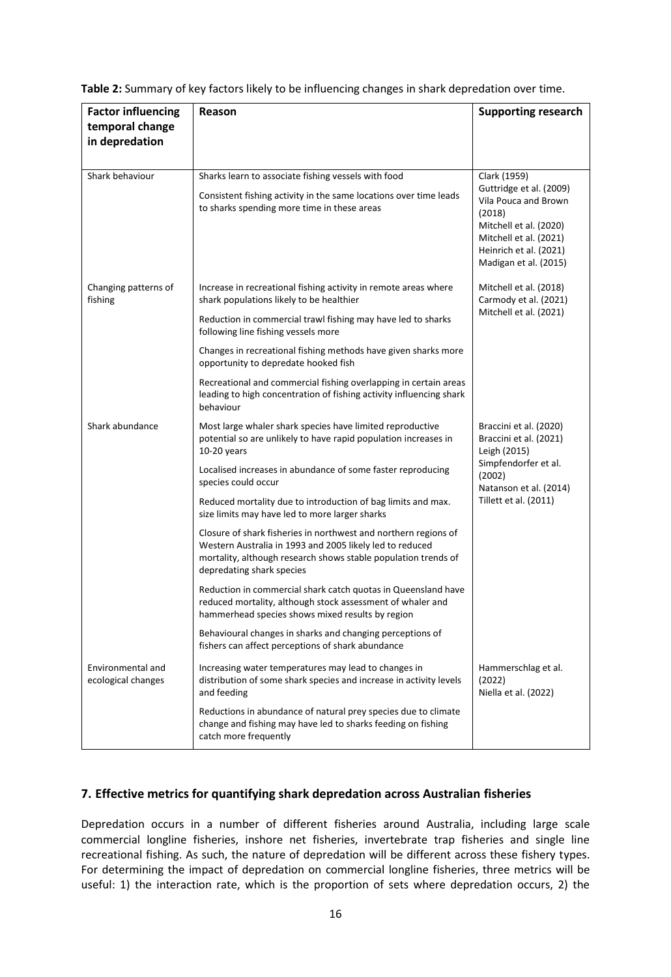| <b>Factor influencing</b>               | Reason                                                                                                                                                                                                                     | <b>Supporting research</b>                                                                                                                                       |
|-----------------------------------------|----------------------------------------------------------------------------------------------------------------------------------------------------------------------------------------------------------------------------|------------------------------------------------------------------------------------------------------------------------------------------------------------------|
| temporal change<br>in depredation       |                                                                                                                                                                                                                            |                                                                                                                                                                  |
|                                         |                                                                                                                                                                                                                            |                                                                                                                                                                  |
| Shark behaviour                         | Sharks learn to associate fishing vessels with food                                                                                                                                                                        | Clark (1959)                                                                                                                                                     |
|                                         | Consistent fishing activity in the same locations over time leads<br>to sharks spending more time in these areas                                                                                                           | Guttridge et al. (2009)<br>Vila Pouca and Brown<br>(2018)<br>Mitchell et al. (2020)<br>Mitchell et al. (2021)<br>Heinrich et al. (2021)<br>Madigan et al. (2015) |
| Changing patterns of<br>fishing         | Increase in recreational fishing activity in remote areas where<br>shark populations likely to be healthier                                                                                                                | Mitchell et al. (2018)<br>Carmody et al. (2021)                                                                                                                  |
|                                         | Reduction in commercial trawl fishing may have led to sharks<br>following line fishing vessels more                                                                                                                        | Mitchell et al. (2021)                                                                                                                                           |
|                                         | Changes in recreational fishing methods have given sharks more<br>opportunity to depredate hooked fish                                                                                                                     |                                                                                                                                                                  |
|                                         | Recreational and commercial fishing overlapping in certain areas<br>leading to high concentration of fishing activity influencing shark<br>behaviour                                                                       |                                                                                                                                                                  |
| Shark abundance                         | Most large whaler shark species have limited reproductive<br>potential so are unlikely to have rapid population increases in<br>$10-20$ years                                                                              | Braccini et al. (2020)<br>Braccini et al. (2021)<br>Leigh (2015)                                                                                                 |
|                                         | Localised increases in abundance of some faster reproducing<br>species could occur                                                                                                                                         | Simpfendorfer et al.<br>(2002)<br>Natanson et al. (2014)                                                                                                         |
|                                         | Reduced mortality due to introduction of bag limits and max.<br>size limits may have led to more larger sharks                                                                                                             | Tillett et al. (2011)                                                                                                                                            |
|                                         | Closure of shark fisheries in northwest and northern regions of<br>Western Australia in 1993 and 2005 likely led to reduced<br>mortality, although research shows stable population trends of<br>depredating shark species |                                                                                                                                                                  |
|                                         | Reduction in commercial shark catch quotas in Queensland have<br>reduced mortality, although stock assessment of whaler and<br>hammerhead species shows mixed results by region                                            |                                                                                                                                                                  |
|                                         | Behavioural changes in sharks and changing perceptions of<br>fishers can affect perceptions of shark abundance                                                                                                             |                                                                                                                                                                  |
| Environmental and<br>ecological changes | Increasing water temperatures may lead to changes in<br>distribution of some shark species and increase in activity levels<br>and feeding                                                                                  | Hammerschlag et al.<br>(2022)<br>Niella et al. (2022)                                                                                                            |
|                                         | Reductions in abundance of natural prey species due to climate<br>change and fishing may have led to sharks feeding on fishing<br>catch more frequently                                                                    |                                                                                                                                                                  |

**Table 2:** Summary of key factors likely to be influencing changes in shark depredation over time.

#### <span id="page-18-0"></span>**7. Effective metrics for quantifying shark depredation across Australian fisheries**

Depredation occurs in a number of different fisheries around Australia, including large scale commercial longline fisheries, inshore net fisheries, invertebrate trap fisheries and single line recreational fishing. As such, the nature of depredation will be different across these fishery types. For determining the impact of depredation on commercial longline fisheries, three metrics will be useful: 1) the interaction rate, which is the proportion of sets where depredation occurs, 2) the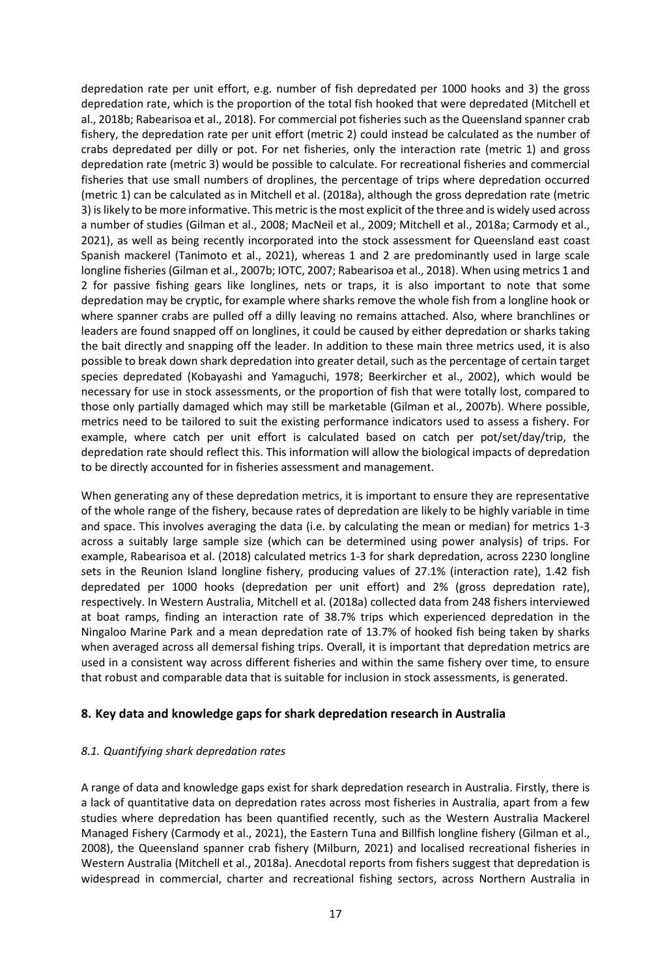depredation rate per unit effort, e.g. number of fish depredated per 1000 hooks and 3) the gross depredation rate, which is the proportion of the total fish hooked that were depredated (Mitchell et al., 2018b; Rabearisoa et al., 2018). For commercial pot fisheries such as the Queensland spanner crab fishery, the depredation rate per unit effort (metric 2) could instead be calculated as the number of crabs depredated per dilly or pot. For net fisheries, only the interaction rate (metric 1) and gross depredation rate (metric 3) would be possible to calculate. For recreational fisheries and commercial fisheries that use small numbers of droplines, the percentage of trips where depredation occurred (metric 1) can be calculated as in Mitchell et al. (2018a), although the gross depredation rate (metric 3) is likely to be more informative. This metric is the most explicit of the three and is widely used across a number of studies (Gilman et al., 2008; MacNeil et al., 2009; Mitchell et al., 2018a; Carmody et al., 2021), as well as being recently incorporated into the stock assessment for Queensland east coast Spanish mackerel (Tanimoto et al., 2021), whereas 1 and 2 are predominantly used in large scale longline fisheries (Gilman et al., 2007b; IOTC, 2007; Rabearisoa et al., 2018). When using metrics 1 and 2 for passive fishing gears like longlines, nets or traps, it is also important to note that some depredation may be cryptic, for example where sharks remove the whole fish from a longline hook or where spanner crabs are pulled off a dilly leaving no remains attached. Also, where branchlines or leaders are found snapped off on longlines, it could be caused by either depredation or sharks taking the bait directly and snapping off the leader. In addition to these main three metrics used, it is also possible to break down shark depredation into greater detail, such as the percentage of certain target species depredated (Kobayashi and Yamaguchi, 1978; Beerkircher et al., 2002), which would be necessary for use in stock assessments, or the proportion of fish that were totally lost, compared to those only partially damaged which may still be marketable (Gilman et al., 2007b). Where possible, metrics need to be tailored to suit the existing performance indicators used to assess a fishery. For example, where catch per unit effort is calculated based on catch per pot/set/day/trip, the depredation rate should reflect this. This information will allow the biological impacts of depredation to be directly accounted for in fisheries assessment and management.

When generating any of these depredation metrics, it is important to ensure they are representative of the whole range of the fishery, because rates of depredation are likely to be highly variable in time and space. This involves averaging the data (i.e. by calculating the mean or median) for metrics 1-3 across a suitably large sample size (which can be determined using power analysis) of trips. For example, Rabearisoa et al. (2018) calculated metrics 1-3 for shark depredation, across 2230 longline sets in the Reunion Island longline fishery, producing values of 27.1% (interaction rate), 1.42 fish depredated per 1000 hooks (depredation per unit effort) and 2% (gross depredation rate), respectively. In Western Australia, Mitchell et al. (2018a) collected data from 248 fishers interviewed at boat ramps, finding an interaction rate of 38.7% trips which experienced depredation in the Ningaloo Marine Park and a mean depredation rate of 13.7% of hooked fish being taken by sharks when averaged across all demersal fishing trips. Overall, it is important that depredation metrics are used in a consistent way across different fisheries and within the same fishery over time, to ensure that robust and comparable data that is suitable for inclusion in stock assessments, is generated.

# <span id="page-19-0"></span>**8. Key data and knowledge gaps for shark depredation research in Australia**

#### <span id="page-19-1"></span>*8.1. Quantifying shark depredation rates*

A range of data and knowledge gaps exist for shark depredation research in Australia. Firstly, there is a lack of quantitative data on depredation rates across most fisheries in Australia, apart from a few studies where depredation has been quantified recently, such as the Western Australia Mackerel Managed Fishery (Carmody et al., 2021), the Eastern Tuna and Billfish longline fishery (Gilman et al., 2008), the Queensland spanner crab fishery (Milburn, 2021) and localised recreational fisheries in Western Australia (Mitchell et al., 2018a). Anecdotal reports from fishers suggest that depredation is widespread in commercial, charter and recreational fishing sectors, across Northern Australia in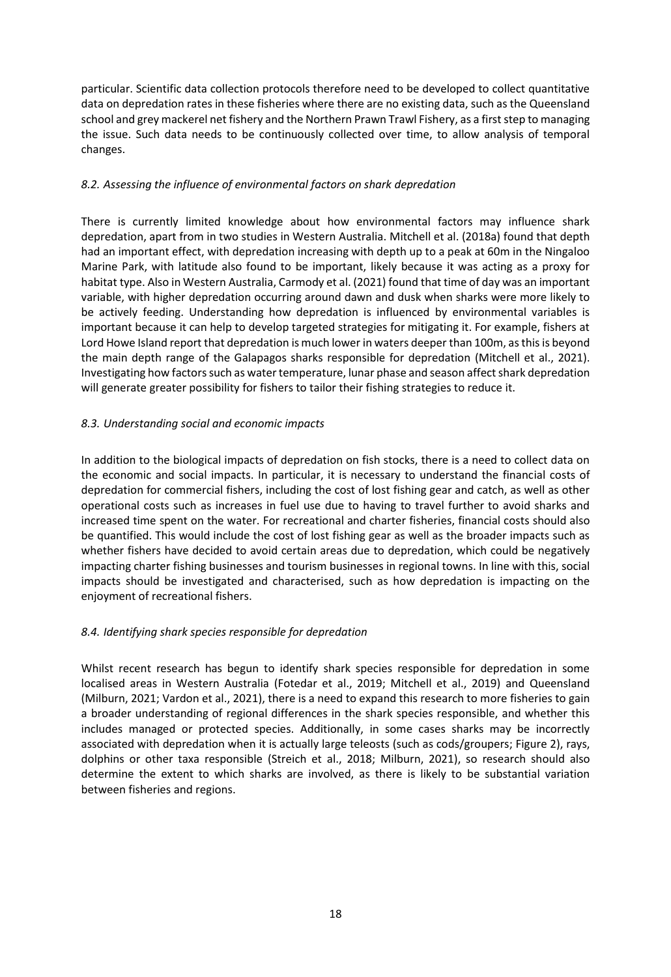particular. Scientific data collection protocols therefore need to be developed to collect quantitative data on depredation rates in these fisheries where there are no existing data, such as the Queensland school and grey mackerel net fishery and the Northern Prawn Trawl Fishery, as a first step to managing the issue. Such data needs to be continuously collected over time, to allow analysis of temporal changes.

# <span id="page-20-0"></span>*8.2. Assessing the influence of environmental factors on shark depredation*

There is currently limited knowledge about how environmental factors may influence shark depredation, apart from in two studies in Western Australia. Mitchell et al. (2018a) found that depth had an important effect, with depredation increasing with depth up to a peak at 60m in the Ningaloo Marine Park, with latitude also found to be important, likely because it was acting as a proxy for habitat type. Also in Western Australia, Carmody et al. (2021) found that time of day was an important variable, with higher depredation occurring around dawn and dusk when sharks were more likely to be actively feeding. Understanding how depredation is influenced by environmental variables is important because it can help to develop targeted strategies for mitigating it. For example, fishers at Lord Howe Island report that depredation is much lower in waters deeper than 100m, as this is beyond the main depth range of the Galapagos sharks responsible for depredation (Mitchell et al., 2021). Investigating how factors such as water temperature, lunar phase and season affect shark depredation will generate greater possibility for fishers to tailor their fishing strategies to reduce it.

# <span id="page-20-1"></span>*8.3. Understanding social and economic impacts*

In addition to the biological impacts of depredation on fish stocks, there is a need to collect data on the economic and social impacts. In particular, it is necessary to understand the financial costs of depredation for commercial fishers, including the cost of lost fishing gear and catch, as well as other operational costs such as increases in fuel use due to having to travel further to avoid sharks and increased time spent on the water. For recreational and charter fisheries, financial costs should also be quantified. This would include the cost of lost fishing gear as well as the broader impacts such as whether fishers have decided to avoid certain areas due to depredation, which could be negatively impacting charter fishing businesses and tourism businesses in regional towns. In line with this, social impacts should be investigated and characterised, such as how depredation is impacting on the enjoyment of recreational fishers.

# <span id="page-20-2"></span>*8.4. Identifying shark species responsible for depredation*

Whilst recent research has begun to identify shark species responsible for depredation in some localised areas in Western Australia (Fotedar et al., 2019; Mitchell et al., 2019) and Queensland (Milburn, 2021; Vardon et al., 2021), there is a need to expand this research to more fisheries to gain a broader understanding of regional differences in the shark species responsible, and whether this includes managed or protected species. Additionally, in some cases sharks may be incorrectly associated with depredation when it is actually large teleosts (such as cods/groupers; Figure 2), rays, dolphins or other taxa responsible (Streich et al., 2018; Milburn, 2021), so research should also determine the extent to which sharks are involved, as there is likely to be substantial variation between fisheries and regions.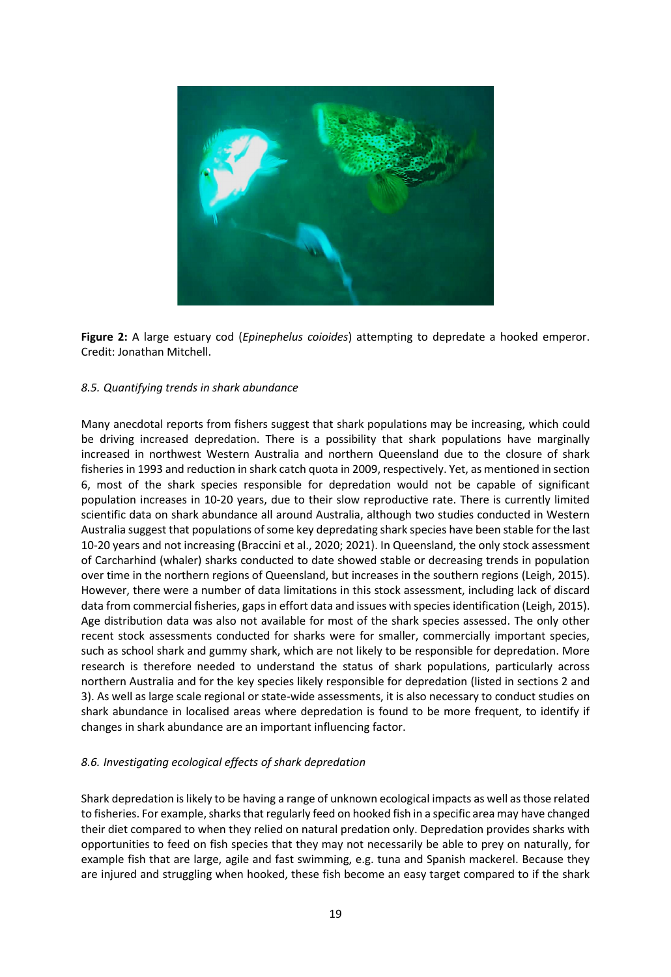

**Figure 2:** A large estuary cod (*Epinephelus coioides*) attempting to depredate a hooked emperor. Credit: Jonathan Mitchell.

#### <span id="page-21-0"></span>*8.5. Quantifying trends in shark abundance*

Many anecdotal reports from fishers suggest that shark populations may be increasing, which could be driving increased depredation. There is a possibility that shark populations have marginally increased in northwest Western Australia and northern Queensland due to the closure of shark fisheries in 1993 and reduction in shark catch quota in 2009, respectively. Yet, as mentioned in section 6, most of the shark species responsible for depredation would not be capable of significant population increases in 10-20 years, due to their slow reproductive rate. There is currently limited scientific data on shark abundance all around Australia, although two studies conducted in Western Australia suggest that populations of some key depredating shark species have been stable for the last 10-20 years and not increasing (Braccini et al., 2020; 2021). In Queensland, the only stock assessment of Carcharhind (whaler) sharks conducted to date showed stable or decreasing trends in population over time in the northern regions of Queensland, but increases in the southern regions (Leigh, 2015). However, there were a number of data limitations in this stock assessment, including lack of discard data from commercial fisheries, gaps in effort data and issues with species identification (Leigh, 2015). Age distribution data was also not available for most of the shark species assessed. The only other recent stock assessments conducted for sharks were for smaller, commercially important species, such as school shark and gummy shark, which are not likely to be responsible for depredation. More research is therefore needed to understand the status of shark populations, particularly across northern Australia and for the key species likely responsible for depredation (listed in sections 2 and 3). As well as large scale regional or state-wide assessments, it is also necessary to conduct studies on shark abundance in localised areas where depredation is found to be more frequent, to identify if changes in shark abundance are an important influencing factor.

#### <span id="page-21-1"></span>*8.6. Investigating ecological effects of shark depredation*

Shark depredation is likely to be having a range of unknown ecological impacts as well as those related to fisheries. For example, sharks that regularly feed on hooked fish in a specific area may have changed their diet compared to when they relied on natural predation only. Depredation provides sharks with opportunities to feed on fish species that they may not necessarily be able to prey on naturally, for example fish that are large, agile and fast swimming, e.g. tuna and Spanish mackerel. Because they are injured and struggling when hooked, these fish become an easy target compared to if the shark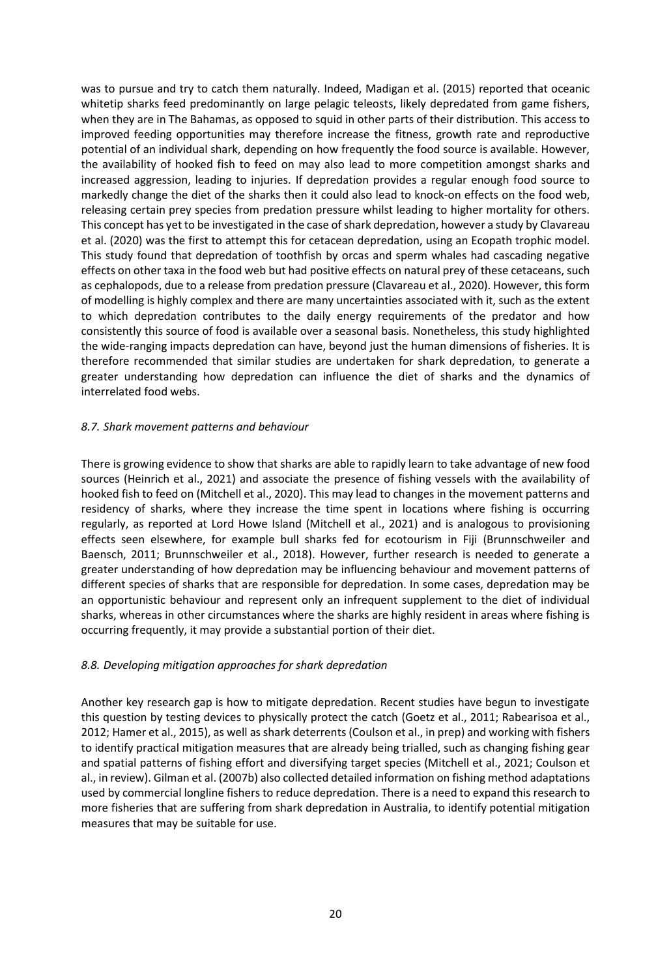was to pursue and try to catch them naturally. Indeed, Madigan et al. (2015) reported that oceanic whitetip sharks feed predominantly on large pelagic teleosts, likely depredated from game fishers, when they are in The Bahamas, as opposed to squid in other parts of their distribution. This access to improved feeding opportunities may therefore increase the fitness, growth rate and reproductive potential of an individual shark, depending on how frequently the food source is available. However, the availability of hooked fish to feed on may also lead to more competition amongst sharks and increased aggression, leading to injuries. If depredation provides a regular enough food source to markedly change the diet of the sharks then it could also lead to knock-on effects on the food web, releasing certain prey species from predation pressure whilst leading to higher mortality for others. This concept has yet to be investigated in the case of shark depredation, however a study by Clavareau et al. (2020) was the first to attempt this for cetacean depredation, using an Ecopath trophic model. This study found that depredation of toothfish by orcas and sperm whales had cascading negative effects on other taxa in the food web but had positive effects on natural prey of these cetaceans, such as cephalopods, due to a release from predation pressure (Clavareau et al., 2020). However, this form of modelling is highly complex and there are many uncertainties associated with it, such as the extent to which depredation contributes to the daily energy requirements of the predator and how consistently this source of food is available over a seasonal basis. Nonetheless, this study highlighted the wide-ranging impacts depredation can have, beyond just the human dimensions of fisheries. It is therefore recommended that similar studies are undertaken for shark depredation, to generate a greater understanding how depredation can influence the diet of sharks and the dynamics of interrelated food webs.

#### <span id="page-22-0"></span>*8.7. Shark movement patterns and behaviour*

There is growing evidence to show that sharks are able to rapidly learn to take advantage of new food sources (Heinrich et al., 2021) and associate the presence of fishing vessels with the availability of hooked fish to feed on (Mitchell et al., 2020). This may lead to changes in the movement patterns and residency of sharks, where they increase the time spent in locations where fishing is occurring regularly, as reported at Lord Howe Island (Mitchell et al., 2021) and is analogous to provisioning effects seen elsewhere, for example bull sharks fed for ecotourism in Fiji (Brunnschweiler and Baensch, 2011; Brunnschweiler et al., 2018). However, further research is needed to generate a greater understanding of how depredation may be influencing behaviour and movement patterns of different species of sharks that are responsible for depredation. In some cases, depredation may be an opportunistic behaviour and represent only an infrequent supplement to the diet of individual sharks, whereas in other circumstances where the sharks are highly resident in areas where fishing is occurring frequently, it may provide a substantial portion of their diet.

#### <span id="page-22-1"></span>*8.8. Developing mitigation approaches for shark depredation*

Another key research gap is how to mitigate depredation. Recent studies have begun to investigate this question by testing devices to physically protect the catch (Goetz et al., 2011; Rabearisoa et al., 2012; Hamer et al., 2015), as well as shark deterrents (Coulson et al., in prep) and working with fishers to identify practical mitigation measures that are already being trialled, such as changing fishing gear and spatial patterns of fishing effort and diversifying target species (Mitchell et al., 2021; Coulson et al., in review). Gilman et al. (2007b) also collected detailed information on fishing method adaptations used by commercial longline fishers to reduce depredation. There is a need to expand this research to more fisheries that are suffering from shark depredation in Australia, to identify potential mitigation measures that may be suitable for use.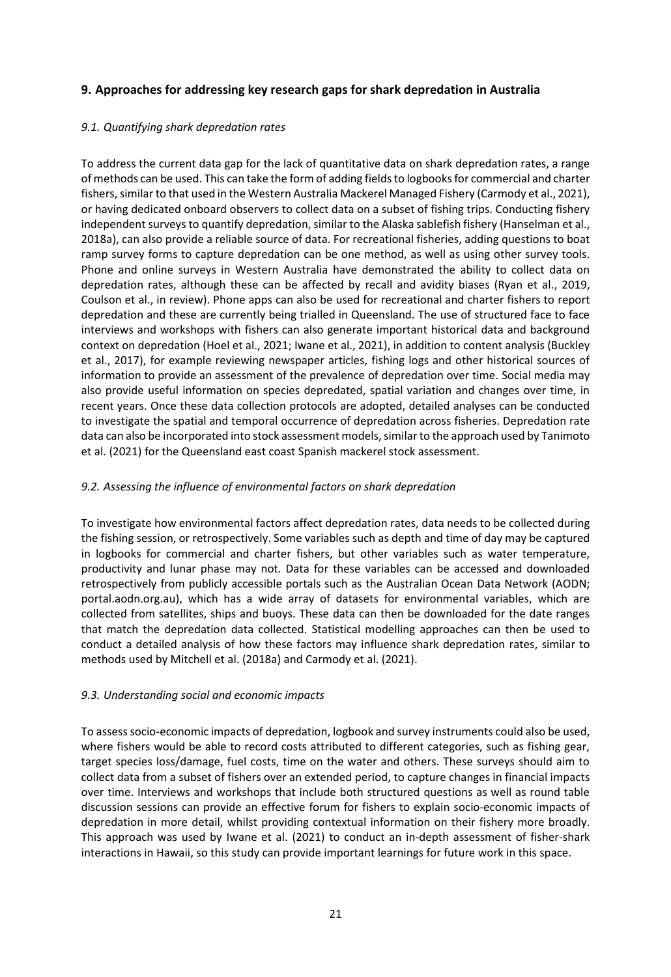# <span id="page-23-0"></span>**9. Approaches for addressing key research gaps for shark depredation in Australia**

# <span id="page-23-1"></span>*9.1. Quantifying shark depredation rates*

To address the current data gap for the lack of quantitative data on shark depredation rates, a range of methods can be used. This can take the form of adding fields to logbooks for commercial and charter fishers, similar to that used in the Western Australia Mackerel Managed Fishery (Carmody et al., 2021), or having dedicated onboard observers to collect data on a subset of fishing trips. Conducting fishery independent surveys to quantify depredation, similar to the Alaska sablefish fishery (Hanselman et al., 2018a), can also provide a reliable source of data. For recreational fisheries, adding questions to boat ramp survey forms to capture depredation can be one method, as well as using other survey tools. Phone and online surveys in Western Australia have demonstrated the ability to collect data on depredation rates, although these can be affected by recall and avidity biases (Ryan et al., 2019, Coulson et al., in review). Phone apps can also be used for recreational and charter fishers to report depredation and these are currently being trialled in Queensland. The use of structured face to face interviews and workshops with fishers can also generate important historical data and background context on depredation (Hoel et al., 2021; Iwane et al., 2021), in addition to content analysis (Buckley et al., 2017), for example reviewing newspaper articles, fishing logs and other historical sources of information to provide an assessment of the prevalence of depredation over time. Social media may also provide useful information on species depredated, spatial variation and changes over time, in recent years. Once these data collection protocols are adopted, detailed analyses can be conducted to investigate the spatial and temporal occurrence of depredation across fisheries. Depredation rate data can also be incorporated into stock assessment models, similar to the approach used by Tanimoto et al. (2021) for the Queensland east coast Spanish mackerel stock assessment.

#### <span id="page-23-2"></span>*9.2. Assessing the influence of environmental factors on shark depredation*

To investigate how environmental factors affect depredation rates, data needs to be collected during the fishing session, or retrospectively. Some variables such as depth and time of day may be captured in logbooks for commercial and charter fishers, but other variables such as water temperature, productivity and lunar phase may not. Data for these variables can be accessed and downloaded retrospectively from publicly accessible portals such as the Australian Ocean Data Network (AODN; portal.aodn.org.au), which has a wide array of datasets for environmental variables, which are collected from satellites, ships and buoys. These data can then be downloaded for the date ranges that match the depredation data collected. Statistical modelling approaches can then be used to conduct a detailed analysis of how these factors may influence shark depredation rates, similar to methods used by Mitchell et al. (2018a) and Carmody et al. (2021).

#### <span id="page-23-3"></span>*9.3. Understanding social and economic impacts*

To assess socio-economic impacts of depredation, logbook and survey instruments could also be used, where fishers would be able to record costs attributed to different categories, such as fishing gear, target species loss/damage, fuel costs, time on the water and others. These surveys should aim to collect data from a subset of fishers over an extended period, to capture changes in financial impacts over time. Interviews and workshops that include both structured questions as well as round table discussion sessions can provide an effective forum for fishers to explain socio-economic impacts of depredation in more detail, whilst providing contextual information on their fishery more broadly. This approach was used by Iwane et al. (2021) to conduct an in-depth assessment of fisher-shark interactions in Hawaii, so this study can provide important learnings for future work in this space.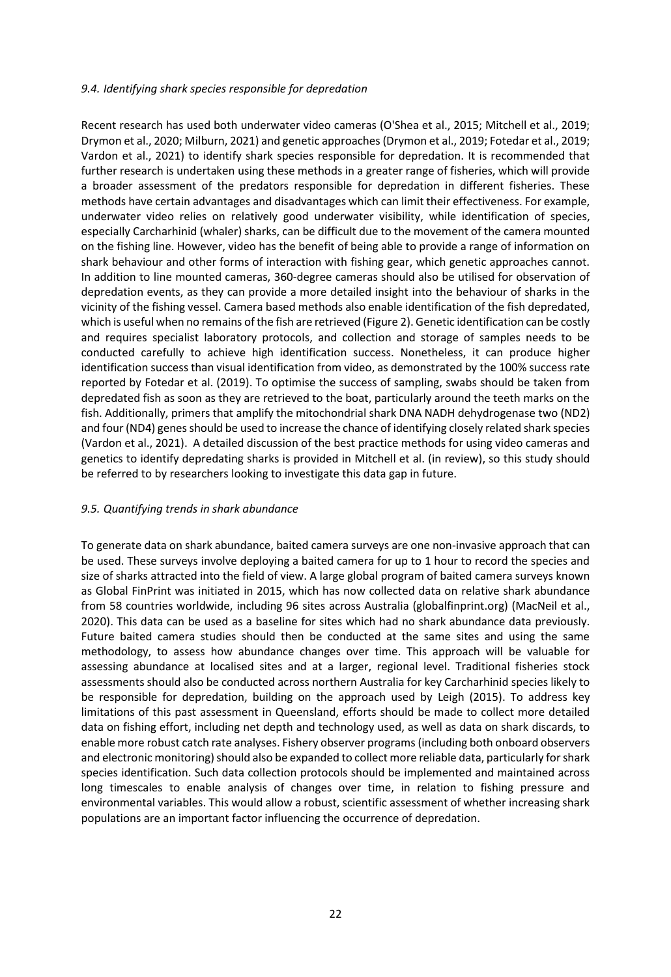#### <span id="page-24-0"></span>*9.4. Identifying shark species responsible for depredation*

Recent research has used both underwater video cameras (O'Shea et al., 2015; Mitchell et al., 2019; Drymon et al., 2020; Milburn, 2021) and genetic approaches (Drymon et al., 2019; Fotedar et al., 2019; Vardon et al., 2021) to identify shark species responsible for depredation. It is recommended that further research is undertaken using these methods in a greater range of fisheries, which will provide a broader assessment of the predators responsible for depredation in different fisheries. These methods have certain advantages and disadvantages which can limit their effectiveness. For example, underwater video relies on relatively good underwater visibility, while identification of species, especially Carcharhinid (whaler) sharks, can be difficult due to the movement of the camera mounted on the fishing line. However, video has the benefit of being able to provide a range of information on shark behaviour and other forms of interaction with fishing gear, which genetic approaches cannot. In addition to line mounted cameras, 360-degree cameras should also be utilised for observation of depredation events, as they can provide a more detailed insight into the behaviour of sharks in the vicinity of the fishing vessel. Camera based methods also enable identification of the fish depredated, which is useful when no remains of the fish are retrieved (Figure 2). Genetic identification can be costly and requires specialist laboratory protocols, and collection and storage of samples needs to be conducted carefully to achieve high identification success. Nonetheless, it can produce higher identification success than visual identification from video, as demonstrated by the 100% success rate reported by Fotedar et al. (2019). To optimise the success of sampling, swabs should be taken from depredated fish as soon as they are retrieved to the boat, particularly around the teeth marks on the fish. Additionally, primers that amplify the mitochondrial shark DNA NADH dehydrogenase two (ND2) and four (ND4) genes should be used to increase the chance of identifying closely related shark species (Vardon et al., 2021). A detailed discussion of the best practice methods for using video cameras and genetics to identify depredating sharks is provided in Mitchell et al. (in review), so this study should be referred to by researchers looking to investigate this data gap in future.

#### <span id="page-24-1"></span>*9.5. Quantifying trends in shark abundance*

To generate data on shark abundance, baited camera surveys are one non-invasive approach that can be used. These surveys involve deploying a baited camera for up to 1 hour to record the species and size of sharks attracted into the field of view. A large global program of baited camera surveys known as Global FinPrint was initiated in 2015, which has now collected data on relative shark abundance from 58 countries worldwide, including 96 sites across Australia (globalfinprint.org) (MacNeil et al., 2020). This data can be used as a baseline for sites which had no shark abundance data previously. Future baited camera studies should then be conducted at the same sites and using the same methodology, to assess how abundance changes over time. This approach will be valuable for assessing abundance at localised sites and at a larger, regional level. Traditional fisheries stock assessments should also be conducted across northern Australia for key Carcharhinid species likely to be responsible for depredation, building on the approach used by Leigh (2015). To address key limitations of this past assessment in Queensland, efforts should be made to collect more detailed data on fishing effort, including net depth and technology used, as well as data on shark discards, to enable more robust catch rate analyses. Fishery observer programs(including both onboard observers and electronic monitoring) should also be expanded to collect more reliable data, particularly for shark species identification. Such data collection protocols should be implemented and maintained across long timescales to enable analysis of changes over time, in relation to fishing pressure and environmental variables. This would allow a robust, scientific assessment of whether increasing shark populations are an important factor influencing the occurrence of depredation.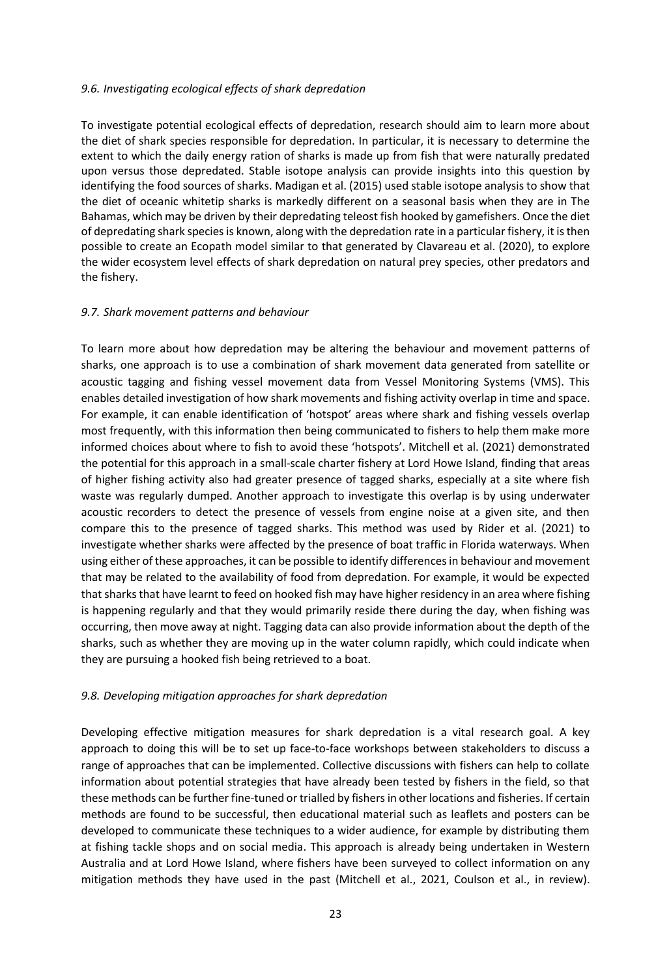#### <span id="page-25-0"></span>*9.6. Investigating ecological effects of shark depredation*

To investigate potential ecological effects of depredation, research should aim to learn more about the diet of shark species responsible for depredation. In particular, it is necessary to determine the extent to which the daily energy ration of sharks is made up from fish that were naturally predated upon versus those depredated. Stable isotope analysis can provide insights into this question by identifying the food sources of sharks. Madigan et al. (2015) used stable isotope analysis to show that the diet of oceanic whitetip sharks is markedly different on a seasonal basis when they are in The Bahamas, which may be driven by their depredating teleost fish hooked by gamefishers. Once the diet of depredating shark species is known, along with the depredation rate in a particular fishery, it is then possible to create an Ecopath model similar to that generated by Clavareau et al. (2020), to explore the wider ecosystem level effects of shark depredation on natural prey species, other predators and the fishery.

#### <span id="page-25-1"></span>*9.7. Shark movement patterns and behaviour*

To learn more about how depredation may be altering the behaviour and movement patterns of sharks, one approach is to use a combination of shark movement data generated from satellite or acoustic tagging and fishing vessel movement data from Vessel Monitoring Systems (VMS). This enables detailed investigation of how shark movements and fishing activity overlap in time and space. For example, it can enable identification of 'hotspot' areas where shark and fishing vessels overlap most frequently, with this information then being communicated to fishers to help them make more informed choices about where to fish to avoid these 'hotspots'. Mitchell et al. (2021) demonstrated the potential for this approach in a small-scale charter fishery at Lord Howe Island, finding that areas of higher fishing activity also had greater presence of tagged sharks, especially at a site where fish waste was regularly dumped. Another approach to investigate this overlap is by using underwater acoustic recorders to detect the presence of vessels from engine noise at a given site, and then compare this to the presence of tagged sharks. This method was used by Rider et al. (2021) to investigate whether sharks were affected by the presence of boat traffic in Florida waterways. When using either of these approaches, it can be possible to identify differences in behaviour and movement that may be related to the availability of food from depredation. For example, it would be expected that sharks that have learnt to feed on hooked fish may have higher residency in an area where fishing is happening regularly and that they would primarily reside there during the day, when fishing was occurring, then move away at night. Tagging data can also provide information about the depth of the sharks, such as whether they are moving up in the water column rapidly, which could indicate when they are pursuing a hooked fish being retrieved to a boat.

#### <span id="page-25-2"></span>*9.8. Developing mitigation approaches for shark depredation*

Developing effective mitigation measures for shark depredation is a vital research goal. A key approach to doing this will be to set up face-to-face workshops between stakeholders to discuss a range of approaches that can be implemented. Collective discussions with fishers can help to collate information about potential strategies that have already been tested by fishers in the field, so that these methods can be further fine-tuned or trialled by fishers in other locations and fisheries. If certain methods are found to be successful, then educational material such as leaflets and posters can be developed to communicate these techniques to a wider audience, for example by distributing them at fishing tackle shops and on social media. This approach is already being undertaken in Western Australia and at Lord Howe Island, where fishers have been surveyed to collect information on any mitigation methods they have used in the past (Mitchell et al., 2021, Coulson et al., in review).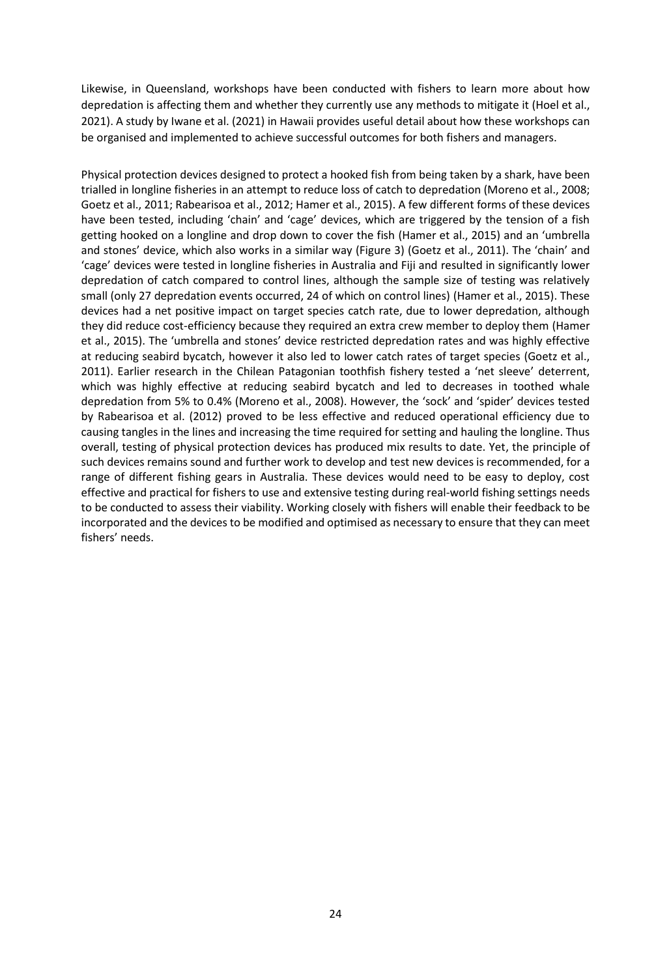Likewise, in Queensland, workshops have been conducted with fishers to learn more about how depredation is affecting them and whether they currently use any methods to mitigate it (Hoel et al., 2021). A study by Iwane et al. (2021) in Hawaii provides useful detail about how these workshops can be organised and implemented to achieve successful outcomes for both fishers and managers.

Physical protection devices designed to protect a hooked fish from being taken by a shark, have been trialled in longline fisheries in an attempt to reduce loss of catch to depredation (Moreno et al., 2008; Goetz et al., 2011; Rabearisoa et al., 2012; Hamer et al., 2015). A few different forms of these devices have been tested, including 'chain' and 'cage' devices, which are triggered by the tension of a fish getting hooked on a longline and drop down to cover the fish (Hamer et al., 2015) and an 'umbrella and stones' device, which also works in a similar way (Figure 3) (Goetz et al., 2011). The 'chain' and 'cage' devices were tested in longline fisheries in Australia and Fiji and resulted in significantly lower depredation of catch compared to control lines, although the sample size of testing was relatively small (only 27 depredation events occurred, 24 of which on control lines) (Hamer et al., 2015). These devices had a net positive impact on target species catch rate, due to lower depredation, although they did reduce cost-efficiency because they required an extra crew member to deploy them (Hamer et al., 2015). The 'umbrella and stones' device restricted depredation rates and was highly effective at reducing seabird bycatch, however it also led to lower catch rates of target species (Goetz et al., 2011). Earlier research in the Chilean Patagonian toothfish fishery tested a 'net sleeve' deterrent, which was highly effective at reducing seabird bycatch and led to decreases in toothed whale depredation from 5% to 0.4% (Moreno et al., 2008). However, the 'sock' and 'spider' devices tested by Rabearisoa et al. (2012) proved to be less effective and reduced operational efficiency due to causing tangles in the lines and increasing the time required for setting and hauling the longline. Thus overall, testing of physical protection devices has produced mix results to date. Yet, the principle of such devices remains sound and further work to develop and test new devices is recommended, for a range of different fishing gears in Australia. These devices would need to be easy to deploy, cost effective and practical for fishers to use and extensive testing during real-world fishing settings needs to be conducted to assess their viability. Working closely with fishers will enable their feedback to be incorporated and the devices to be modified and optimised as necessary to ensure that they can meet fishers' needs.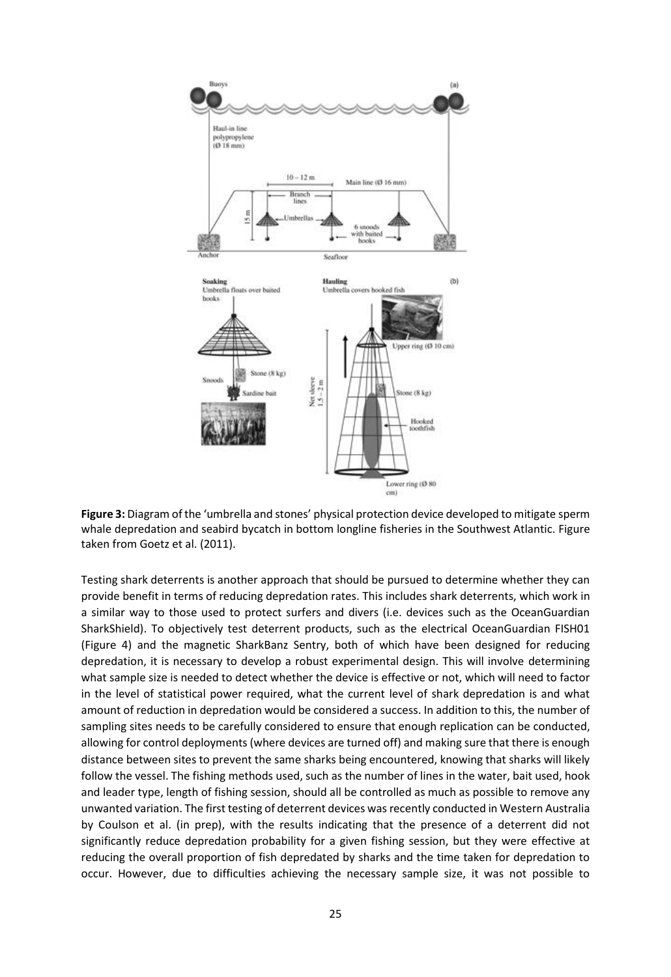

**Figure 3:** Diagram of the 'umbrella and stones' physical protection device developed to mitigate sperm whale depredation and seabird bycatch in bottom longline fisheries in the Southwest Atlantic. Figure taken from Goetz et al. (2011).

Testing shark deterrents is another approach that should be pursued to determine whether they can provide benefit in terms of reducing depredation rates. This includes shark deterrents, which work in a similar way to those used to protect surfers and divers (i.e. devices such as the OceanGuardian SharkShield). To objectively test deterrent products, such as the electrical OceanGuardian FISH01 (Figure 4) and the magnetic SharkBanz Sentry, both of which have been designed for reducing depredation, it is necessary to develop a robust experimental design. This will involve determining what sample size is needed to detect whether the device is effective or not, which will need to factor in the level of statistical power required, what the current level of shark depredation is and what amount of reduction in depredation would be considered a success. In addition to this, the number of sampling sites needs to be carefully considered to ensure that enough replication can be conducted, allowing for control deployments (where devices are turned off) and making sure that there is enough distance between sites to prevent the same sharks being encountered, knowing that sharks will likely follow the vessel. The fishing methods used, such as the number of lines in the water, bait used, hook and leader type, length of fishing session, should all be controlled as much as possible to remove any unwanted variation. The first testing of deterrent devices was recently conducted in Western Australia by Coulson et al. (in prep), with the results indicating that the presence of a deterrent did not significantly reduce depredation probability for a given fishing session, but they were effective at reducing the overall proportion of fish depredated by sharks and the time taken for depredation to occur. However, due to difficulties achieving the necessary sample size, it was not possible to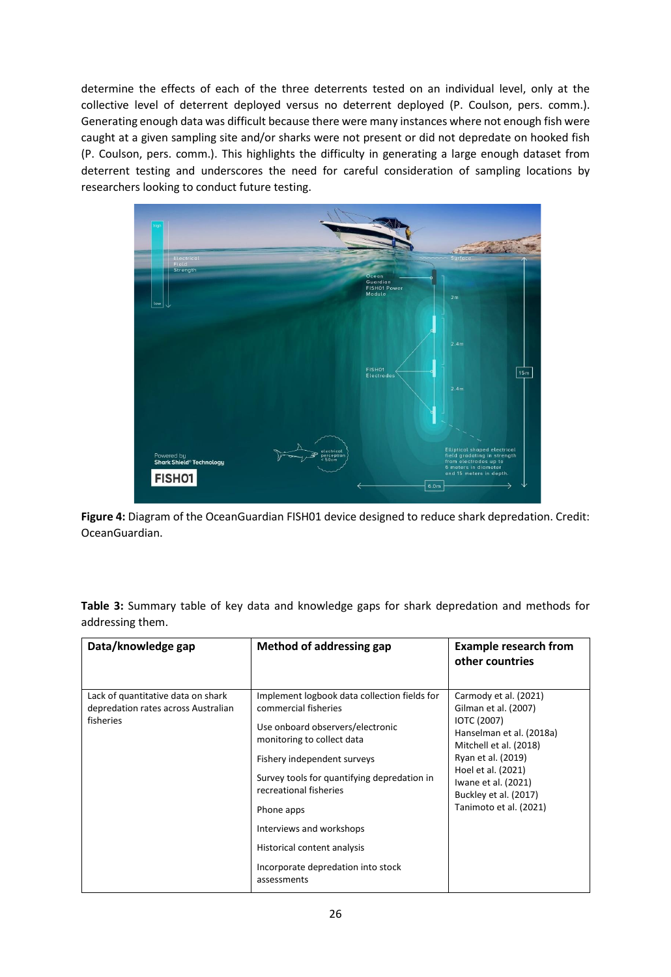determine the effects of each of the three deterrents tested on an individual level, only at the collective level of deterrent deployed versus no deterrent deployed (P. Coulson, pers. comm.). Generating enough data was difficult because there were many instances where not enough fish were caught at a given sampling site and/or sharks were not present or did not depredate on hooked fish (P. Coulson, pers. comm.). This highlights the difficulty in generating a large enough dataset from deterrent testing and underscores the need for careful consideration of sampling locations by researchers looking to conduct future testing.



**Figure 4:** Diagram of the OceanGuardian FISH01 device designed to reduce shark depredation. Credit: OceanGuardian.

| Data/knowledge gap                                                                     | Method of addressing gap                                                                                                                                                                                                                                                                                                                                                     | <b>Example research from</b><br>other countries                                                                                                                                                                                                 |
|----------------------------------------------------------------------------------------|------------------------------------------------------------------------------------------------------------------------------------------------------------------------------------------------------------------------------------------------------------------------------------------------------------------------------------------------------------------------------|-------------------------------------------------------------------------------------------------------------------------------------------------------------------------------------------------------------------------------------------------|
| Lack of quantitative data on shark<br>depredation rates across Australian<br>fisheries | Implement logbook data collection fields for<br>commercial fisheries<br>Use onboard observers/electronic<br>monitoring to collect data<br>Fishery independent surveys<br>Survey tools for quantifying depredation in<br>recreational fisheries<br>Phone apps<br>Interviews and workshops<br>Historical content analysis<br>Incorporate depredation into stock<br>assessments | Carmody et al. (2021)<br>Gilman et al. (2007)<br><b>IOTC (2007)</b><br>Hanselman et al. (2018a)<br>Mitchell et al. (2018)<br>Ryan et al. (2019)<br>Hoel et al. (2021)<br>Iwane et al. (2021)<br>Buckley et al. (2017)<br>Tanimoto et al. (2021) |

**Table 3:** Summary table of key data and knowledge gaps for shark depredation and methods for addressing them.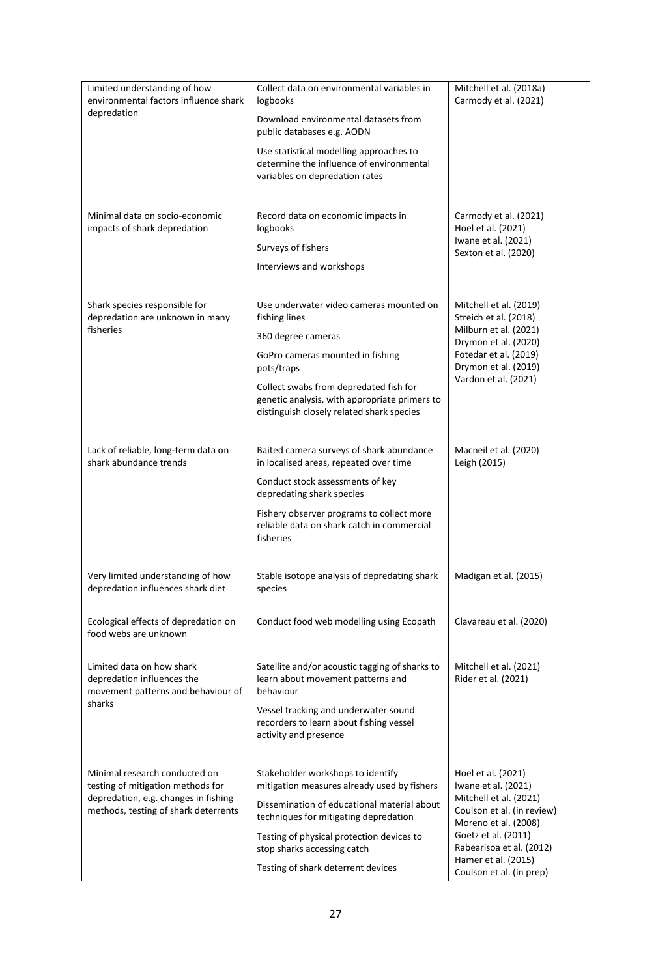| Limited understanding of how<br>environmental factors influence shark                         | Collect data on environmental variables in<br>logbooks                                                                               | Mitchell et al. (2018a)<br>Carmody et al. (2021)                             |
|-----------------------------------------------------------------------------------------------|--------------------------------------------------------------------------------------------------------------------------------------|------------------------------------------------------------------------------|
| depredation                                                                                   | Download environmental datasets from<br>public databases e.g. AODN                                                                   |                                                                              |
|                                                                                               | Use statistical modelling approaches to<br>determine the influence of environmental<br>variables on depredation rates                |                                                                              |
| Minimal data on socio-economic<br>impacts of shark depredation                                | Record data on economic impacts in<br>logbooks                                                                                       | Carmody et al. (2021)<br>Hoel et al. (2021)<br>Iwane et al. (2021)           |
|                                                                                               | Surveys of fishers                                                                                                                   | Sexton et al. (2020)                                                         |
|                                                                                               | Interviews and workshops                                                                                                             |                                                                              |
| Shark species responsible for<br>depredation are unknown in many                              | Use underwater video cameras mounted on<br>fishing lines                                                                             | Mitchell et al. (2019)<br>Streich et al. (2018)                              |
| fisheries                                                                                     | 360 degree cameras                                                                                                                   | Milburn et al. (2021)<br>Drymon et al. (2020)                                |
|                                                                                               | GoPro cameras mounted in fishing<br>pots/traps                                                                                       | Fotedar et al. (2019)<br>Drymon et al. (2019)                                |
|                                                                                               | Collect swabs from depredated fish for<br>genetic analysis, with appropriate primers to<br>distinguish closely related shark species | Vardon et al. (2021)                                                         |
| Lack of reliable, long-term data on<br>shark abundance trends                                 | Baited camera surveys of shark abundance<br>in localised areas, repeated over time                                                   | Macneil et al. (2020)<br>Leigh (2015)                                        |
|                                                                                               | Conduct stock assessments of key<br>depredating shark species                                                                        |                                                                              |
|                                                                                               | Fishery observer programs to collect more<br>reliable data on shark catch in commercial<br>fisheries                                 |                                                                              |
| Very limited understanding of how<br>depredation influences shark diet                        | Stable isotope analysis of depredating shark<br>species                                                                              | Madigan et al. (2015)                                                        |
| Ecological effects of depredation on<br>food webs are unknown                                 | Conduct food web modelling using Ecopath                                                                                             | Clavareau et al. (2020)                                                      |
| Limited data on how shark<br>depredation influences the<br>movement patterns and behaviour of | Satellite and/or acoustic tagging of sharks to<br>learn about movement patterns and<br>behaviour                                     | Mitchell et al. (2021)<br>Rider et al. (2021)                                |
| sharks                                                                                        | Vessel tracking and underwater sound<br>recorders to learn about fishing vessel<br>activity and presence                             |                                                                              |
| Minimal research conducted on<br>testing of mitigation methods for                            | Stakeholder workshops to identify<br>mitigation measures already used by fishers                                                     | Hoel et al. (2021)<br>Iwane et al. (2021)                                    |
| depredation, e.g. changes in fishing<br>methods, testing of shark deterrents                  | Dissemination of educational material about<br>techniques for mitigating depredation                                                 | Mitchell et al. (2021)<br>Coulson et al. (in review)<br>Moreno et al. (2008) |
|                                                                                               | Testing of physical protection devices to<br>stop sharks accessing catch                                                             | Goetz et al. (2011)<br>Rabearisoa et al. (2012)<br>Hamer et al. (2015)       |
|                                                                                               | Testing of shark deterrent devices                                                                                                   | Coulson et al. (in prep)                                                     |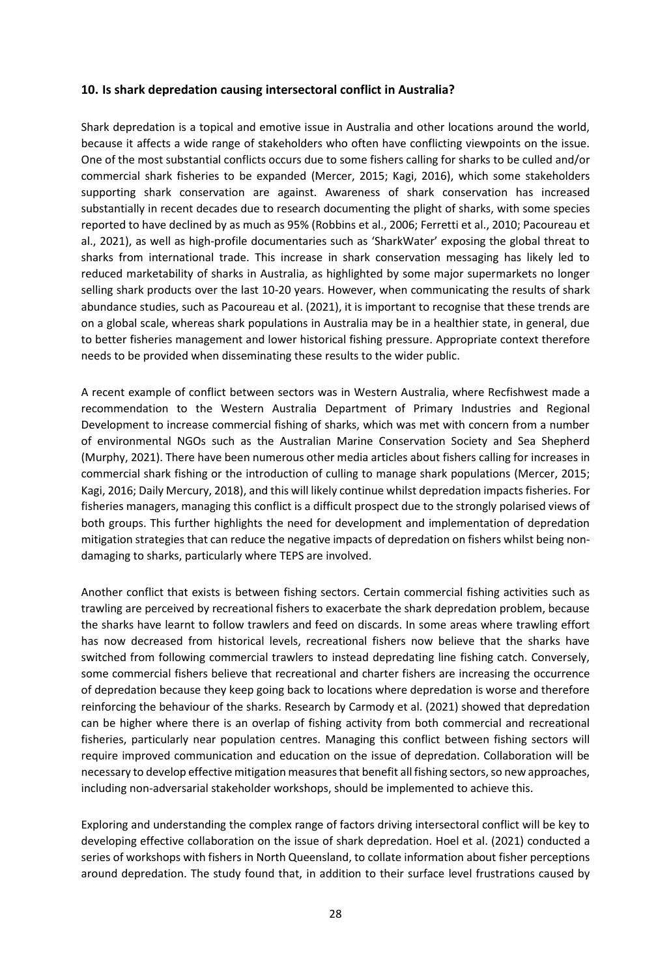# <span id="page-30-0"></span>**10. Is shark depredation causing intersectoral conflict in Australia?**

Shark depredation is a topical and emotive issue in Australia and other locations around the world, because it affects a wide range of stakeholders who often have conflicting viewpoints on the issue. One of the most substantial conflicts occurs due to some fishers calling for sharks to be culled and/or commercial shark fisheries to be expanded (Mercer, 2015; Kagi, 2016), which some stakeholders supporting shark conservation are against. Awareness of shark conservation has increased substantially in recent decades due to research documenting the plight of sharks, with some species reported to have declined by as much as 95% (Robbins et al., 2006; Ferretti et al., 2010; Pacoureau et al., 2021), as well as high-profile documentaries such as 'SharkWater' exposing the global threat to sharks from international trade. This increase in shark conservation messaging has likely led to reduced marketability of sharks in Australia, as highlighted by some major supermarkets no longer selling shark products over the last 10-20 years. However, when communicating the results of shark abundance studies, such as Pacoureau et al. (2021), it is important to recognise that these trends are on a global scale, whereas shark populations in Australia may be in a healthier state, in general, due to better fisheries management and lower historical fishing pressure. Appropriate context therefore needs to be provided when disseminating these results to the wider public.

A recent example of conflict between sectors was in Western Australia, where Recfishwest made a recommendation to the Western Australia Department of Primary Industries and Regional Development to increase commercial fishing of sharks, which was met with concern from a number of environmental NGOs such as the Australian Marine Conservation Society and Sea Shepherd (Murphy, 2021). There have been numerous other media articles about fishers calling for increases in commercial shark fishing or the introduction of culling to manage shark populations (Mercer, 2015; Kagi, 2016; Daily Mercury, 2018), and this will likely continue whilst depredation impacts fisheries. For fisheries managers, managing this conflict is a difficult prospect due to the strongly polarised views of both groups. This further highlights the need for development and implementation of depredation mitigation strategies that can reduce the negative impacts of depredation on fishers whilst being nondamaging to sharks, particularly where TEPS are involved.

Another conflict that exists is between fishing sectors. Certain commercial fishing activities such as trawling are perceived by recreational fishers to exacerbate the shark depredation problem, because the sharks have learnt to follow trawlers and feed on discards. In some areas where trawling effort has now decreased from historical levels, recreational fishers now believe that the sharks have switched from following commercial trawlers to instead depredating line fishing catch. Conversely, some commercial fishers believe that recreational and charter fishers are increasing the occurrence of depredation because they keep going back to locations where depredation is worse and therefore reinforcing the behaviour of the sharks. Research by Carmody et al. (2021) showed that depredation can be higher where there is an overlap of fishing activity from both commercial and recreational fisheries, particularly near population centres. Managing this conflict between fishing sectors will require improved communication and education on the issue of depredation. Collaboration will be necessary to develop effective mitigation measures that benefit all fishing sectors, so new approaches, including non-adversarial stakeholder workshops, should be implemented to achieve this.

Exploring and understanding the complex range of factors driving intersectoral conflict will be key to developing effective collaboration on the issue of shark depredation. Hoel et al. (2021) conducted a series of workshops with fishers in North Queensland, to collate information about fisher perceptions around depredation. The study found that, in addition to their surface level frustrations caused by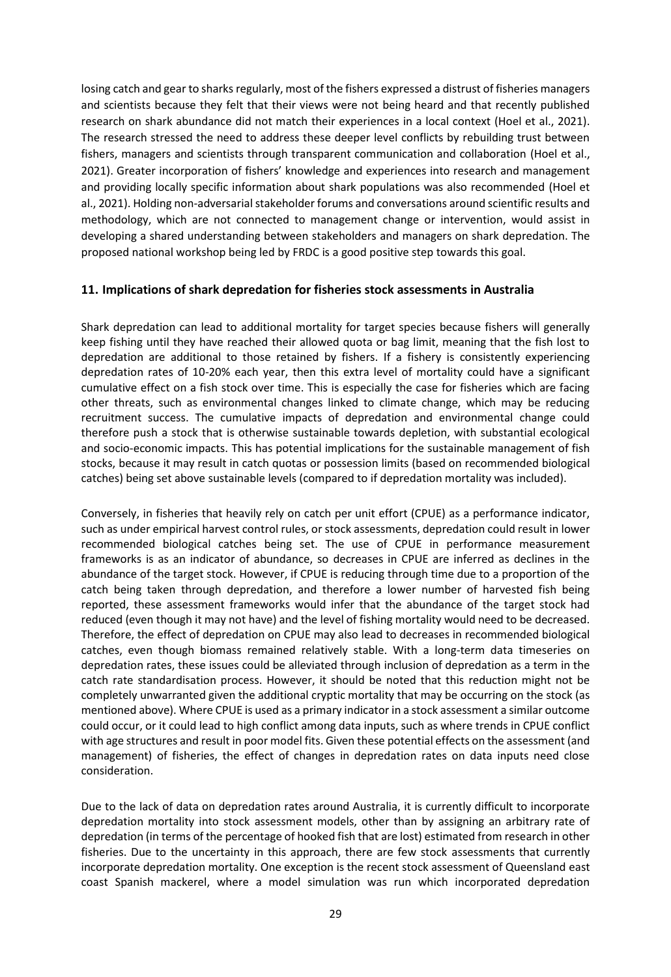losing catch and gear to sharks regularly, most of the fishers expressed a distrust of fisheries managers and scientists because they felt that their views were not being heard and that recently published research on shark abundance did not match their experiences in a local context (Hoel et al., 2021). The research stressed the need to address these deeper level conflicts by rebuilding trust between fishers, managers and scientists through transparent communication and collaboration (Hoel et al., 2021). Greater incorporation of fishers' knowledge and experiences into research and management and providing locally specific information about shark populations was also recommended (Hoel et al., 2021). Holding non-adversarial stakeholder forums and conversations around scientific results and methodology, which are not connected to management change or intervention, would assist in developing a shared understanding between stakeholders and managers on shark depredation. The proposed national workshop being led by FRDC is a good positive step towards this goal.

#### <span id="page-31-0"></span>**11. Implications of shark depredation for fisheries stock assessments in Australia**

Shark depredation can lead to additional mortality for target species because fishers will generally keep fishing until they have reached their allowed quota or bag limit, meaning that the fish lost to depredation are additional to those retained by fishers. If a fishery is consistently experiencing depredation rates of 10-20% each year, then this extra level of mortality could have a significant cumulative effect on a fish stock over time. This is especially the case for fisheries which are facing other threats, such as environmental changes linked to climate change, which may be reducing recruitment success. The cumulative impacts of depredation and environmental change could therefore push a stock that is otherwise sustainable towards depletion, with substantial ecological and socio-economic impacts. This has potential implications for the sustainable management of fish stocks, because it may result in catch quotas or possession limits (based on recommended biological catches) being set above sustainable levels (compared to if depredation mortality was included).

Conversely, in fisheries that heavily rely on catch per unit effort (CPUE) as a performance indicator, such as under empirical harvest control rules, or stock assessments, depredation could result in lower recommended biological catches being set. The use of CPUE in performance measurement frameworks is as an indicator of abundance, so decreases in CPUE are inferred as declines in the abundance of the target stock. However, if CPUE is reducing through time due to a proportion of the catch being taken through depredation, and therefore a lower number of harvested fish being reported, these assessment frameworks would infer that the abundance of the target stock had reduced (even though it may not have) and the level of fishing mortality would need to be decreased. Therefore, the effect of depredation on CPUE may also lead to decreases in recommended biological catches, even though biomass remained relatively stable. With a long-term data timeseries on depredation rates, these issues could be alleviated through inclusion of depredation as a term in the catch rate standardisation process. However, it should be noted that this reduction might not be completely unwarranted given the additional cryptic mortality that may be occurring on the stock (as mentioned above). Where CPUE is used as a primary indicator in a stock assessment a similar outcome could occur, or it could lead to high conflict among data inputs, such as where trends in CPUE conflict with age structures and result in poor model fits. Given these potential effects on the assessment (and management) of fisheries, the effect of changes in depredation rates on data inputs need close consideration.

Due to the lack of data on depredation rates around Australia, it is currently difficult to incorporate depredation mortality into stock assessment models, other than by assigning an arbitrary rate of depredation (in terms of the percentage of hooked fish that are lost) estimated from research in other fisheries. Due to the uncertainty in this approach, there are few stock assessments that currently incorporate depredation mortality. One exception is the recent stock assessment of Queensland east coast Spanish mackerel, where a model simulation was run which incorporated depredation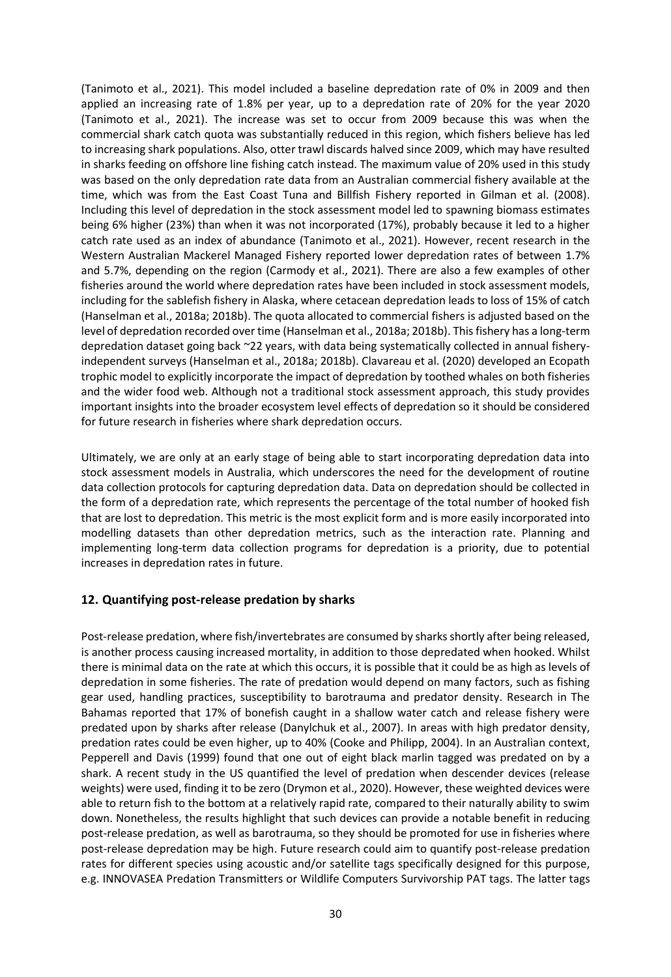(Tanimoto et al., 2021). This model included a baseline depredation rate of 0% in 2009 and then applied an increasing rate of 1.8% per year, up to a depredation rate of 20% for the year 2020 (Tanimoto et al., 2021). The increase was set to occur from 2009 because this was when the commercial shark catch quota was substantially reduced in this region, which fishers believe has led to increasing shark populations. Also, otter trawl discards halved since 2009, which may have resulted in sharks feeding on offshore line fishing catch instead. The maximum value of 20% used in this study was based on the only depredation rate data from an Australian commercial fishery available at the time, which was from the East Coast Tuna and Billfish Fishery reported in Gilman et al. (2008). Including this level of depredation in the stock assessment model led to spawning biomass estimates being 6% higher (23%) than when it was not incorporated (17%), probably because it led to a higher catch rate used as an index of abundance (Tanimoto et al., 2021). However, recent research in the Western Australian Mackerel Managed Fishery reported lower depredation rates of between 1.7% and 5.7%, depending on the region (Carmody et al., 2021). There are also a few examples of other fisheries around the world where depredation rates have been included in stock assessment models, including for the sablefish fishery in Alaska, where cetacean depredation leads to loss of 15% of catch (Hanselman et al., 2018a; 2018b). The quota allocated to commercial fishers is adjusted based on the level of depredation recorded over time (Hanselman et al., 2018a; 2018b). This fishery has a long-term depredation dataset going back ~22 years, with data being systematically collected in annual fisheryindependent surveys (Hanselman et al., 2018a; 2018b). Clavareau et al. (2020) developed an Ecopath trophic model to explicitly incorporate the impact of depredation by toothed whales on both fisheries and the wider food web. Although not a traditional stock assessment approach, this study provides important insights into the broader ecosystem level effects of depredation so it should be considered for future research in fisheries where shark depredation occurs.

Ultimately, we are only at an early stage of being able to start incorporating depredation data into stock assessment models in Australia, which underscores the need for the development of routine data collection protocols for capturing depredation data. Data on depredation should be collected in the form of a depredation rate, which represents the percentage of the total number of hooked fish that are lost to depredation. This metric is the most explicit form and is more easily incorporated into modelling datasets than other depredation metrics, such as the interaction rate. Planning and implementing long-term data collection programs for depredation is a priority, due to potential increases in depredation rates in future.

# <span id="page-32-0"></span>**12. Quantifying post-release predation by sharks**

Post-release predation, where fish/invertebrates are consumed by sharks shortly after being released, is another process causing increased mortality, in addition to those depredated when hooked. Whilst there is minimal data on the rate at which this occurs, it is possible that it could be as high as levels of depredation in some fisheries. The rate of predation would depend on many factors, such as fishing gear used, handling practices, susceptibility to barotrauma and predator density. Research in The Bahamas reported that 17% of bonefish caught in a shallow water catch and release fishery were predated upon by sharks after release (Danylchuk et al., 2007). In areas with high predator density, predation rates could be even higher, up to 40% (Cooke and Philipp, 2004). In an Australian context, Pepperell and Davis (1999) found that one out of eight black marlin tagged was predated on by a shark. A recent study in the US quantified the level of predation when descender devices (release weights) were used, finding it to be zero (Drymon et al., 2020). However, these weighted devices were able to return fish to the bottom at a relatively rapid rate, compared to their naturally ability to swim down. Nonetheless, the results highlight that such devices can provide a notable benefit in reducing post-release predation, as well as barotrauma, so they should be promoted for use in fisheries where post-release depredation may be high. Future research could aim to quantify post-release predation rates for different species using acoustic and/or satellite tags specifically designed for this purpose, e.g. INNOVASEA Predation Transmitters or Wildlife Computers Survivorship PAT tags. The latter tags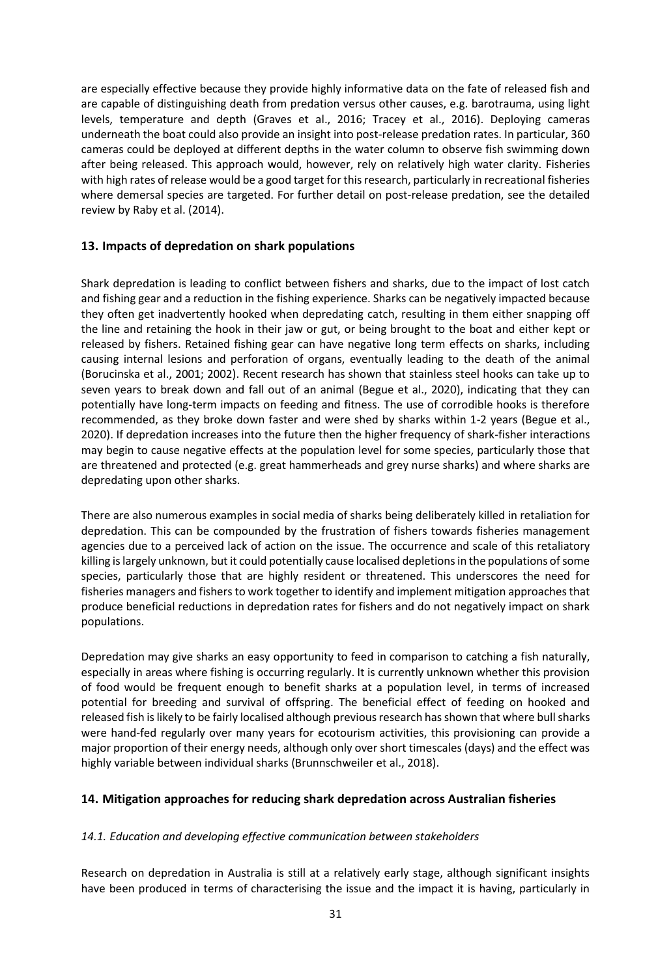are especially effective because they provide highly informative data on the fate of released fish and are capable of distinguishing death from predation versus other causes, e.g. barotrauma, using light levels, temperature and depth (Graves et al., 2016; Tracey et al., 2016). Deploying cameras underneath the boat could also provide an insight into post-release predation rates. In particular, 360 cameras could be deployed at different depths in the water column to observe fish swimming down after being released. This approach would, however, rely on relatively high water clarity. Fisheries with high rates of release would be a good target for this research, particularly in recreational fisheries where demersal species are targeted. For further detail on post-release predation, see the detailed review by Raby et al. (2014).

# <span id="page-33-0"></span>**13. Impacts of depredation on shark populations**

Shark depredation is leading to conflict between fishers and sharks, due to the impact of lost catch and fishing gear and a reduction in the fishing experience. Sharks can be negatively impacted because they often get inadvertently hooked when depredating catch, resulting in them either snapping off the line and retaining the hook in their jaw or gut, or being brought to the boat and either kept or released by fishers. Retained fishing gear can have negative long term effects on sharks, including causing internal lesions and perforation of organs, eventually leading to the death of the animal (Borucinska et al., 2001; 2002). Recent research has shown that stainless steel hooks can take up to seven years to break down and fall out of an animal (Begue et al., 2020), indicating that they can potentially have long-term impacts on feeding and fitness. The use of corrodible hooks is therefore recommended, as they broke down faster and were shed by sharks within 1-2 years (Begue et al., 2020). If depredation increases into the future then the higher frequency of shark-fisher interactions may begin to cause negative effects at the population level for some species, particularly those that are threatened and protected (e.g. great hammerheads and grey nurse sharks) and where sharks are depredating upon other sharks.

There are also numerous examples in social media of sharks being deliberately killed in retaliation for depredation. This can be compounded by the frustration of fishers towards fisheries management agencies due to a perceived lack of action on the issue. The occurrence and scale of this retaliatory killing is largely unknown, but it could potentially cause localised depletions in the populations of some species, particularly those that are highly resident or threatened. This underscores the need for fisheries managers and fishers to work together to identify and implement mitigation approaches that produce beneficial reductions in depredation rates for fishers and do not negatively impact on shark populations.

Depredation may give sharks an easy opportunity to feed in comparison to catching a fish naturally, especially in areas where fishing is occurring regularly. It is currently unknown whether this provision of food would be frequent enough to benefit sharks at a population level, in terms of increased potential for breeding and survival of offspring. The beneficial effect of feeding on hooked and released fish is likely to be fairly localised although previous research has shown that where bull sharks were hand-fed regularly over many years for ecotourism activities, this provisioning can provide a major proportion of their energy needs, although only over short timescales (days) and the effect was highly variable between individual sharks (Brunnschweiler et al., 2018).

# <span id="page-33-1"></span>**14. Mitigation approaches for reducing shark depredation across Australian fisheries**

#### <span id="page-33-2"></span>*14.1. Education and developing effective communication between stakeholders*

Research on depredation in Australia is still at a relatively early stage, although significant insights have been produced in terms of characterising the issue and the impact it is having, particularly in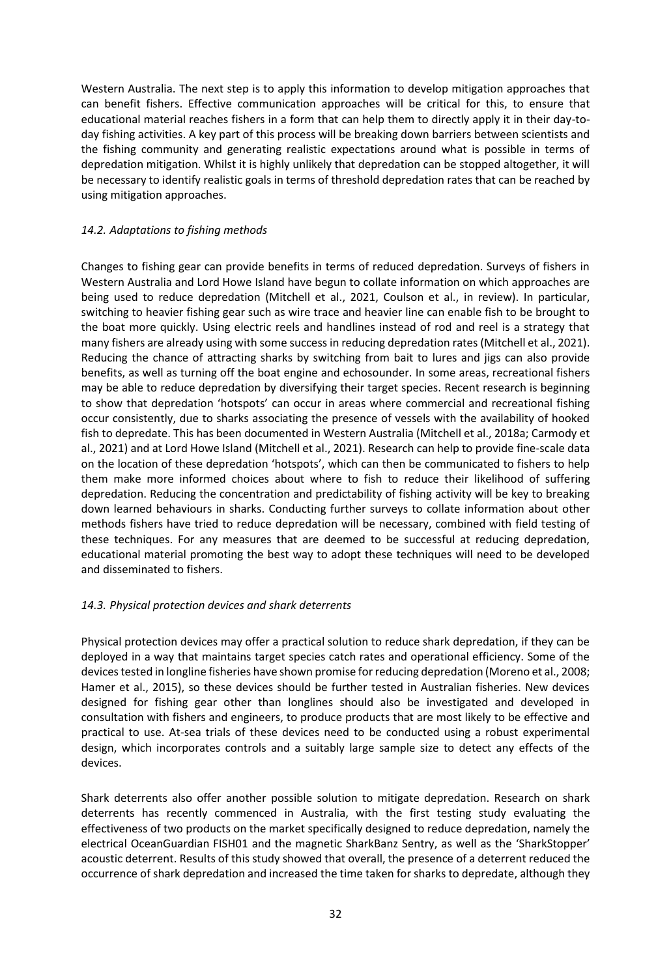Western Australia. The next step is to apply this information to develop mitigation approaches that can benefit fishers. Effective communication approaches will be critical for this, to ensure that educational material reaches fishers in a form that can help them to directly apply it in their day-today fishing activities. A key part of this process will be breaking down barriers between scientists and the fishing community and generating realistic expectations around what is possible in terms of depredation mitigation. Whilst it is highly unlikely that depredation can be stopped altogether, it will be necessary to identify realistic goals in terms of threshold depredation rates that can be reached by using mitigation approaches.

#### <span id="page-34-0"></span>*14.2. Adaptations to fishing methods*

Changes to fishing gear can provide benefits in terms of reduced depredation. Surveys of fishers in Western Australia and Lord Howe Island have begun to collate information on which approaches are being used to reduce depredation (Mitchell et al., 2021, Coulson et al., in review). In particular, switching to heavier fishing gear such as wire trace and heavier line can enable fish to be brought to the boat more quickly. Using electric reels and handlines instead of rod and reel is a strategy that many fishers are already using with some success in reducing depredation rates (Mitchell et al., 2021). Reducing the chance of attracting sharks by switching from bait to lures and jigs can also provide benefits, as well as turning off the boat engine and echosounder. In some areas, recreational fishers may be able to reduce depredation by diversifying their target species. Recent research is beginning to show that depredation 'hotspots' can occur in areas where commercial and recreational fishing occur consistently, due to sharks associating the presence of vessels with the availability of hooked fish to depredate. This has been documented in Western Australia (Mitchell et al., 2018a; Carmody et al., 2021) and at Lord Howe Island (Mitchell et al., 2021). Research can help to provide fine-scale data on the location of these depredation 'hotspots', which can then be communicated to fishers to help them make more informed choices about where to fish to reduce their likelihood of suffering depredation. Reducing the concentration and predictability of fishing activity will be key to breaking down learned behaviours in sharks. Conducting further surveys to collate information about other methods fishers have tried to reduce depredation will be necessary, combined with field testing of these techniques. For any measures that are deemed to be successful at reducing depredation, educational material promoting the best way to adopt these techniques will need to be developed and disseminated to fishers.

# <span id="page-34-1"></span>*14.3. Physical protection devices and shark deterrents*

Physical protection devices may offer a practical solution to reduce shark depredation, if they can be deployed in a way that maintains target species catch rates and operational efficiency. Some of the devices tested in longline fisheries have shown promise for reducing depredation (Moreno et al., 2008; Hamer et al., 2015), so these devices should be further tested in Australian fisheries. New devices designed for fishing gear other than longlines should also be investigated and developed in consultation with fishers and engineers, to produce products that are most likely to be effective and practical to use. At-sea trials of these devices need to be conducted using a robust experimental design, which incorporates controls and a suitably large sample size to detect any effects of the devices.

Shark deterrents also offer another possible solution to mitigate depredation. Research on shark deterrents has recently commenced in Australia, with the first testing study evaluating the effectiveness of two products on the market specifically designed to reduce depredation, namely the electrical OceanGuardian FISH01 and the magnetic SharkBanz Sentry, as well as the 'SharkStopper' acoustic deterrent. Results of this study showed that overall, the presence of a deterrent reduced the occurrence of shark depredation and increased the time taken for sharks to depredate, although they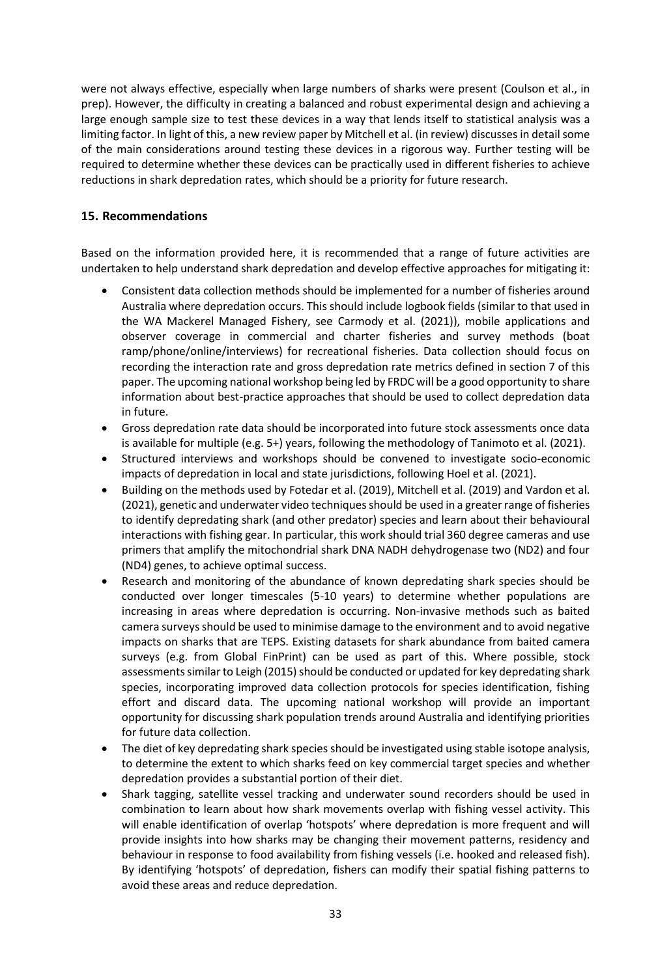were not always effective, especially when large numbers of sharks were present (Coulson et al., in prep). However, the difficulty in creating a balanced and robust experimental design and achieving a large enough sample size to test these devices in a way that lends itself to statistical analysis was a limiting factor. In light of this, a new review paper by Mitchell et al. (in review) discusses in detail some of the main considerations around testing these devices in a rigorous way. Further testing will be required to determine whether these devices can be practically used in different fisheries to achieve reductions in shark depredation rates, which should be a priority for future research.

# <span id="page-35-0"></span>**15. Recommendations**

Based on the information provided here, it is recommended that a range of future activities are undertaken to help understand shark depredation and develop effective approaches for mitigating it:

- Consistent data collection methods should be implemented for a number of fisheries around Australia where depredation occurs. This should include logbook fields (similar to that used in the WA Mackerel Managed Fishery, see Carmody et al. (2021)), mobile applications and observer coverage in commercial and charter fisheries and survey methods (boat ramp/phone/online/interviews) for recreational fisheries. Data collection should focus on recording the interaction rate and gross depredation rate metrics defined in section 7 of this paper. The upcoming national workshop being led by FRDC will be a good opportunity to share information about best-practice approaches that should be used to collect depredation data in future.
- Gross depredation rate data should be incorporated into future stock assessments once data is available for multiple (e.g. 5+) years, following the methodology of Tanimoto et al. (2021).
- Structured interviews and workshops should be convened to investigate socio-economic impacts of depredation in local and state jurisdictions, following Hoel et al. (2021).
- Building on the methods used by Fotedar et al. (2019), Mitchell et al. (2019) and Vardon et al. (2021), genetic and underwater video techniques should be used in a greater range of fisheries to identify depredating shark (and other predator) species and learn about their behavioural interactions with fishing gear. In particular, this work should trial 360 degree cameras and use primers that amplify the mitochondrial shark DNA NADH dehydrogenase two (ND2) and four (ND4) genes, to achieve optimal success.
- Research and monitoring of the abundance of known depredating shark species should be conducted over longer timescales (5-10 years) to determine whether populations are increasing in areas where depredation is occurring. Non-invasive methods such as baited camera surveys should be used to minimise damage to the environment and to avoid negative impacts on sharks that are TEPS. Existing datasets for shark abundance from baited camera surveys (e.g. from Global FinPrint) can be used as part of this. Where possible, stock assessments similar to Leigh (2015) should be conducted or updated for key depredating shark species, incorporating improved data collection protocols for species identification, fishing effort and discard data. The upcoming national workshop will provide an important opportunity for discussing shark population trends around Australia and identifying priorities for future data collection.
- The diet of key depredating shark species should be investigated using stable isotope analysis, to determine the extent to which sharks feed on key commercial target species and whether depredation provides a substantial portion of their diet.
- Shark tagging, satellite vessel tracking and underwater sound recorders should be used in combination to learn about how shark movements overlap with fishing vessel activity. This will enable identification of overlap 'hotspots' where depredation is more frequent and will provide insights into how sharks may be changing their movement patterns, residency and behaviour in response to food availability from fishing vessels (i.e. hooked and released fish). By identifying 'hotspots' of depredation, fishers can modify their spatial fishing patterns to avoid these areas and reduce depredation.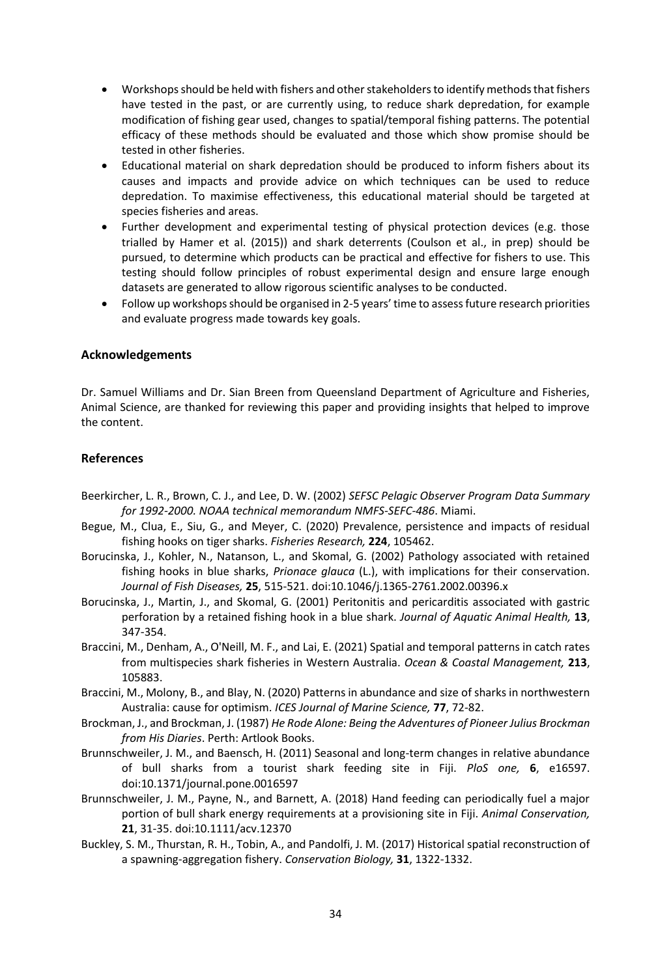- Workshops should be held with fishers and other stakeholders to identify methods that fishers have tested in the past, or are currently using, to reduce shark depredation, for example modification of fishing gear used, changes to spatial/temporal fishing patterns. The potential efficacy of these methods should be evaluated and those which show promise should be tested in other fisheries.
- Educational material on shark depredation should be produced to inform fishers about its causes and impacts and provide advice on which techniques can be used to reduce depredation. To maximise effectiveness, this educational material should be targeted at species fisheries and areas.
- Further development and experimental testing of physical protection devices (e.g. those trialled by Hamer et al. (2015)) and shark deterrents (Coulson et al., in prep) should be pursued, to determine which products can be practical and effective for fishers to use. This testing should follow principles of robust experimental design and ensure large enough datasets are generated to allow rigorous scientific analyses to be conducted.
- Follow up workshops should be organised in 2-5 years' time to assess future research priorities and evaluate progress made towards key goals.

#### <span id="page-36-0"></span>**Acknowledgements**

Dr. Samuel Williams and Dr. Sian Breen from Queensland Department of Agriculture and Fisheries, Animal Science, are thanked for reviewing this paper and providing insights that helped to improve the content.

# <span id="page-36-1"></span>**References**

- Beerkircher, L. R., Brown, C. J., and Lee, D. W. (2002) *SEFSC Pelagic Observer Program Data Summary for 1992-2000. NOAA technical memorandum NMFS-SEFC-486*. Miami.
- Begue, M., Clua, E., Siu, G., and Meyer, C. (2020) Prevalence, persistence and impacts of residual fishing hooks on tiger sharks. *Fisheries Research,* **224**, 105462.
- Borucinska, J., Kohler, N., Natanson, L., and Skomal, G. (2002) Pathology associated with retained fishing hooks in blue sharks, *Prionace glauca* (L.), with implications for their conservation. *Journal of Fish Diseases,* **25**, 515-521. doi:10.1046/j.1365-2761.2002.00396.x
- Borucinska, J., Martin, J., and Skomal, G. (2001) Peritonitis and pericarditis associated with gastric perforation by a retained fishing hook in a blue shark. *Journal of Aquatic Animal Health,* **13**, 347-354.
- Braccini, M., Denham, A., O'Neill, M. F., and Lai, E. (2021) Spatial and temporal patterns in catch rates from multispecies shark fisheries in Western Australia. *Ocean & Coastal Management,* **213**, 105883.
- Braccini, M., Molony, B., and Blay, N. (2020) Patterns in abundance and size of sharks in northwestern Australia: cause for optimism. *ICES Journal of Marine Science,* **77**, 72-82.
- Brockman, J., and Brockman, J. (1987) *He Rode Alone: Being the Adventures of Pioneer Julius Brockman from His Diaries*. Perth: Artlook Books.
- Brunnschweiler, J. M., and Baensch, H. (2011) Seasonal and long-term changes in relative abundance of bull sharks from a tourist shark feeding site in Fiji. *PloS one,* **6**, e16597. doi:10.1371/journal.pone.0016597
- Brunnschweiler, J. M., Payne, N., and Barnett, A. (2018) Hand feeding can periodically fuel a major portion of bull shark energy requirements at a provisioning site in Fiji. *Animal Conservation,*  **21**, 31-35. doi:10.1111/acv.12370
- Buckley, S. M., Thurstan, R. H., Tobin, A., and Pandolfi, J. M. (2017) Historical spatial reconstruction of a spawning‐aggregation fishery. *Conservation Biology,* **31**, 1322-1332.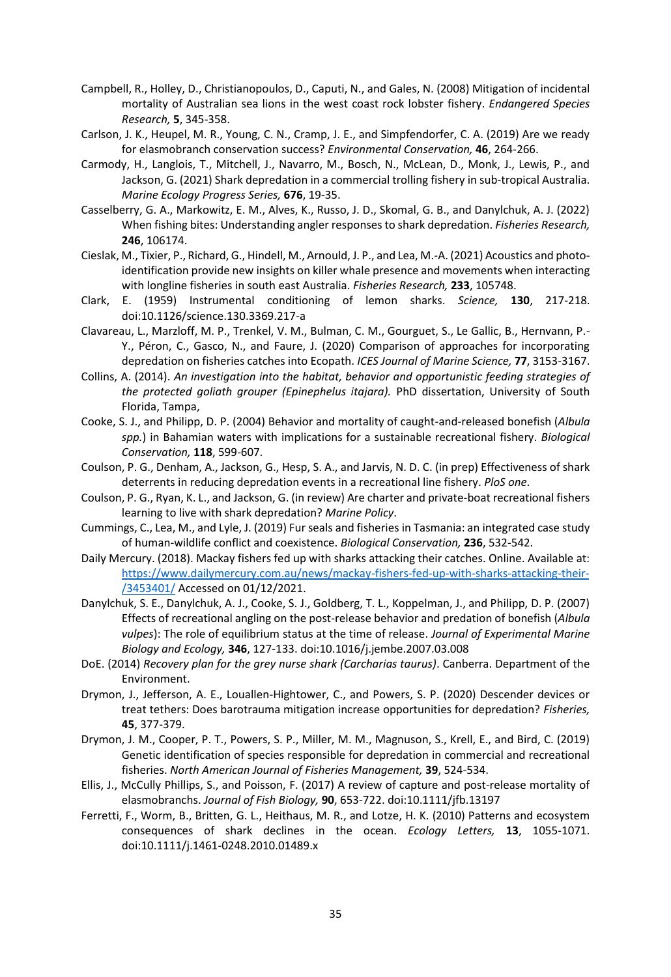- Campbell, R., Holley, D., Christianopoulos, D., Caputi, N., and Gales, N. (2008) Mitigation of incidental mortality of Australian sea lions in the west coast rock lobster fishery. *Endangered Species Research,* **5**, 345-358.
- Carlson, J. K., Heupel, M. R., Young, C. N., Cramp, J. E., and Simpfendorfer, C. A. (2019) Are we ready for elasmobranch conservation success? *Environmental Conservation,* **46**, 264-266.
- Carmody, H., Langlois, T., Mitchell, J., Navarro, M., Bosch, N., McLean, D., Monk, J., Lewis, P., and Jackson, G. (2021) Shark depredation in a commercial trolling fishery in sub-tropical Australia. *Marine Ecology Progress Series,* **676**, 19-35.
- Casselberry, G. A., Markowitz, E. M., Alves, K., Russo, J. D., Skomal, G. B., and Danylchuk, A. J. (2022) When fishing bites: Understanding angler responses to shark depredation. *Fisheries Research,*  **246**, 106174.
- Cieslak, M., Tixier, P., Richard, G., Hindell, M., Arnould, J. P., and Lea, M.-A. (2021) Acoustics and photoidentification provide new insights on killer whale presence and movements when interacting with longline fisheries in south east Australia. *Fisheries Research,* **233**, 105748.
- Clark, E. (1959) Instrumental conditioning of lemon sharks. *Science,* **130**, 217-218. doi:10.1126/science.130.3369.217-a
- Clavareau, L., Marzloff, M. P., Trenkel, V. M., Bulman, C. M., Gourguet, S., Le Gallic, B., Hernvann, P.- Y., Péron, C., Gasco, N., and Faure, J. (2020) Comparison of approaches for incorporating depredation on fisheries catches into Ecopath. *ICES Journal of Marine Science,* **77**, 3153-3167.
- Collins, A. (2014). *An investigation into the habitat, behavior and opportunistic feeding strategies of the protected goliath grouper (Epinephelus itajara).* PhD dissertation, University of South Florida, Tampa,
- Cooke, S. J., and Philipp, D. P. (2004) Behavior and mortality of caught-and-released bonefish (*Albula spp.*) in Bahamian waters with implications for a sustainable recreational fishery. *Biological Conservation,* **118**, 599-607.
- Coulson, P. G., Denham, A., Jackson, G., Hesp, S. A., and Jarvis, N. D. C. (in prep) Effectiveness of shark deterrents in reducing depredation events in a recreational line fishery. *PloS one*.
- Coulson, P. G., Ryan, K. L., and Jackson, G. (in review) Are charter and private-boat recreational fishers learning to live with shark depredation? *Marine Policy*.
- Cummings, C., Lea, M., and Lyle, J. (2019) Fur seals and fisheries in Tasmania: an integrated case study of human-wildlife conflict and coexistence. *Biological Conservation,* **236**, 532-542.
- Daily Mercury. (2018). Mackay fishers fed up with sharks attacking their catches. Online. Available at: [https://www.dailymercury.com.au/news/mackay-fishers-fed-up-with-sharks-attacking-their-](https://www.dailymercury.com.au/news/mackay-fishers-fed-up-with-sharks-attacking-their-/3453401/) [/3453401/](https://www.dailymercury.com.au/news/mackay-fishers-fed-up-with-sharks-attacking-their-/3453401/) Accessed on 01/12/2021.
- Danylchuk, S. E., Danylchuk, A. J., Cooke, S. J., Goldberg, T. L., Koppelman, J., and Philipp, D. P. (2007) Effects of recreational angling on the post-release behavior and predation of bonefish (*Albula vulpes*): The role of equilibrium status at the time of release. *Journal of Experimental Marine Biology and Ecology,* **346**, 127-133. doi:10.1016/j.jembe.2007.03.008
- DoE. (2014) *Recovery plan for the grey nurse shark (Carcharias taurus)*. Canberra. Department of the Environment.
- Drymon, J., Jefferson, A. E., Louallen-Hightower, C., and Powers, S. P. (2020) Descender devices or treat tethers: Does barotrauma mitigation increase opportunities for depredation? *Fisheries,*  **45**, 377-379.
- Drymon, J. M., Cooper, P. T., Powers, S. P., Miller, M. M., Magnuson, S., Krell, E., and Bird, C. (2019) Genetic identification of species responsible for depredation in commercial and recreational fisheries. *North American Journal of Fisheries Management,* **39**, 524-534.
- Ellis, J., McCully Phillips, S., and Poisson, F. (2017) A review of capture and post‐release mortality of elasmobranchs. *Journal of Fish Biology,* **90**, 653-722. doi:10.1111/jfb.13197
- Ferretti, F., Worm, B., Britten, G. L., Heithaus, M. R., and Lotze, H. K. (2010) Patterns and ecosystem consequences of shark declines in the ocean. *Ecology Letters,* **13**, 1055-1071. doi:10.1111/j.1461-0248.2010.01489.x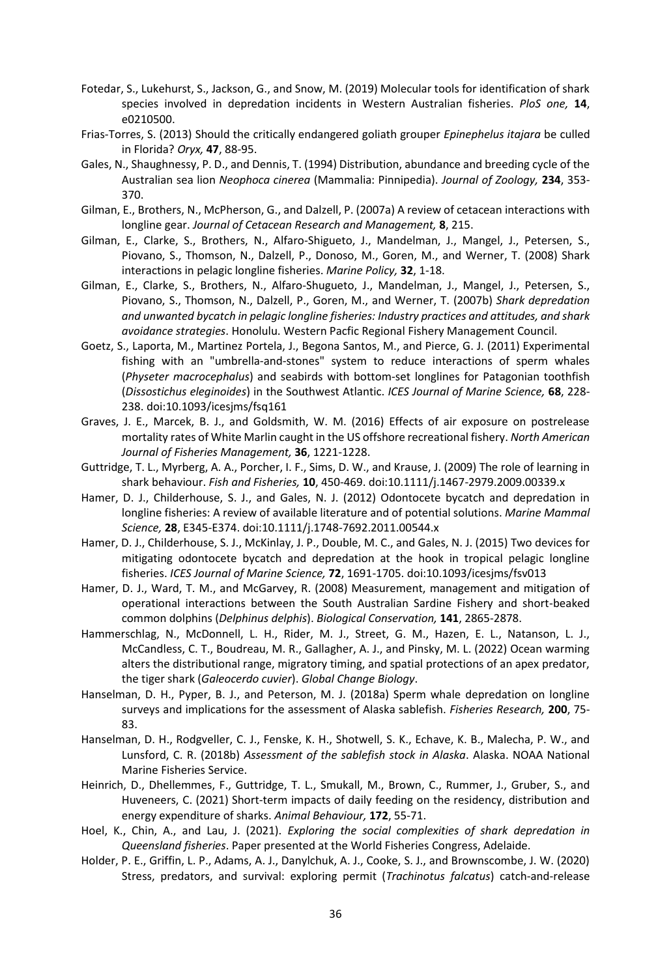- Fotedar, S., Lukehurst, S., Jackson, G., and Snow, M. (2019) Molecular tools for identification of shark species involved in depredation incidents in Western Australian fisheries. *PloS one,* **14**, e0210500.
- Frias-Torres, S. (2013) Should the critically endangered goliath grouper *Epinephelus itajara* be culled in Florida? *Oryx,* **47**, 88-95.
- Gales, N., Shaughnessy, P. D., and Dennis, T. (1994) Distribution, abundance and breeding cycle of the Australian sea lion *Neophoca cinerea* (Mammalia: Pinnipedia). *Journal of Zoology,* **234**, 353- 370.
- Gilman, E., Brothers, N., McPherson, G., and Dalzell, P. (2007a) A review of cetacean interactions with longline gear. *Journal of Cetacean Research and Management,* **8**, 215.
- Gilman, E., Clarke, S., Brothers, N., Alfaro-Shigueto, J., Mandelman, J., Mangel, J., Petersen, S., Piovano, S., Thomson, N., Dalzell, P., Donoso, M., Goren, M., and Werner, T. (2008) Shark interactions in pelagic longline fisheries. *Marine Policy,* **32**, 1-18.
- Gilman, E., Clarke, S., Brothers, N., Alfaro-Shugueto, J., Mandelman, J., Mangel, J., Petersen, S., Piovano, S., Thomson, N., Dalzell, P., Goren, M., and Werner, T. (2007b) *Shark depredation and unwanted bycatch in pelagic longline fisheries: Industry practices and attitudes, and shark avoidance strategies*. Honolulu. Western Pacfic Regional Fishery Management Council.
- Goetz, S., Laporta, M., Martinez Portela, J., Begona Santos, M., and Pierce, G. J. (2011) Experimental fishing with an "umbrella-and-stones" system to reduce interactions of sperm whales (*Physeter macrocephalus*) and seabirds with bottom-set longlines for Patagonian toothfish (*Dissostichus eleginoides*) in the Southwest Atlantic. *ICES Journal of Marine Science,* **68**, 228- 238. doi:10.1093/icesjms/fsq161
- Graves, J. E., Marcek, B. J., and Goldsmith, W. M. (2016) Effects of air exposure on postrelease mortality rates of White Marlin caught in the US offshore recreational fishery. *North American Journal of Fisheries Management,* **36**, 1221-1228.
- Guttridge, T. L., Myrberg, A. A., Porcher, I. F., Sims, D. W., and Krause, J. (2009) The role of learning in shark behaviour. *Fish and Fisheries,* **10**, 450-469. doi:10.1111/j.1467-2979.2009.00339.x
- Hamer, D. J., Childerhouse, S. J., and Gales, N. J. (2012) Odontocete bycatch and depredation in longline fisheries: A review of available literature and of potential solutions. *Marine Mammal Science,* **28**, E345-E374. doi:10.1111/j.1748-7692.2011.00544.x
- Hamer, D. J., Childerhouse, S. J., McKinlay, J. P., Double, M. C., and Gales, N. J. (2015) Two devices for mitigating odontocete bycatch and depredation at the hook in tropical pelagic longline fisheries. *ICES Journal of Marine Science,* **72**, 1691-1705. doi:10.1093/icesjms/fsv013
- Hamer, D. J., Ward, T. M., and McGarvey, R. (2008) Measurement, management and mitigation of operational interactions between the South Australian Sardine Fishery and short-beaked common dolphins (*Delphinus delphis*). *Biological Conservation,* **141**, 2865-2878.
- Hammerschlag, N., McDonnell, L. H., Rider, M. J., Street, G. M., Hazen, E. L., Natanson, L. J., McCandless, C. T., Boudreau, M. R., Gallagher, A. J., and Pinsky, M. L. (2022) Ocean warming alters the distributional range, migratory timing, and spatial protections of an apex predator, the tiger shark (*Galeocerdo cuvier*). *Global Change Biology*.
- Hanselman, D. H., Pyper, B. J., and Peterson, M. J. (2018a) Sperm whale depredation on longline surveys and implications for the assessment of Alaska sablefish. *Fisheries Research,* **200**, 75- 83.
- Hanselman, D. H., Rodgveller, C. J., Fenske, K. H., Shotwell, S. K., Echave, K. B., Malecha, P. W., and Lunsford, C. R. (2018b) *Assessment of the sablefish stock in Alaska*. Alaska. NOAA National Marine Fisheries Service.
- Heinrich, D., Dhellemmes, F., Guttridge, T. L., Smukall, M., Brown, C., Rummer, J., Gruber, S., and Huveneers, C. (2021) Short-term impacts of daily feeding on the residency, distribution and energy expenditure of sharks. *Animal Behaviour,* **172**, 55-71.
- Hoel, K., Chin, A., and Lau, J. (2021). *Exploring the social complexities of shark depredation in Queensland fisheries*. Paper presented at the World Fisheries Congress, Adelaide.
- Holder, P. E., Griffin, L. P., Adams, A. J., Danylchuk, A. J., Cooke, S. J., and Brownscombe, J. W. (2020) Stress, predators, and survival: exploring permit (*Trachinotus falcatus*) catch-and-release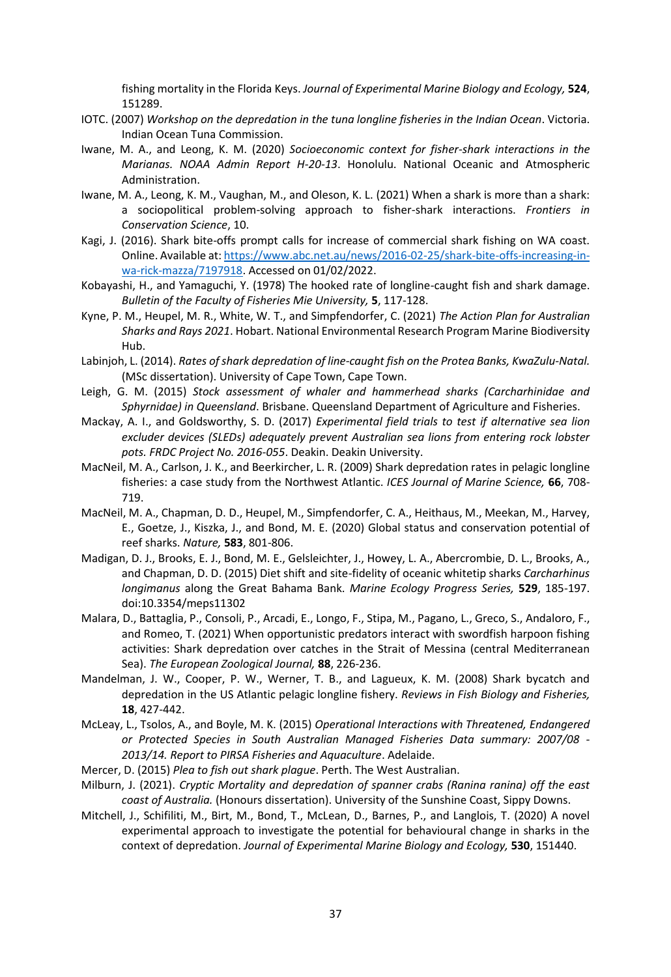fishing mortality in the Florida Keys. *Journal of Experimental Marine Biology and Ecology,* **524**, 151289.

- IOTC. (2007) *Workshop on the depredation in the tuna longline fisheries in the Indian Ocean*. Victoria. Indian Ocean Tuna Commission.
- Iwane, M. A., and Leong, K. M. (2020) *Socioeconomic context for fisher-shark interactions in the Marianas. NOAA Admin Report H-20-13*. Honolulu. National Oceanic and Atmospheric Administration.
- Iwane, M. A., Leong, K. M., Vaughan, M., and Oleson, K. L. (2021) When a shark is more than a shark: a sociopolitical problem-solving approach to fisher-shark interactions. *Frontiers in Conservation Science*, 10.
- Kagi, J. (2016). Shark bite-offs prompt calls for increase of commercial shark fishing on WA coast. Online. Available at[: https://www.abc.net.au/news/2016-02-25/shark-bite-offs-increasing-in](https://www.abc.net.au/news/2016-02-25/shark-bite-offs-increasing-in-wa-rick-mazza/7197918)[wa-rick-mazza/7197918.](https://www.abc.net.au/news/2016-02-25/shark-bite-offs-increasing-in-wa-rick-mazza/7197918) Accessed on 01/02/2022.
- Kobayashi, H., and Yamaguchi, Y. (1978) The hooked rate of longline-caught fish and shark damage. *Bulletin of the Faculty of Fisheries Mie University,* **5**, 117-128.
- Kyne, P. M., Heupel, M. R., White, W. T., and Simpfendorfer, C. (2021) *The Action Plan for Australian Sharks and Rays 2021*. Hobart. National Environmental Research Program Marine Biodiversity Hub.
- Labinjoh, L. (2014). *Rates of shark depredation of line-caught fish on the Protea Banks, KwaZulu-Natal.* (MSc dissertation). University of Cape Town, Cape Town.
- Leigh, G. M. (2015) *Stock assessment of whaler and hammerhead sharks (Carcharhinidae and Sphyrnidae) in Queensland*. Brisbane. Queensland Department of Agriculture and Fisheries.
- Mackay, A. I., and Goldsworthy, S. D. (2017) *Experimental field trials to test if alternative sea lion excluder devices (SLEDs) adequately prevent Australian sea lions from entering rock lobster pots. FRDC Project No. 2016-055*. Deakin. Deakin University.
- MacNeil, M. A., Carlson, J. K., and Beerkircher, L. R. (2009) Shark depredation rates in pelagic longline fisheries: a case study from the Northwest Atlantic. *ICES Journal of Marine Science,* **66**, 708- 719.
- MacNeil, M. A., Chapman, D. D., Heupel, M., Simpfendorfer, C. A., Heithaus, M., Meekan, M., Harvey, E., Goetze, J., Kiszka, J., and Bond, M. E. (2020) Global status and conservation potential of reef sharks. *Nature,* **583**, 801-806.
- Madigan, D. J., Brooks, E. J., Bond, M. E., Gelsleichter, J., Howey, L. A., Abercrombie, D. L., Brooks, A., and Chapman, D. D. (2015) Diet shift and site-fidelity of oceanic whitetip sharks *Carcharhinus longimanus* along the Great Bahama Bank. *Marine Ecology Progress Series,* **529**, 185-197. doi:10.3354/meps11302
- Malara, D., Battaglia, P., Consoli, P., Arcadi, E., Longo, F., Stipa, M., Pagano, L., Greco, S., Andaloro, F., and Romeo, T. (2021) When opportunistic predators interact with swordfish harpoon fishing activities: Shark depredation over catches in the Strait of Messina (central Mediterranean Sea). *The European Zoological Journal,* **88**, 226-236.
- Mandelman, J. W., Cooper, P. W., Werner, T. B., and Lagueux, K. M. (2008) Shark bycatch and depredation in the US Atlantic pelagic longline fishery. *Reviews in Fish Biology and Fisheries,*  **18**, 427-442.
- McLeay, L., Tsolos, A., and Boyle, M. K. (2015) *Operational Interactions with Threatened, Endangered or Protected Species in South Australian Managed Fisheries Data summary: 2007/08 - 2013/14. Report to PIRSA Fisheries and Aquaculture*. Adelaide.
- Mercer, D. (2015) *Plea to fish out shark plague*. Perth. The West Australian.
- Milburn, J. (2021). *Cryptic Mortality and depredation of spanner crabs (Ranina ranina) off the east coast of Australia.* (Honours dissertation). University of the Sunshine Coast, Sippy Downs.
- Mitchell, J., Schifiliti, M., Birt, M., Bond, T., McLean, D., Barnes, P., and Langlois, T. (2020) A novel experimental approach to investigate the potential for behavioural change in sharks in the context of depredation. *Journal of Experimental Marine Biology and Ecology,* **530**, 151440.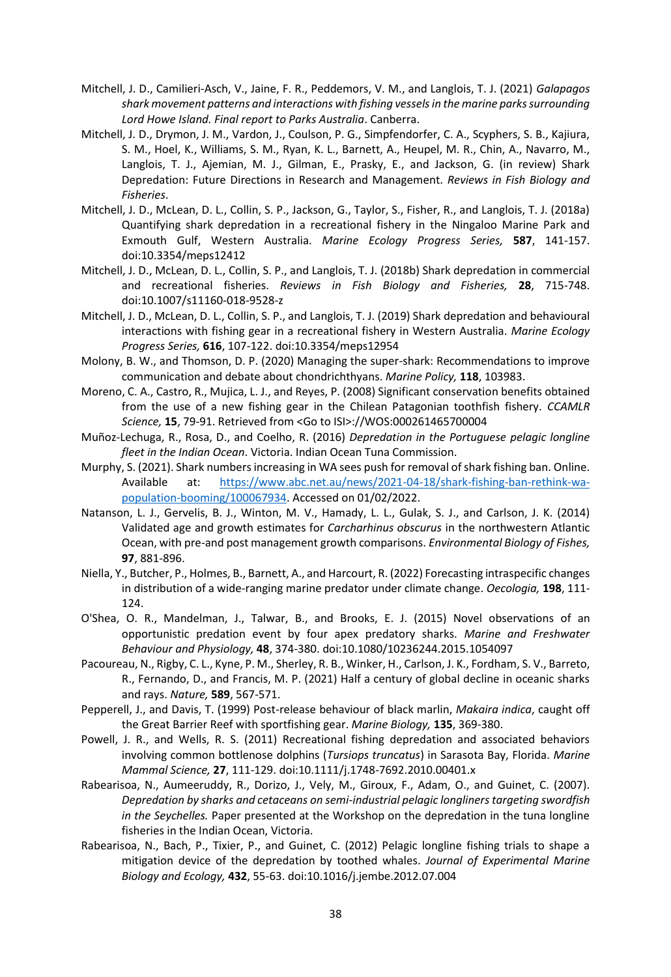- Mitchell, J. D., Camilieri-Asch, V., Jaine, F. R., Peddemors, V. M., and Langlois, T. J. (2021) *Galapagos shark movement patterns and interactions with fishing vessels in the marine parks surrounding Lord Howe Island. Final report to Parks Australia*. Canberra.
- Mitchell, J. D., Drymon, J. M., Vardon, J., Coulson, P. G., Simpfendorfer, C. A., Scyphers, S. B., Kajiura, S. M., Hoel, K., Williams, S. M., Ryan, K. L., Barnett, A., Heupel, M. R., Chin, A., Navarro, M., Langlois, T. J., Ajemian, M. J., Gilman, E., Prasky, E., and Jackson, G. (in review) Shark Depredation: Future Directions in Research and Management. *Reviews in Fish Biology and Fisheries*.
- Mitchell, J. D., McLean, D. L., Collin, S. P., Jackson, G., Taylor, S., Fisher, R., and Langlois, T. J. (2018a) Quantifying shark depredation in a recreational fishery in the Ningaloo Marine Park and Exmouth Gulf, Western Australia. *Marine Ecology Progress Series,* **587**, 141-157. doi:10.3354/meps12412
- Mitchell, J. D., McLean, D. L., Collin, S. P., and Langlois, T. J. (2018b) Shark depredation in commercial and recreational fisheries. *Reviews in Fish Biology and Fisheries,* **28**, 715-748. doi:10.1007/s11160-018-9528-z
- Mitchell, J. D., McLean, D. L., Collin, S. P., and Langlois, T. J. (2019) Shark depredation and behavioural interactions with fishing gear in a recreational fishery in Western Australia. *Marine Ecology Progress Series,* **616**, 107-122. doi:10.3354/meps12954
- Molony, B. W., and Thomson, D. P. (2020) Managing the super-shark: Recommendations to improve communication and debate about chondrichthyans. *Marine Policy,* **118**, 103983.
- Moreno, C. A., Castro, R., Mujica, L. J., and Reyes, P. (2008) Significant conservation benefits obtained from the use of a new fishing gear in the Chilean Patagonian toothfish fishery. *CCAMLR Science,* **15**, 79-91. Retrieved from <Go to ISI>://WOS:000261465700004
- Muñoz-Lechuga, R., Rosa, D., and Coelho, R. (2016) *Depredation in the Portuguese pelagic longline fleet in the Indian Ocean*. Victoria. Indian Ocean Tuna Commission.
- Murphy, S. (2021). Shark numbers increasing in WA sees push for removal of shark fishing ban. Online. Available at: [https://www.abc.net.au/news/2021-04-18/shark-fishing-ban-rethink-wa](https://www.abc.net.au/news/2021-04-18/shark-fishing-ban-rethink-wa-population-booming/100067934)[population-booming/100067934.](https://www.abc.net.au/news/2021-04-18/shark-fishing-ban-rethink-wa-population-booming/100067934) Accessed on 01/02/2022.
- Natanson, L. J., Gervelis, B. J., Winton, M. V., Hamady, L. L., Gulak, S. J., and Carlson, J. K. (2014) Validated age and growth estimates for *Carcharhinus obscurus* in the northwestern Atlantic Ocean, with pre-and post management growth comparisons. *Environmental Biology of Fishes,*  **97**, 881-896.
- Niella, Y., Butcher, P., Holmes, B., Barnett, A., and Harcourt, R. (2022) Forecasting intraspecific changes in distribution of a wide-ranging marine predator under climate change. *Oecologia,* **198**, 111- 124.
- O'Shea, O. R., Mandelman, J., Talwar, B., and Brooks, E. J. (2015) Novel observations of an opportunistic predation event by four apex predatory sharks. *Marine and Freshwater Behaviour and Physiology,* **48**, 374-380. doi:10.1080/10236244.2015.1054097
- Pacoureau, N., Rigby, C. L., Kyne, P. M., Sherley, R. B., Winker, H., Carlson, J. K., Fordham, S. V., Barreto, R., Fernando, D., and Francis, M. P. (2021) Half a century of global decline in oceanic sharks and rays. *Nature,* **589**, 567-571.
- Pepperell, J., and Davis, T. (1999) Post-release behaviour of black marlin, *Makaira indica*, caught off the Great Barrier Reef with sportfishing gear. *Marine Biology,* **135**, 369-380.
- Powell, J. R., and Wells, R. S. (2011) Recreational fishing depredation and associated behaviors involving common bottlenose dolphins (*Tursiops truncatus*) in Sarasota Bay, Florida. *Marine Mammal Science,* **27**, 111-129. doi:10.1111/j.1748-7692.2010.00401.x
- Rabearisoa, N., Aumeeruddy, R., Dorizo, J., Vely, M., Giroux, F., Adam, O., and Guinet, C. (2007). *Depredation by sharks and cetaceans on semi-industrial pelagic longliners targeting swordfish in the Seychelles.* Paper presented at the Workshop on the depredation in the tuna longline fisheries in the Indian Ocean, Victoria.
- Rabearisoa, N., Bach, P., Tixier, P., and Guinet, C. (2012) Pelagic longline fishing trials to shape a mitigation device of the depredation by toothed whales. *Journal of Experimental Marine Biology and Ecology,* **432**, 55-63. doi:10.1016/j.jembe.2012.07.004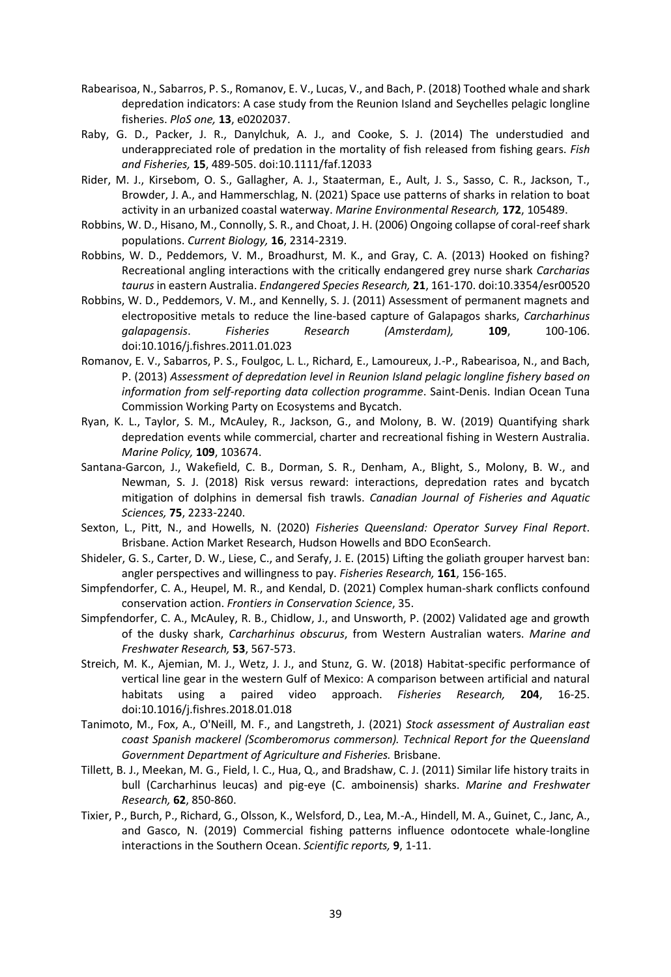- Rabearisoa, N., Sabarros, P. S., Romanov, E. V., Lucas, V., and Bach, P. (2018) Toothed whale and shark depredation indicators: A case study from the Reunion Island and Seychelles pelagic longline fisheries. *PloS one,* **13**, e0202037.
- Raby, G. D., Packer, J. R., Danylchuk, A. J., and Cooke, S. J. (2014) The understudied and underappreciated role of predation in the mortality of fish released from fishing gears. *Fish and Fisheries,* **15**, 489-505. doi:10.1111/faf.12033
- Rider, M. J., Kirsebom, O. S., Gallagher, A. J., Staaterman, E., Ault, J. S., Sasso, C. R., Jackson, T., Browder, J. A., and Hammerschlag, N. (2021) Space use patterns of sharks in relation to boat activity in an urbanized coastal waterway. *Marine Environmental Research,* **172**, 105489.
- Robbins, W. D., Hisano, M., Connolly, S. R., and Choat, J. H. (2006) Ongoing collapse of coral-reef shark populations. *Current Biology,* **16**, 2314-2319.
- Robbins, W. D., Peddemors, V. M., Broadhurst, M. K., and Gray, C. A. (2013) Hooked on fishing? Recreational angling interactions with the critically endangered grey nurse shark *Carcharias taurus* in eastern Australia. *Endangered Species Research,* **21**, 161-170. doi:10.3354/esr00520
- Robbins, W. D., Peddemors, V. M., and Kennelly, S. J. (2011) Assessment of permanent magnets and electropositive metals to reduce the line-based capture of Galapagos sharks, *Carcharhinus galapagensis*. *Fisheries Research (Amsterdam),* **109**, 100-106. doi:10.1016/j.fishres.2011.01.023
- Romanov, E. V., Sabarros, P. S., Foulgoc, L. L., Richard, E., Lamoureux, J.-P., Rabearisoa, N., and Bach, P. (2013) *Assessment of depredation level in Reunion Island pelagic longline fishery based on information from self-reporting data collection programme*. Saint-Denis. Indian Ocean Tuna Commission Working Party on Ecosystems and Bycatch.
- Ryan, K. L., Taylor, S. M., McAuley, R., Jackson, G., and Molony, B. W. (2019) Quantifying shark depredation events while commercial, charter and recreational fishing in Western Australia. *Marine Policy,* **109**, 103674.
- Santana-Garcon, J., Wakefield, C. B., Dorman, S. R., Denham, A., Blight, S., Molony, B. W., and Newman, S. J. (2018) Risk versus reward: interactions, depredation rates and bycatch mitigation of dolphins in demersal fish trawls. *Canadian Journal of Fisheries and Aquatic Sciences,* **75**, 2233-2240.
- Sexton, L., Pitt, N., and Howells, N. (2020) *Fisheries Queensland: Operator Survey Final Report*. Brisbane. Action Market Research, Hudson Howells and BDO EconSearch.
- Shideler, G. S., Carter, D. W., Liese, C., and Serafy, J. E. (2015) Lifting the goliath grouper harvest ban: angler perspectives and willingness to pay. *Fisheries Research,* **161**, 156-165.
- Simpfendorfer, C. A., Heupel, M. R., and Kendal, D. (2021) Complex human-shark conflicts confound conservation action. *Frontiers in Conservation Science*, 35.
- Simpfendorfer, C. A., McAuley, R. B., Chidlow, J., and Unsworth, P. (2002) Validated age and growth of the dusky shark, *Carcharhinus obscurus*, from Western Australian waters. *Marine and Freshwater Research,* **53**, 567-573.
- Streich, M. K., Ajemian, M. J., Wetz, J. J., and Stunz, G. W. (2018) Habitat-specific performance of vertical line gear in the western Gulf of Mexico: A comparison between artificial and natural habitats using a paired video approach. *Fisheries Research,* **204**, 16-25. doi:10.1016/j.fishres.2018.01.018
- Tanimoto, M., Fox, A., O'Neill, M. F., and Langstreth, J. (2021) *Stock assessment of Australian east coast Spanish mackerel (Scomberomorus commerson). Technical Report for the Queensland Government Department of Agriculture and Fisheries.* Brisbane.
- Tillett, B. J., Meekan, M. G., Field, I. C., Hua, Q., and Bradshaw, C. J. (2011) Similar life history traits in bull (Carcharhinus leucas) and pig-eye (C. amboinensis) sharks. *Marine and Freshwater Research,* **62**, 850-860.
- Tixier, P., Burch, P., Richard, G., Olsson, K., Welsford, D., Lea, M.-A., Hindell, M. A., Guinet, C., Janc, A., and Gasco, N. (2019) Commercial fishing patterns influence odontocete whale-longline interactions in the Southern Ocean. *Scientific reports,* **9**, 1-11.